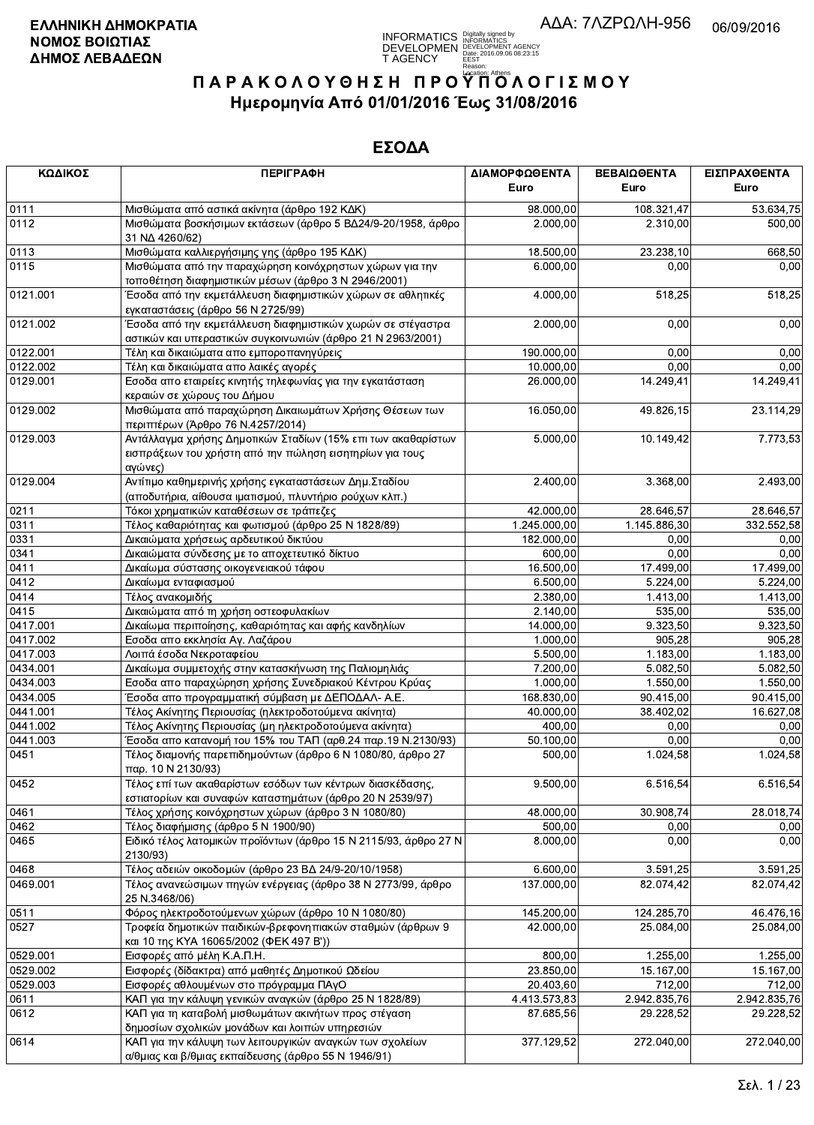

| ΚΩΔΙΚΟΣ  | <b>ПЕРІГРАФН</b>                                                                                                                             | ΔΙΑΜΟΡΦΩΘΕΝΤΑ<br>Euro  | ΒΕΒΑΙΩΘΕΝΤΑ<br>Euro | ΕΙΣΠΡΑΧΘΕΝΤΑ<br>Euro |
|----------|----------------------------------------------------------------------------------------------------------------------------------------------|------------------------|---------------------|----------------------|
| 0111     | Μισθώματα από αστικά ακίνητα (άρθρο 192 ΚΔΚ)                                                                                                 | 98.000,00              | 108.321,47          | 53.634,75            |
| 0112     | Μισθώματα βοσκήσιμων εκτάσεων (άρθρο 5 ΒΔ24/9-20/1958, άρθρο<br>31 NA 4260/62)                                                               | 2.000,00               | 2.310,00            | 500,00               |
| 0113     | Μισθώματα καλλιεργήσιμης γης (άρθρο 195 ΚΔΚ)                                                                                                 | 18.500,00              | 23.238,10           | 668,50               |
| 0115     | Μισθώματα από την παραχώρηση κοινόχρηστων χώρων για την<br>τοποθέτηση διαφημιστικών μέσων (άρθρο 3 Ν 2946/2001)                              | 6.000,00               | 0.00                | 0,00                 |
| 0121.001 | Έσοδα από την εκμετάλλευση διαφημιστικών χώρων σε αθλητικές<br>εγκαταστάσεις (άρθρο 56 Ν 2725/99)                                            | 4.000,00               | 518,25              | 518,25               |
| 0121.002 | Έσοδα από την εκμετάλλευση διαφημιστικών χωρών σε στέγαστρα <sup>·</sup><br>αστικών και υπεραστικών συγκοινωνιών (άρθρο 21 Ν 2963/2001)      | 2.000,00               | 0,00                | 0,00                 |
| 0122.001 | Τέλη και δικαιώματα απο εμποροπανηγύρεις                                                                                                     | 190.000,00             | 0,00                | 0,00                 |
| 0122.002 | Τέλη και δικαιώματα απο λαικές αγορές                                                                                                        | 10.000,00              | 0,00                | 0,00                 |
| 0129.001 | Εσοδα απο εταιρείες κινητής τηλεφωνίας για την εγκατάσταση<br>κεραιών σε χώρους του Δήμου                                                    | 26.000,00              | 14.249,41           | 14.249,41            |
| 0129.002 | Μισθώματα από παραχώρηση Δικαιωμάτων Χρήσης Θέσεων των<br>περιπτέρων (Άρθρο 76 Ν.4257/2014)                                                  | 16.050,00              | 49.826,15           | 23.114,29            |
| 0129.003 | Αντάλλαγμα χρήσης Δημοτικών Σταδίων (15% επι των ακαθαρίστων<br>εισπράξεων του χρήστη από την πώληση εισητηρίων για τους<br>αγώνες)          | 5.000,00               | 10.149,42           | 7.773,53             |
| 0129.004 | Αντίτιμο καθημερινής χρήσης εγκαταστάσεων Δημ. Σταδίου<br>(αποδυτήρια, αίθουσα ιματισμού, πλυντήριο ρούχων κλπ.)                             | 2.400,00               | 3.368,00            | 2.493,00             |
| 0211     | Τόκοι χρηματικών καταθέσεων σε τράπεζες                                                                                                      | $\overline{42.000,00}$ | 28.646,57           | 28.646,57            |
| 0311     | Τέλος καθαριότητας και φωτισμού (άρθρο 25 Ν 1828/89)                                                                                         | 1.245.000,00           | 1.145.886,30        | 332.552,58           |
| 0331     | Δικαιώματα χρήσεως αρδευτικού δικτύου                                                                                                        | 182.000,00             | 0,00                | 0,00                 |
| 0341     | Δικαιώματα σύνδεσης με το αποχετευτικό δίκτυο                                                                                                | 600,00                 | 0,00                | 0,00                 |
| 0411     | Δικαίωμα σύστασης οικογενειακού τάφου                                                                                                        | 16.500,00              | 17.499,00           | 17.499,00            |
| 0412     | Δικαίωμα ενταφιασμού                                                                                                                         | 6.500,00               | 5.224,00            | 5.224,00             |
| 0414     | Τέλος ανακομιδής                                                                                                                             | 2.380,00               | 1.413,00            | 1.413,00             |
| 0415     | Δικαιώματα από τη χρήση οστεοφυλακίων                                                                                                        | 2.140,00               | 535,00              | 535,00               |
| 0417.001 | Δικαίωμα περιποίησης, καθαριότητας και αφής κανδηλίων                                                                                        | 14.000,00              | 9.323,50            | 9.323,50             |
| 0417.002 | Εσοδα απο εκκλησία Αγ. Λαζάρου                                                                                                               | 1.000,00               | 905,28              | 905,28               |
| 0417.003 | Λοιπά έσοδα Νεκροταφείου                                                                                                                     | 5.500,00               | 1.183,00            | 1.183,00             |
| 0434.001 | Δικαίωμα συμμετοχής στην κατασκήνωση της Παλιομηλιάς                                                                                         | 7.200,00               | 5.082,50            | 5.082,50             |
| 0434.003 | Εσοδα απο παραχώρηση χρήσης Συνεδριακού Κέντρου Κρύας                                                                                        | 1.000,00               | 1.550,00            | 1.550,00             |
| 0434.005 | Έσοδα απο προγραμματική σύμβαση με ΔΕΠΟΔΑΛ- Α.Ε.                                                                                             | 168.830,00             | 90.415,00           | 90.415,00            |
| 0441.001 | Τέλος Ακίνητης Περιουσίας (ηλεκτροδοτούμενα ακίνητα)                                                                                         | 40.000,00              | 38.402,02           | 16.627,08            |
| 0441.002 | Τέλος Ακίνητης Περιουσίας (μη ηλεκτροδοτούμενα ακίνητα)                                                                                      | 400,00                 | 0,00                | 0,00                 |
| 0441.003 | Έσοδα απο κατανομή του 15% του ΤΑΠ (αρθ.24 παρ.19 Ν.2130/93)                                                                                 | 50.100,00              | 0,00                | 0,00                 |
| 0451     | Τέλος διαμονής παρεπιδημούντων (άρθρο 6 Ν 1080/80, άρθρο 27                                                                                  | 500,00                 | 1.024,58            | 1.024,58             |
| 0452     | παρ. 10 Ν 2130/93)<br>Τέλος επί των ακαθαρίστων εσόδων των κέντρων διασκέδασης,<br>εστιατορίων και συναφών καταστημάτων (άρθρο 20 Ν 2539/97) | 9.500,00               | 6.516,54            | 6.516,54             |
| 0461     | Τέλος χρήσης κοινόχρηστων χώρων (άρθρο 3 Ν 1080/80)                                                                                          | 48.000,00              | 30.908.74           | 28.018,74            |
| 0462     | Τέλος διαφήμισης (άρθρο 5 Ν 1900/90)                                                                                                         | 500,00                 | 0,00                | 0,00                 |
| 0465     | Ειδικό τέλος λατομικών προϊόντων (άρθρο 15 Ν 2115/93, άρθρο 27 Ν<br>2130/93)                                                                 | 8.000,00               | 0,00                | 0,00                 |
| 0468     | Τέλος αδειών οικοδομών (άρθρο 23 ΒΔ 24/9-20/10/1958)                                                                                         | 6.600,00               | 3.591,25            | 3.591,25             |
| 0469.001 | Τέλος ανανεώσιμων πηγών ενέργειας (άρθρο 38 Ν 2773/99, άρθρο                                                                                 | 137.000,00             | 82.074,42           | 82.074,42            |
|          | 25 N.3468/06)                                                                                                                                |                        |                     |                      |
| 0511     | Φόρος ηλεκτροδοτούμενων χώρων (άρθρο 10 Ν 1080/80)                                                                                           | 145.200,00             | 124.285,70          | 46.476,16            |
| 0527     | Τροφεία δημοτικών παιδικών-βρεφονηπιακών σταθμών (άρθρων 9<br>και 10 της ΚΥΑ 16065/2002 (ΦΕΚ 497 Β'))                                        | 42.000,00              | 25.084,00           | 25.084,00            |
| 0529.001 | Εισφορές από μέλη Κ.Α.Π.Η.                                                                                                                   | 800,00                 | 1.255,00            | 1.255,00             |
| 0529.002 | Εισφορές (δίδακτρα) από μαθητές Δημοτικού Ωδείου                                                                                             | 23.850,00              | 15.167,00           | 15.167,00            |
| 0529.003 | Εισφορές αθλουμένων στο πρόγραμμα ΠΑγΟ                                                                                                       | 20.403,60              | 712,00              | 712,00               |
| 0611     | ΚΑΠ για την κάλυψη γενικών αναγκών (άρθρο 25 Ν 1828/89)                                                                                      | 4.413.573,83           | 2.942.835,76        | 2.942.835,76         |
| 0612     | ΚΑΠ για τη καταβολή μισθωμάτων ακινήτων προς στέγαση<br>δημοσίων σχολικών μονάδων και λοιπών υπηρεσιών                                       | 87.685,56              | 29.228,52           | 29.228,52            |
| 0614     | ΚΑΠ για την κάλυψη των λειτουργικών αναγκών των σχολείων<br>α/θμιας και β/θμιας εκπαίδευσης (άρθρο 55 Ν 1946/91)                             | 377.129,52             | 272.040,00          | 272.040,00           |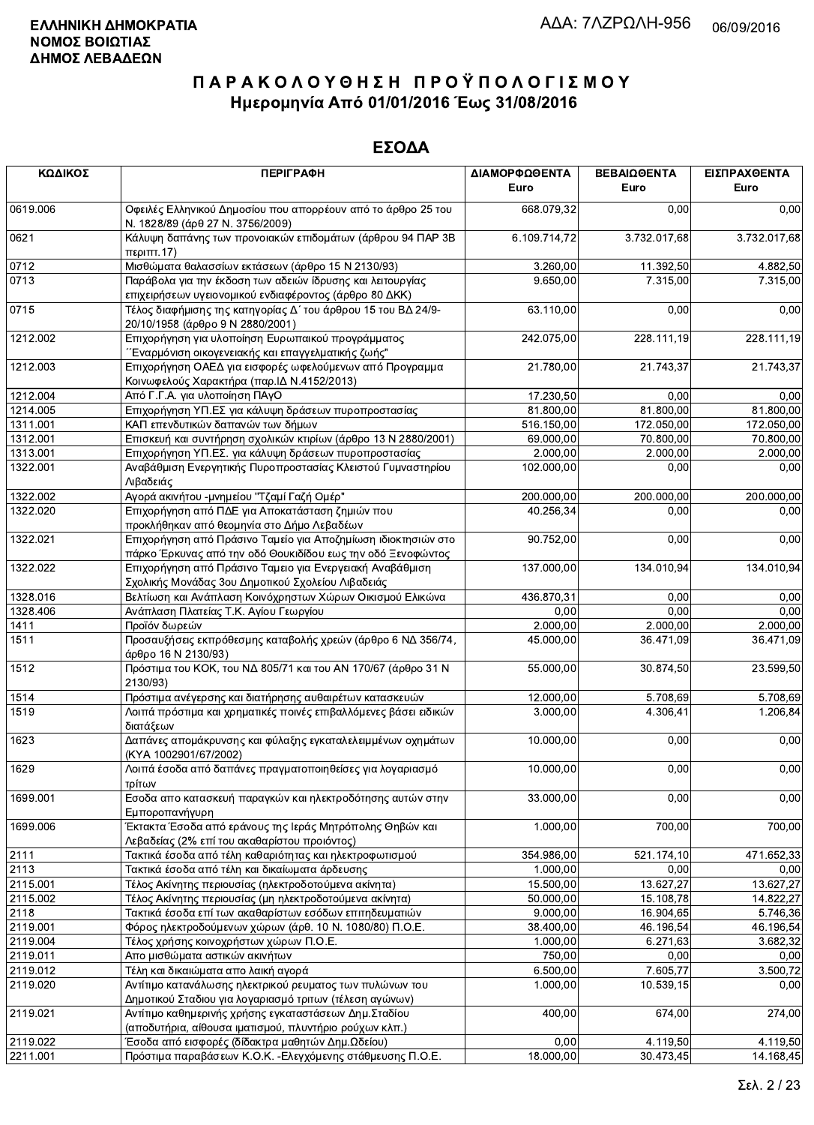| ΚΩΔΙΚΟΣ  | <b>ПЕРІГРАФН</b>                                                                                                             | ΔΙΑΜΟΡΦΩΘΕΝΤΑ<br>Euro | ΒΕΒΑΙΩΘΕΝΤΑ<br>Euro | ΕΙΣΠΡΑΧΘΕΝΤΑ<br>Euro |
|----------|------------------------------------------------------------------------------------------------------------------------------|-----------------------|---------------------|----------------------|
| 0619.006 | Οφειλές Ελληνικού Δημοσίου που απορρέουν από το άρθρο 25 του<br>Ν. 1828/89 (άρθ 27 Ν. 3756/2009)                             | 668.079,32            | 0,00                | 0,00                 |
| 0621     | Κάλυψη δαπάνης των προνοιακών επιδομάτων (άρθρου 94 ΠΑΡ 3Β<br>περ <sub>1</sub> πτ.17                                         | 6.109.714,72          | 3.732.017,68        | 3.732.017,68         |
| 0712     | Μισθώματα θαλασσίων εκτάσεων (άρθρο 15 Ν 2130/93)                                                                            | 3.260,00              | 11.392,50           | 4.882,50             |
| 0713     | Παράβολα για την έκδοση των αδειών ίδρυσης και λειτουργίας<br>επιχειρήσεων υγειονομικού ενδιαφέροντος (άρθρο 80 ΔΚΚ)         | 9.650,00              | 7.315,00            | 7.315,00             |
| 0715     | Τέλος διαφήμισης της κατηγορίας Δ΄ του άρθρου 15 του ΒΔ 24/9-<br>20/10/1958 (άρθρο 9 Ν 2880/2001)                            | 63.110,00             | 0,00                | 0,00                 |
| 1212.002 | Επιχορήγηση για υλοποίηση Ευρωπαικού προγράμματος<br>΄΄Εναρμόνιση οικογενειακής και επαγγελματικής ζωής"                     | 242.075,00            | 228.111,19          | 228.111,19           |
| 1212.003 | Επιχορήγηση ΟΑΕΔ για εισφορές ωφελούμενων από Προγραμμα<br>Κοινωφελούς Χαρακτήρα (παρ. ΙΔ Ν.4152/2013)                       | 21.780,00             | 21.743,37           | 21.743,37            |
| 1212.004 | Από Γ.Γ.Α. για υλοποίηση ΠΑγΟ                                                                                                | 17.230,50             | 0,00                | 0,00                 |
| 1214.005 | Επιχορήγηση ΥΠ.ΕΣ για κάλυψη δράσεων πυροπροστασίας                                                                          | 81.800,00             | 81.800,00           | 81.800,00            |
| 1311.001 | ΚΑΠ επενδυτικών δαπανών των δήμων                                                                                            | 516.150,00            | 172.050,00          | 172.050,00           |
| 1312.001 | Επισκευή και συντήρηση σχολικών κτιρίων (άρθρο 13 Ν 2880/2001)                                                               | 69.000,00             | 70.800,00           | 70.800,00            |
| 1313.001 | Επιχορήγηση ΥΠ.ΕΣ. για κάλυψη δράσεων πυροπροστασίας                                                                         | 2.000,00              | 2.000,00            | 2.000,00             |
| 1322.001 | Αναβάθμιση Ενεργητικής Πυροπροστασίας Κλειστού Γυμναστηρίου<br>Λιβαδειάς                                                     | 102.000,00            | 0,00                | 0,00                 |
| 1322.002 | Αγορά ακινήτου -μνημείου "Τζαμί Γαζή Ομέρ"                                                                                   | 200.000,00            | 200.000,00          | 200.000,00           |
| 1322.020 | Επιχορήγηση από ΠΔΕ για Αποκατάσταση ζημιών που<br>προκλήθηκαν από θεομηνία στο Δήμο Λεβαδέων                                | 40.256,34             | 0.00                | 0,00                 |
| 1322.021 | Επιχορήγηση από Πράσινο Ταμείο για Αποζημίωση ιδιοκτησιών στο<br>πάρκο Έρκυνας από την οδό Θουκιδίδου εως την οδό Ξενοφώντος | 90.752,00             | 0,00                | 0,00                 |
| 1322.022 | Επιχορήγηση από Πράσινο Ταμειο για Ενεργειακή Αναβάθμιση<br>Σχολικής Μονάδας 3ου Δημοτικού Σχολείου Λιβαδειάς                | 137.000,00            | 134.010,94          | 134.010,94           |
| 1328.016 | Βελτίωση και Ανάπλαση Κοινόχρηστων Χώρων Οικισμού Ελικώνα                                                                    | 436.870,31            | 0,00                | 0,00                 |
| 1328.406 | Ανάπλαση Πλατείας Τ.Κ. Αγίου Γεωργίου                                                                                        | 0,00                  | 0,00                | 0,00                 |
| 1411     | Προϊόν δωρεών                                                                                                                | 2.000,00              | 2.000,00            | 2.000,00             |
| 1511     | Προσαυξήσεις εκπρόθεσμης καταβολής χρεών (άρθρο 6 ΝΔ 356/74,<br>άρθρο 16 Ν 2130/93)                                          | 45.000,00             | 36.471,09           | 36.471,09            |
| 1512     | Πρόστιμα του ΚΟΚ, του ΝΔ 805/71 και του ΑΝ 170/67 (άρθρο 31 Ν<br>2130/93)                                                    | 55.000,00             | 30.874,50           | 23.599,50            |
| 1514     | Πρόστιμα ανέγερσης και διατήρησης αυθαιρέτων κατασκευών                                                                      | 12.000,00             | 5.708.69            | 5.708.69             |
| 1519     | Λοιπά πρόστιμα και χρηματικές ποινές επιβαλλόμενες βάσει ειδικών<br>διατάξεων                                                | 3.000,00              | 4.306,41            | 1.206,84             |
| 1623     | Δαπάνες απομάκρυνσης και φύλαξης εγκαταλελειμμένων οχημάτων<br>(KYA 1002901/67/2002)                                         | 10.000,00             | 0,00                | 0,00                 |
| 1629     | Λοιπά έσοδα από δαπάνες πραγματοποιηθείσες για λογαριασμό<br>τρίτων                                                          | 10.000,00             | 0,00                | 0,00                 |
| 1699.001 | Εσοδα απο κατασκευή παραγκών και ηλεκτροδότησης αυτών στην<br>Εμποροπανήγυρη                                                 | 33.000,00             | 0,00                | 0,00                 |
| 1699.006 | Έκτακτα Έσοδα από εράνους της Ιεράς Μητρόπολης Θηβών και<br>Λεβαδείας (2% επί του ακαθαρίστου προιόντος)                     | 1.000,00              | 700,00              | 700,00               |
| 2111     | Τακτικά έσοδα από τέλη καθαριότητας και ηλεκτροφωτισμού                                                                      | 354.986.00            | 521.174,10          | 471.652,33           |
| 2113     | Τακτικά έσοδα από τέλη και δικαίωματα άρδευσης                                                                               | 1.000.00              | 0,00                | 0,00                 |
| 2115.001 | Τέλος Ακίνητης περιουσίας (ηλεκτροδοτούμενα ακίνητα)                                                                         | 15.500,00             | 13.627,27           | 13.627,27            |
| 2115.002 | Τέλος Ακίνητης περιουσίας (μη ηλεκτροδοτούμενα ακίνητα)                                                                      | 50.000,00             | 15.108,78           | 14.822,27            |
| 2118     | Τακτικά έσοδα επί των ακαθαρίστων εσόδων επιτηδευματιών                                                                      | 9.000,00              | 16.904,65           | 5.746,36             |
| 2119.001 | Φόρος ηλεκτροδούμενων χώρων (άρθ. 10 Ν. 1080/80) Π.Ο.Ε.                                                                      | 38.400,00             | 46.196,54           | 46.196,54            |
| 2119.004 | Τέλος χρήσης κοινοχρήστων χώρων Π.Ο.Ε.                                                                                       | 1.000,00              | 6.271,63            | 3.682,32             |
| 2119.011 | Απο μισθώματα αστικών ακινήτων                                                                                               | 750,00                | 0,00                | 0,00                 |
| 2119.012 | Τέλη και δικαιώματα απο λαική αγορά                                                                                          | 6.500,00              | 7.605,77            | 3.500,72             |
| 2119.020 | Αντίτιμο κατανάλωσης ηλεκτρικού ρευματος των πυλώνων του                                                                     | 1.000,00              | 10.539,15           | 0,00                 |
|          | Δημοτικού Σταδιου για λογαριασμό τριτων (τέλεση αγώνων)                                                                      |                       |                     |                      |
| 2119.021 | Αντίτιμο καθημερινής χρήσης εγκαταστάσεων Δημ. Σταδίου<br>(αποδυτήρια, αίθουσα ιματισμού, πλυντήριο ρούχων κλπ.)             | 400,00                | 674,00              | 274,00               |
| 2119.022 | Έσοδα από εισφορές (δίδακτρα μαθητών Δημ.Ωδείου)                                                                             | 0,00                  | 4.119,50            | 4.119,50             |
| 2211.001 | Πρόστιμα παραβάσεων Κ.Ο.Κ. -Ελεννόμενης στάθμευσης Π.Ο.Ε.                                                                    | 18.000.00             | 30.473.45           | 14.168.45            |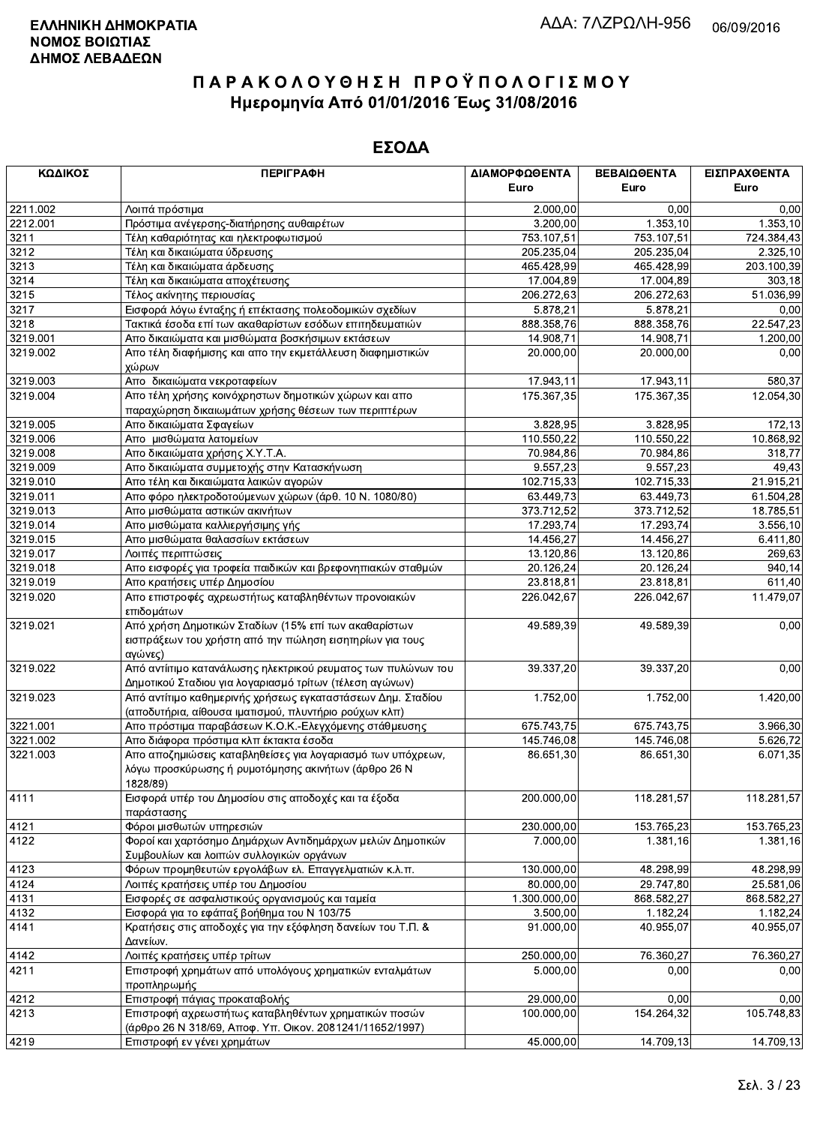| ΚΩΔΙΚΟΣ  | <b>ПЕРІГРАФН</b>                                                    | ΔΙΑΜΟΡΦΩΘΕΝΤΑ          | ΒΕΒΑΙΩΘΕΝΤΑ | ΕΙΣΠΡΑΧΘΕΝΤΑ            |
|----------|---------------------------------------------------------------------|------------------------|-------------|-------------------------|
|          |                                                                     | Euro                   | Euro        | Euro                    |
| 2211.002 | Λοιπά πρόστιμα                                                      | 2.000,00               | 0,00        | 0,00                    |
| 2212.001 | Πρόστιμα ανέγερσης-διατήρησης αυθαιρέτων                            | 3.200,00               | 1.353, 10   | 1.353,10                |
| 3211     | Τέλη καθαριότητας και ηλεκτροφωτισμού                               | 753.107,51             | 753.107,51  | 724.384,43              |
| 3212     | Τέλη και δικαιώματα ύδρευσης                                        | 205.235,04             | 205.235,04  | 2.325,10                |
| 3213     | Τέλη και δικαιώματα άρδευσης                                        | 465.428.99             | 465 428,99  | 203.100,39              |
| 3214     | Τέλη και δικαιώματα αποχέτευσης                                     | 17.004,89              | 17.004,89   | 303,18                  |
| 3215     | Τέλος ακίνητης περιουσίας                                           | 206.272,63             | 206.272,63  | 51.036,99               |
| 3217     | Εισφορά λόγω ένταξης ή επέκτασης πολεοδομικών σχεδίων               | 5.878,21               | 5.878,21    | 0,00                    |
| 3218     | Τακτικά έσοδα επί των ακαθαρίστων εσόδων επιτηδευματιών             | 888.358,76             | 888.358,76  | 22.547,23               |
| 3219.001 | Απο δικαιώματα και μισθώματα βοσκήσιμων εκτάσεων                    | 14.908,71              | 14.908,71   | 1.200,00                |
| 3219.002 | Απο τέλη διαφήμισης και απο την εκμετάλλευση διαφημιστικών<br>χώρων | 20.000,00              | 20.000,00   | 0,00                    |
| 3219.003 | Απο δικαιώματα νεκροταφείων                                         | 17.943,11              | 17.943,11   | 580,37                  |
| 3219.004 | Απο τέλη χρήσης κοινόχρηστων δημοτικών χώρων και απο                | 175.367,35             | 175.367,35  | 12.054,30               |
|          | παραχώρηση δικαιωμάτων χρήσης θέσεων των περιπτέρων                 |                        |             |                         |
| 3219.005 | Απο δικαιώματα Σφαγείων                                             | 3.828,95               | 3.828,95    | 172,13                  |
| 3219.006 | Απο μισθώματα λατομείων                                             | 110.550,22             | 110.550.22  | 10.868,92               |
| 3219.008 | Απο δικαιώματα χρήσης Χ.Υ.Τ.Α.                                      | 70.984,86              | 70.984,86   | 318.77                  |
| 3219.009 | Απο δικαιώματα συμμετοχής στην Κατασκήνωση                          | 9.557,23               | 9.557,23    | 49,43                   |
| 3219.010 | Απο τέλη και δικαιώματα λαικών αγορών                               | 102.715,33             | 102.715,33  | 21.915,21               |
| 3219.011 | Απο φόρο ηλεκτροδοτούμενων χώρων (άρθ. 10 Ν. 1080/80)               | 63.449.73              | 63.449,73   | $\overline{61}$ .504,28 |
| 3219.013 | Απο μισθώματα αστικών ακινήτων                                      | 373.712,52             | 373.712,52  | 18.785,51               |
| 3219.014 | Απο μισθώματα καλλιεργήσιμης γής                                    | 17.293,74              | 17.293,74   | 3.556,10                |
| 3219.015 | Απο μισθώματα θαλασσίων εκτάσεων                                    | 14.456,27              | 14.456,27   | 6.411,80                |
| 3219.017 | Λοιπές περιπτώσεις                                                  | 13.120,86              | 13.120,86   | 269,63                  |
| 3219.018 | Απο εισφορές για τροφεία παιδικών και βρεφονηπιακών σταθμών         | 20.126,24              | 20.126,24   | 940,14                  |
| 3219.019 | Απο κρατήσεις υπέρ Δημοσίου                                         | 23.818,81              | 23.818,81   | 611,40                  |
| 3219.020 | Απο επιστροφές αχρεωστήτως καταβληθέντων προνοιακών                 | 226.042,67             | 226.042,67  | 11.479,07               |
|          | επιδομάτων                                                          |                        |             |                         |
| 3219.021 | Από χρήση Δημοτικών Σταδίων (15% επί των ακαθαρίστων                | 49.589,39              | 49.589,39   | 0,00                    |
|          | εισπράξεων του χρήστη από την πώληση εισητηρίων για τους            |                        |             |                         |
|          | αγώνες)                                                             |                        |             |                         |
| 3219.022 | Από αντίιτιμο κατανάλωσης ηλεκτρικού ρευματος των πυλώνων του       | 39.337,20              | 39.337,20   | 0,00                    |
|          | Δημοτικού Σταδιου για λογαριασμό τρίτων (τέλεση αγώνων)             |                        |             |                         |
| 3219.023 | Από αντίτιμο καθημερινής χρήσεως εγκαταστάσεων Δημ. Σταδίου         | 1.752,00               | 1.752,00    | 1.420,00                |
|          | (αποδυτήρια, αίθουσα ιματισμού, πλυντήριο ρούχων κλπ)               |                        |             |                         |
| 3221.001 | Απο πρόστιμα παραβάσεων Κ.Ο.Κ.-Ελεγχόμενης στάθμευσης               | 675.743,75             | 675.743,75  | 3.966,30                |
| 3221.002 | Απο διάφορα πρόστιμα κλπ έκτακτα έσοδα                              | 145.746,08             | 145.746,08  | 5.626,72                |
| 3221.003 | Απο αποζημιώσεις καταβληθείσες για λογαριασμό των υπόχρεων,         | 86.651,30              | 86.651,30   | 6.071,35                |
|          | λόγω προσκύρωσης ή ρυμοτόμησης ακινήτων (άρθρο 26 Ν<br>1828/89)     |                        |             |                         |
| 4111     | Εισφορά υπέρ του Δημοσίου στις αποδοχές και τα έξοδα                | 200.000,00             | 118.281,57  | 118.281,57              |
|          | παράστασης                                                          |                        |             |                         |
| 4121     | Φόροι μισθωτών υπηρεσιών                                            | 230.000,00             | 153.765,23  | 153.765,23              |
| 4122     | Φοροί και χαρτόσημο Δημάρχων Αντιδημάρχων μελών Δημοτικών           | 7.000,00               | 1.381,16    | 1.381,16                |
|          | Συμβουλίων και λοιπών συλλογικών οργάνων                            |                        |             |                         |
| 4123     | Φόρων προμηθευτών εργολάβων ελ. Επαγγελματιών κ.λ.π.                | 130.000,00             | 48.298.99   | 48.298,99               |
| 4124     | Λοιπές κρατήσεις υπέρ του Δημοσίου                                  | $\overline{80.000,00}$ | 29.747,80   | 25.581,06               |
| 4131     | Εισφορές σε ασφαλιστικούς οργανισμούς και ταμεία                    | 1.300.000,00           | 868.582,27  | 868.582,27              |
| 4132     | Εισφορά για το εφάπαξ βοήθημα του Ν 103/75                          | 3.500,00               | 1.182,24    | 1.182,24                |
| 4141     | Κρατήσεις στις αποδοχές για την εξόφληση δανείων του Τ.Π. &         | 91.000,00              | 40.955,07   | 40.955,07               |
|          | Δανείων.                                                            |                        |             |                         |
| 4142     | Λοιπές κρατήσεις υπέρ τρίτων                                        | 250.000,00             | 76.360,27   | 76.360,27               |
| 4211     | Επιστροφή χρημάτων από υπολόγους χρηματικών ενταλμάτων              | 5.000,00               | 0,00        | 0,00                    |
|          | προπληρωμής                                                         |                        |             |                         |
| 4212     | Επιστροφή πάγιας προκαταβολής                                       | 29.000,00              | 0,00        | 0,00                    |
| 4213     | Επιστροφή αχρεωστήτως καταβληθέντων χρηματικών ποσών                | 100.000,00             | 154.264,32  | 105.748,83              |
|          | (άρθρο 26 Ν 318/69, Αποφ. Υπ. Οικον. 2081241/11652/1997)            |                        |             |                         |
| 4219     | Επιστροφή εν γένει χρημάτων                                         | 45.000,00              | 14.709,13   | $\overline{14.709, 13}$ |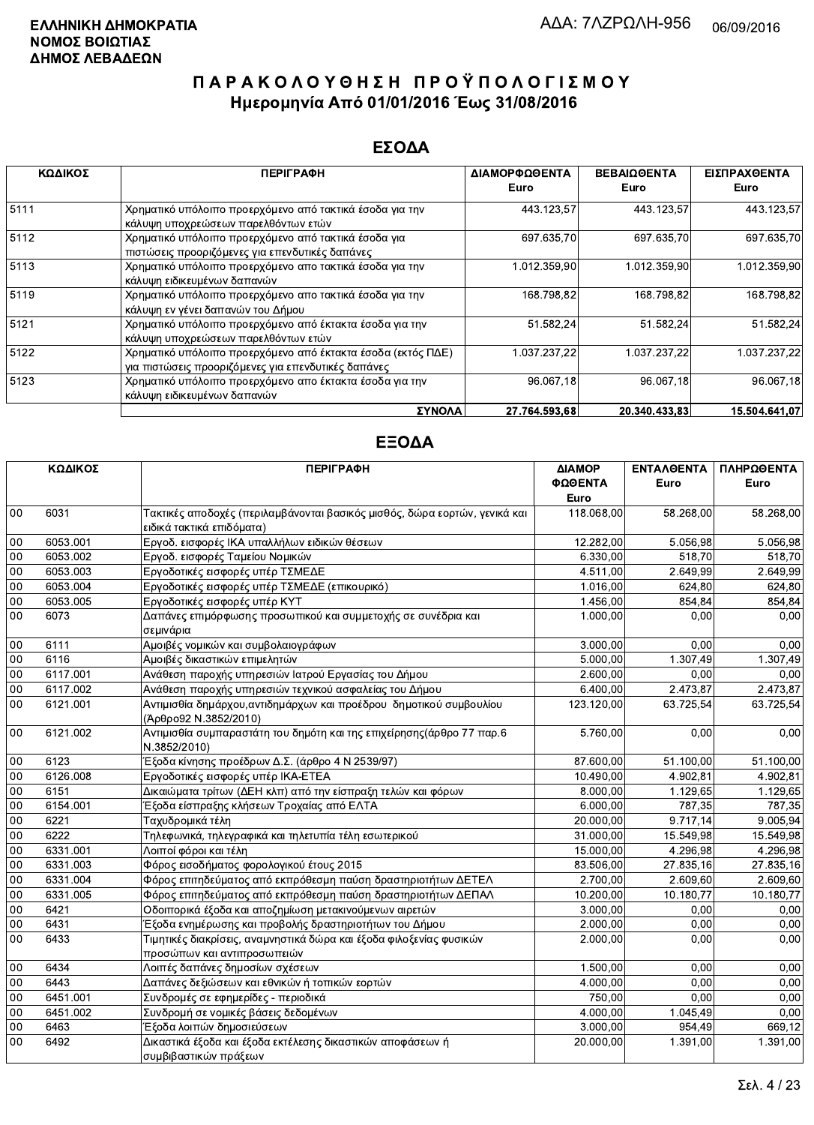#### ΕΣΟΔΑ

| ΚΩΔΙΚΟΣ | <b>ПЕРІГРАФН</b>                                                                                                    | ΔΙΑΜΟΡΦΩΘΕΝΤΑ<br>Euro | <b>ΒΕΒΑΙΩΘΕΝΤΑ</b><br>Euro | ΕΙΣΠΡΑΧΘΕΝΤΑ<br>Euro |
|---------|---------------------------------------------------------------------------------------------------------------------|-----------------------|----------------------------|----------------------|
| 5111    | Χρηματικό υπόλοιπο προερχόμενο από τακτικά έσοδα για την<br>κάλυψη υποχρεώσεων παρελθόντων ετών                     | 443.123,57            | 443.123,57                 | 443.123,57           |
| 5112    | Χρηματικό υπόλοιπο προερχόμενο από τακτικά έσοδα για<br>πιστώσεις προοριζόμενες για επενδυτικές δαπάνες             | 697 635,70            | 697.635,70                 | 697.635,70           |
| 5113    | Χρηματικό υπόλοιπο προερχόμενο απο τακτικά έσοδα για την<br>κάλυψη ειδικευμένων δαπανών                             | 1.012.359,90          | 1.012.359.90               | 1.012.359,90         |
| 5119    | Χρηματικό υπόλοιπο προερχόμενο απο τακτικά έσοδα για την<br>κάλυψη εν γένει δαπανών του Δήμου                       | 168.798,82            | 168.798,82                 | 168.798,82           |
| 5121    | Χρηματικό υπόλοιπο προερχόμενο από έκτακτα έσοδα για την<br>κάλυψη υποχρεώσεων παρελθόντων ετών                     | 51.582,24             | 51.582,24                  | 51.582,24            |
| 5122    | Χρηματικό υπόλοιπο προερχόμενο από έκτακτα έσοδα (εκτός ΠΔΕ)<br>για πιστώσεις προοριζόμενες για επενδυτικές δαπάνες | 1.037.237,22          | 1.037.237.22               | 1.037.237.22         |
| 5123    | Χρηματικό υπόλοιπο προερχόμενο απο έκτακτα έσοδα για την<br>κάλυψη ειδικευμένων δαπανών                             | 96.067,18             | 96.067.18                  | 96.067,18            |
|         | ΣΥΝΟΛΑ                                                                                                              | 27.764.593.68         | 20.340.433.83              | 15.504.641.07        |

|        | ΚΩΔΙΚΟΣ  | <b>ПЕРІГРАФН</b>                                                                                        | ΔΙΑΜΟΡ<br>ΦΩΘΕΝΤΑ<br>Euro | ΕΝΤΑΛΘΕΝΤΑ<br>Euro    | ΠΛΗΡΩΘΕΝΤΑ<br>Euro |
|--------|----------|---------------------------------------------------------------------------------------------------------|---------------------------|-----------------------|--------------------|
| 00     | 6031     | Τακτικές αποδοχές (περιλαμβάνονται βασικός μισθός, δώρα εορτών, γενικά και<br>ειδικά τακτικά επιδόματα) | 118.068,00                | 58.268,00             | 58.268,00          |
| 00     | 6053.001 | Εργοδ. εισφορές ΙΚΑ υπαλλήλων ειδικών θέσεων                                                            | 12.282,00                 | $\overline{5.056,98}$ | 5.056,98           |
| 00     | 6053.002 | Εργοδ. εισφορές Ταμείου Νομικών                                                                         | 6.330,00                  | 518,70                | 518,70             |
| 00     | 6053.003 | Εργοδοτικές εισφορές υπέρ ΤΣΜΕΔΕ                                                                        | 4.511.00                  | 2.649,99              | 2.649,99           |
| 00     | 6053.004 | Εργοδοτικές εισφορές υπέρ ΤΣΜΕΔΕ (επικουρικό)                                                           | 1.016.00                  | 624,80                | 624,80             |
| $00\,$ | 6053.005 | Εργοδοτικές εισφορές υπέρ ΚΥΤ                                                                           | 1.456,00                  | 854,84                | 854,84             |
| 00     | 6073     | Δαπάνες επιμόρφωσης προσωπικού και συμμετοχής σε συνέδρια και<br>σεμινάρια                              | 1.000,00                  | 0.00                  | 0,00               |
| 00     | 6111     | Αμοιβές νομικών και συμβολαιογράφων                                                                     | 3.000,00                  | 0.00                  | 0,00               |
| 00     | 6116     | Αμοιβές δικαστικών επιμελητών                                                                           | 5.000,00                  | 1.307,49              | 1.307,49           |
| 00     | 6117.001 | Ανάθεση παροχής υπηρεσιών Ιατρού Εργασίας του Δήμου                                                     | 2.600,00                  | 0,00                  | 0,00               |
| 00     | 6117.002 | Ανάθεση παροχής υπηρεσιών τεχνικού ασφαλείας του Δήμου                                                  | 6.400,00                  | 2.473,87              | 2.473,87           |
| 00     | 6121.001 | Αντιμισθία δημάρχου, αντιδημάρχων και προέδρου δημοτικού συμβουλίου<br>(Άρθρο92 Ν.3852/2010)            | 123.120,00                | 63.725,54             | 63.725,54          |
| 00     | 6121.002 | Αντιμισθία συμπαραστάτη του δημότη και της επιχείρησης (άρθρο 77 παρ.6<br>N.3852/2010)                  | 5.760,00                  | 0,00                  | 0,00               |
| 00     | 6123     | Έξοδα κίνησης προέδρων Δ.Σ. (άρθρο 4 Ν 2539/97)                                                         | 87.600,00                 | 51.100,00             | 51.100,00          |
| 00     | 6126.008 | Εργοδοτικές εισφορές υπέρ ΙΚΑ-ΕΤΕΑ                                                                      | 10.490,00                 | 4.902,81              | 4.902,81           |
| 00     | 6151     | Δικαιώματα τρίτων (ΔΕΗ κλπ) από την είσπραξη τελών και φόρων                                            | 8.000,00                  | 1.129.65              | 1.129,65           |
| $00\,$ | 6154.001 | Έξοδα είσπραξης κλήσεων Τροχαίας από ΕΛΤΑ                                                               | 6.000,00                  | 787.35                | 787,35             |
| 00     | 6221     | Ταχυδρομικά τέλη                                                                                        | 20.000,00                 | 9.717,14              | 9.005,94           |
| 00     | 6222     | Τηλεφωνικά, τηλεγραφικά και τηλετυπία τέλη εσωτερικού                                                   | 31.000,00                 | 15.549,98             | 15.549,98          |
| 00     | 6331.001 | Λοιποί φόροι και τέλη                                                                                   | 15.000,00                 | 4.296,98              | 4.296,98           |
| 00     | 6331.003 | Φόρος εισοδήματος φορολογικού έτους 2015                                                                | 83.506,00                 | 27.835,16             | 27.835,16          |
| 00     | 6331.004 | Φόρος επιτηδεύματος από εκπρόθεσμη παύση δραστηριοτήτων ΔΕΤΕΛ                                           | 2.700,00                  | 2.609,60              | 2.609,60           |
| 00     | 6331.005 | Φόρος επιτηδεύματος από εκπρόθεσμη παύση δραστηριοτήτων ΔΕΠΑΛ                                           | 10.200,00                 | 10.180.77             | 10.180,77          |
| 00     | 6421     | Οδοιπορικά έξοδα και αποζημίωση μετακινούμενων αιρετών                                                  | 3.000,00                  | 0,00                  | 0,00               |
| 00     | 6431     | Έξοδα ενημέρωσης και προβολής δραστηριοτήτων του Δήμου                                                  | 2.000,00                  | 0,00                  | 0,00               |
| 00     | 6433     | Τιμητικές διακρίσεις, αναμνηστικά δώρα και έξοδα φιλοξενίας φυσικών<br>προσώπων και αντιπροσωπειών      | 2.000,00                  | 0,00                  | 0,00               |
| 00     | 6434     | Λοιπές δαπάνες δημοσίων σχέσεων                                                                         | 1.500,00                  | 0,00                  | 0,00               |
| 00     | 6443     | Δαπάνες δεξιώσεων και εθνικών ή τοπικών εορτών                                                          | 4.000.00                  | 0.00                  | 0,00               |
| 00     | 6451.001 | Συνδρομές σε εφημερίδες - περιοδικά                                                                     | 750,00                    | 0,00                  | 0,00               |
| 00     | 6451.002 | Συνδρομή σε νομικές βάσεις δεδομένων                                                                    | 4.000,00                  | 1.045,49              | 0,00               |
| 00     | 6463     | Έξοδα λοιπών δημοσιεύσεων                                                                               | 3.000,00                  | 954.49                | 669,12             |
| 00     | 6492     | Δικαστικά έξοδα και έξοδα εκτέλεσης δικαστικών αποφάσεων ή<br>συμβιβαστικών πράξεων                     | 20.000,00                 | 1.391,00              | 1.391,00           |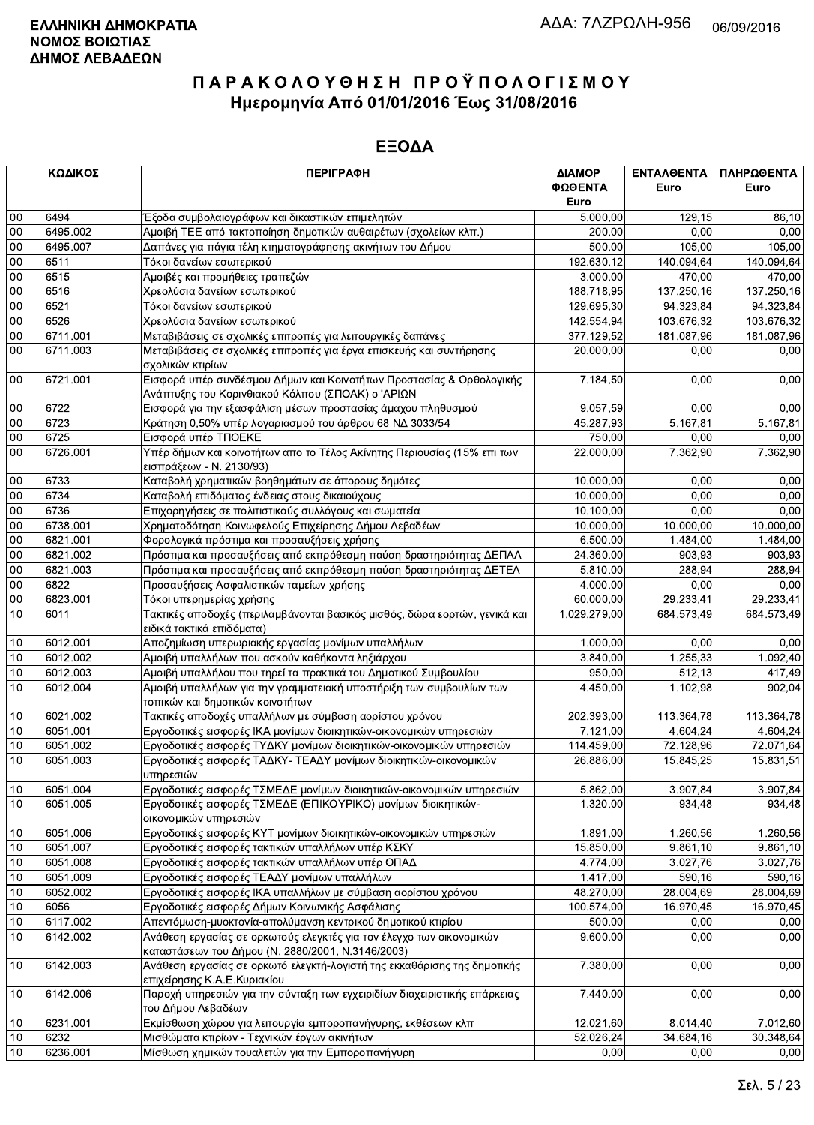|        | ΚΩΔΙΚΟΣ  | <b>ПЕРІГРАФН</b>                                                                                                  | ΔΙΑΜΟΡ       | ΕΝΤΑΛΘΕΝΤΑ | ΠΛΗΡΩΘΕΝΤΑ |
|--------|----------|-------------------------------------------------------------------------------------------------------------------|--------------|------------|------------|
|        |          |                                                                                                                   | ΦΩΘΕΝΤΑ      | Euro       | Euro       |
|        |          |                                                                                                                   | Euro         |            |            |
| $00\,$ | 6494     | Έξοδα συμβολαιογράφων και δικαστικών επιμελητών                                                                   | 5.000,00     | 129,15     | 86,10      |
| 00     | 6495.002 | Αμοιβή ΤΕΕ από τακτοποίηση δημοτικών αυθαιρέτων (σχολείων κλπ.)                                                   | 200,00       | 0,00       | 0,00       |
| 00     | 6495.007 | Δαπάνες για πάγια τέλη κτηματογράφησης ακινήτων του Δήμου                                                         | 500,00       | 105,00     | 105,00     |
| 00     | 6511     | Τόκοι δανείων εσωτερικού                                                                                          | 192.630,12   | 140.094,64 | 140.094,64 |
| 00     | 6515     | Αμοιβές και προμήθειες τραπεζών                                                                                   | 3.000,00     | 470,00     | 470,00     |
| 00     | 6516     | Χρεολύσια δανείων εσωτερικού                                                                                      | 188.718,95   | 137.250,16 | 137.250,16 |
| 00     | 6521     | Τόκοι δανείων εσωτερικού                                                                                          | 129.695,30   | 94.323,84  | 94.323,84  |
| 00     | 6526     | Χρεολύσια δανείων εσωτερικού                                                                                      | 142.554,94   | 103.676,32 | 103.676,32 |
| 00     | 6711.001 | Μεταβιβάσεις σε σχολικές επιτροπές για λειτουργικές δαπάνες                                                       | 377.129,52   | 181.087,96 | 181.087,96 |
| 00     | 6711.003 | Μεταβιβάσεις σε σχολικές επιτροπές για έργα επισκευής και συντήρησης                                              | 20.000,00    | 0,00       | 0,00       |
|        |          | σχολικών κτιρίων                                                                                                  |              |            |            |
| $00\,$ | 6721.001 | Εισφορά υπέρ συνδέσμου Δήμων και Κοινοτήτων Προστασίας & Ορθολογικής                                              | 7.184,50     | 0,00       | 0,00       |
|        |          |                                                                                                                   |              |            |            |
| $00\,$ | 6722     | Ανάπτυξης του Κορινθιακού Κόλπου (ΣΠΟΑΚ) ο 'ΑΡΙΩΝ<br>Εισφορά για την εξασφάλιση μέσων προστασίας άμαχου πληθυσμού | 9.057,59     | 0,00       | 0,00       |
| $00\,$ | 6723     |                                                                                                                   |              |            |            |
|        |          | Κράτηση 0,50% υπέρ λογαριασμού του άρθρου 68 ΝΔ 3033/54                                                           | 45.287,93    | 5.167,81   | 5.167,81   |
| 00     | 6725     | Εισφορά υπέρ ΤΠΟΕΚΕ                                                                                               | 750,00       | 0,00       | 0,00       |
| 00     | 6726.001 | Υπέρ δήμων και κοινοτήτων απο το Τέλος Ακίνητης Περιουσίας (15% επι των                                           | 22.000,00    | 7.362,90   | 7.362,90   |
|        |          | εισπράξεων - Ν. 2130/93)                                                                                          |              |            |            |
| $00\,$ | 6733     | Καταβολή χρηματικών βοηθημάτων σε άπορους δημότες                                                                 | 10.000,00    | 0.00       | 0,00       |
| 00     | 6734     | Καταβολή επιδόματος ένδειας στους δικαιούχους                                                                     | 10.000,00    | 0,00       | 0,00       |
| 00     | 6736     | Επιχορηγήσεις σε πολιτιστικούς συλλόγους και σωματεία                                                             | 10.100,00    | 0,00       | 0,00       |
| 00     | 6738.001 | Χρηματοδότηση Κοινωφελούς Επιχείρησης Δήμου Λεβαδέων                                                              | 10.000,00    | 10.000,00  | 10.000,00  |
| 00     | 6821.001 | Φορολογικά πρόστιμα και προσαυξήσεις χρήσης                                                                       | 6.500,00     | 1.484,00   | 1.484.00   |
| 00     | 6821.002 | Πρόστιμα και προσαυξήσεις από εκπρόθεσμη παύση δραστηριότητας ΔΕΠΑΛ                                               | 24.360,00    | 903,93     | 903,93     |
| 00     | 6821.003 | Πρόστιμα και προσαυξήσεις από εκπρόθεσμη παύση δραστηριότητας ΔΕΤΕΛ                                               | 5.810,00     | 288,94     | 288,94     |
| $00\,$ | 6822     | Προσαυξήσεις Ασφαλιστικών ταμείων χρήσης                                                                          | 4.000,00     | 0,00       | 0,00       |
| 00     | 6823.001 | Τόκοι υπερημερίας χρήσης                                                                                          | 60.000,00    | 29.233,41  | 29.233,41  |
| 10     | 6011     | Τακτικές αποδοχές (περιλαμβάνονται βασικός μισθός, δώρα εορτών, γενικά και                                        | 1.029.279,00 | 684.573,49 | 684.573,49 |
|        |          | ειδικά τακτικά επιδόματα)                                                                                         |              |            |            |
| 10     | 6012.001 | Αποζημίωση υπερωριακής εργασίας μονίμων υπαλλήλων                                                                 | 1.000,00     | 0.00       | 0,00       |
| 10     | 6012.002 | Αμοιβή υπαλλήλων που ασκούν καθήκοντα ληξιάρχου                                                                   | 3.840,00     | 1.255,33   | 1.092,40   |
| 10     | 6012.003 | Αμοιβή υπαλλήλου που τηρεί τα πρακτικά του Δημοτικού Συμβουλίου                                                   | 950,00       | 512,13     | 417,49     |
| 10     | 6012.004 | Αμοιβή υπαλλήλων για την γραμματειακή υποστήριξη των συμβουλίων των                                               | 4.450,00     | 1.102,98   | 902,04     |
|        |          | τοπικών και δημοτικών κοινοτήτων                                                                                  |              |            |            |
| 10     | 6021.002 | Τακτικές αποδοχές υπαλλήλων με σύμβαση αορίστου χρόνου                                                            | 202.393,00   | 113.364,78 | 113.364,78 |
| 10     | 6051.001 | Εργοδοτικές εισφορές ΙΚΑ μονίμων διοικητικών-οικονομικών υπηρεσιών                                                | 7.121,00     | 4.604,24   | 4.604,24   |
| 10     | 6051.002 | Εργοδοτικές εισφορές ΤΥΔΚΥ μονίμων διοικητικών-οικονομικών υπηρεσιών                                              | 114.459,00   | 72.128,96  | 72.071,64  |
| 10     | 6051.003 | Εργοδοτικές εισφορές ΤΑΔΚΥ- ΤΕΑΔΥ μονίμων διοικητικών-οικονομικών                                                 | 26.886,00    | 15.845,25  | 15.831,51  |
|        |          | υπηρεσιών                                                                                                         |              |            |            |
| $10$   | 6051.004 | Εργοδοτικές εισφορές ΤΣΜΕΔΕ μονίμων διοικητικών-οικονομικών υπηρεσιών                                             | 5.862,00     | 3.907,84   | 3.907,84   |
| 10     | 6051.005 | Εργοδοτικές εισφορές ΤΣΜΕΔΕ (ΕΠΙΚΟΥΡΙΚΟ) μονίμων διοικητικών-                                                     | 1.320,00     | 934.48     | 934,48     |
|        |          | οικονομικών υπηρεσιών                                                                                             |              |            |            |
| 10     | 6051.006 | Εργοδοτικές εισφορές ΚΥΤ μονίμων διοικητικών-οικονομικών υπηρεσιών                                                | 1.891,00     | 1.260,56   | 1.260,56   |
| 10     | 6051.007 | Εργοδοτικές εισφορές τακτικών υπαλλήλων υπέρ ΚΣΚΥ                                                                 | 15.850,00    | 9.861,10   | 9.861,10   |
| 10     | 6051.008 | Εργοδοτικές εισφορές τακτικών υπαλλήλων υπέρ ΟΠΑΔ                                                                 | 4.774,00     | 3.027,76   | 3.027,76   |
| 10     | 6051.009 | Εργοδοτικές εισφορές ΤΕΑΔΥ μονίμων υπαλλήλων                                                                      | 1.417,00     | 590,16     | 590,16     |
| 10     | 6052.002 | Εργοδοτικές εισφορές ΙΚΑ υπαλλήλων με σύμβαση αορίστου χρόνου                                                     | 48.270,00    | 28.004,69  | 28.004,69  |
| 10     | 6056     | Εργοδοτικές εισφορές Δήμων Κοινωνικής Ασφάλισης                                                                   | 100.574,00   | 16.970,45  | 16.970,45  |
| 10     | 6117.002 | Απεντόμωση-μυοκτονία-απολύμανση κεντρικού δημοτικού κτιρίου                                                       | 500,00       | 0,00       | 0,00       |
|        |          |                                                                                                                   |              |            |            |
| 10     | 6142.002 | Ανάθεση εργασίας σε ορκωτούς ελεγκτές για τον έλεγχο των οικονομικών                                              | 9.600,00     | 0,00       | 0,00       |
|        |          | καταστάσεων του Δήμου (Ν. 2880/2001, Ν.3146/2003)                                                                 |              |            |            |
| 10     | 6142.003 | Ανάθεση εργασίας σε ορκωτό ελεγκτή-λογιστή της εκκαθάρισης της δημοτικής                                          | 7.380,00     | 0,00       | 0,00       |
|        |          | επιχείρησης Κ.Α.Ε.Κυριακίου                                                                                       |              |            |            |
| 10     | 6142.006 | Παροχή υπηρεσιών για την σύνταξη των εγχειριδίων διαχειριστικής επάρκειας                                         | 7.440,00     | 0,00       | 0,00       |
|        |          | του Δήμου Λεβαδέων                                                                                                |              |            |            |
| 10     | 6231.001 | Εκμίσθωση χώρου για λειτουργία εμποροπανήγυρης, εκθέσεων κλπ                                                      | 12.021,60    | 8.014,40   | 7.012,60   |
| 10     | 6232     | Μισθώματα κτιρίων - Τεχνικών έργων ακινήτων                                                                       | 52.026,24    | 34.684,16  | 30.348,64  |
| 10     | 6236.001 | Μίσθωση χημικών τουαλετών για την Εμποροπανήγυρη                                                                  | 0,00         | 0,00       | 0,00       |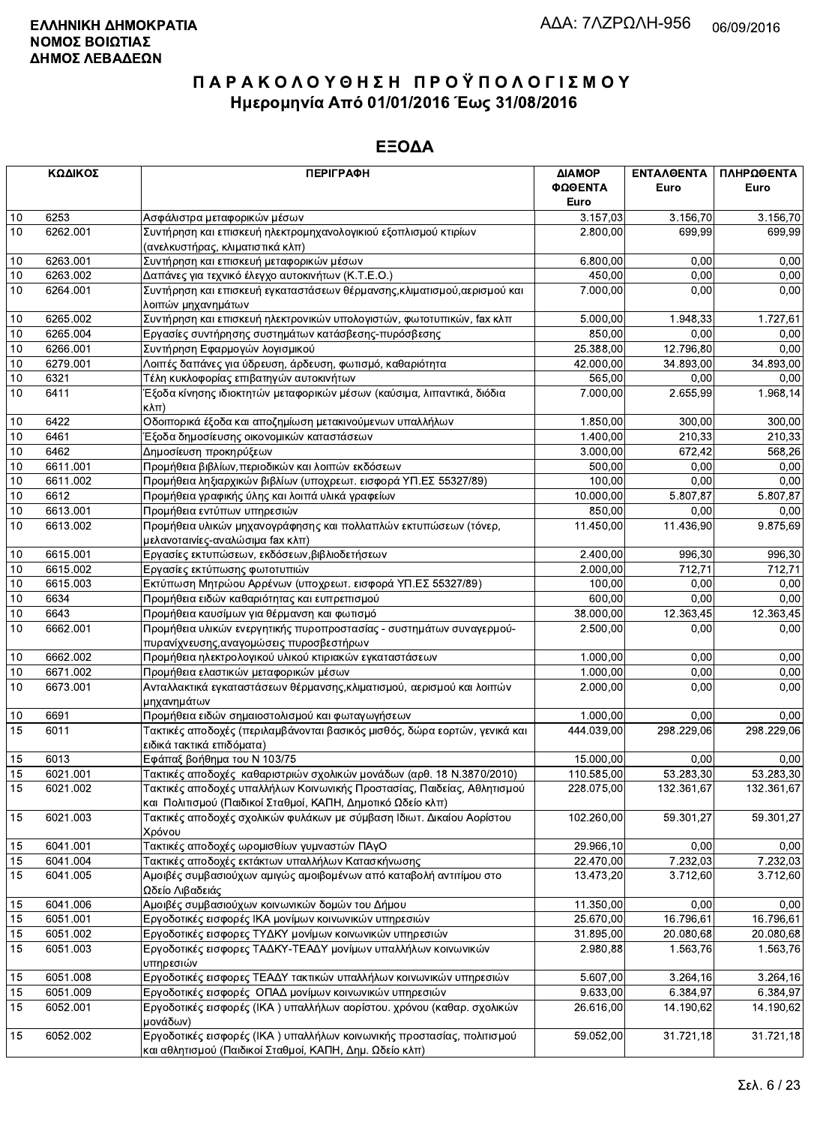|    | ΚΩΔΙΚΟΣ  | <b>ПЕРІГРАФН</b>                                                                                                                       | ΔΙΑΜΟΡ<br>ΦΩΘΕΝΤΑ<br>Euro | <b>ENTAΛΘΕΝΤΑ</b><br>Euro | ΠΛΗΡΩΘΕΝΤΑ<br>Euro |
|----|----------|----------------------------------------------------------------------------------------------------------------------------------------|---------------------------|---------------------------|--------------------|
| 10 | 6253     | Ασφάλιστρα μεταφορικών μέσων                                                                                                           | 3.157,03                  | 3.156,70                  | 3.156,70           |
| 10 | 6262.001 | Συντήρηση και επισκευή ηλεκτρομηχανολογικιού εξοπλισμού κτιρίων                                                                        | 2.800,00                  | 699.99                    | 699,99             |
|    |          | (ανελκυστήρας, κλιματιστικά κλπ)                                                                                                       |                           |                           |                    |
| 10 | 6263.001 | Συντήρηση και επισκευή μεταφορικών μέσων                                                                                               | 6.800,00                  | 0.00                      | 0,00               |
| 10 | 6263.002 | Δαπάνες για τεχνικό έλεγχο αυτοκινήτων (Κ.Τ.Ε.Ο.)                                                                                      | 450,00                    | 0,00                      | 0,00               |
| 10 | 6264.001 | Συντήρηση και επισκευή εγκαταστάσεων θέρμανσης, κλιματισμού, αερισμού και                                                              | 7.000,00                  | 0,00                      | 0,00               |
|    |          | λοιπών μηχανημάτων                                                                                                                     |                           |                           |                    |
| 10 | 6265.002 | Συντήρηση και επισκευή ηλεκτρονικών υπολογιστών, φωτοτυπικών, fax κλπ                                                                  | 5.000,00                  | 1.948,33                  | 1.727,61           |
| 10 | 6265.004 | Εργασίες συντήρησης συστημάτων κατάσβεσης-πυρόσβεσης                                                                                   | 850,00                    | 0,00                      | 0,00               |
| 10 | 6266.001 | Συντήρηση Εφαρμογών λογισμικού                                                                                                         | 25.388,00                 | 12.796.80                 | 0,00               |
| 10 | 6279.001 | Λοιπές δαπάνες για ύδρευση, άρδευση, φωτισμό, καθαριότητα                                                                              | 42.000,00                 | 34.893,00                 | 34.893,00          |
| 10 | 6321     | Τέλη κυκλοφορίας επιβατηγών αυτοκινήτων                                                                                                | 565,00                    | 0,00                      | 0,00               |
| 10 | 6411     | Έξοδα κίνησης ιδιοκτητών μεταφορικών μέσων (καύσιμα, λιπαντικά, διόδια                                                                 | 7.000,00                  | 2.655,99                  | 1.968,14           |
|    |          | $\kappa\lambda\pi$                                                                                                                     |                           |                           |                    |
| 10 | 6422     | Οδοιπορικά έξοδα και αποζημίωση μετακινούμενων υπαλλήλων                                                                               | 1.850,00                  | 300.00                    | 300,00             |
| 10 | 6461     | Έξοδα δημοσίευσης οικονομικών καταστάσεων                                                                                              | 1.400,00                  | 210,33                    | 210,33             |
| 10 | 6462     | Δημοσίευση προκηρύξεων                                                                                                                 | 3.000.00                  | 672,42                    | 568,26             |
| 10 | 6611.001 | Προμήθεια βιβλίων, περιοδικών και λοιπών εκδόσεων                                                                                      | 500,00                    | 0,00                      | 0,00               |
| 10 | 6611.002 | Προμήθεια ληξιαρχικών βιβλίων (υποχρεωτ. εισφορά ΥΠ.ΕΣ 55327/89)                                                                       | 100,00                    | 0.00                      | 0,00               |
| 10 | 6612     | Προμήθεια γραφικής ύλης και λοιπά υλικά γραφείων                                                                                       | 10.000,00                 | 5.807,87                  | 5.807,87           |
| 10 | 6613.001 | Προμήθεια εντύπων υπηρεσιών                                                                                                            | 850,00                    | 0,00                      | 0,00               |
| 10 | 6613.002 | Προμήθεια υλικών μηχανογράφησης και πολλαπλών εκτυπώσεων (τόνερ,                                                                       | 11.450,00                 | 11.436,90                 | 9.875,69           |
|    |          | μελανοταινίες-αναλώσιμα fax κλπ)                                                                                                       |                           |                           |                    |
| 10 | 6615.001 | Εργασίες εκτυπώσεων, εκδόσεων, βιβλιοδετήσεων                                                                                          | 2.400,00                  | 996.30                    | 996,30             |
| 10 | 6615.002 | Εργασίες εκτύπωσης φωτοτυπιών                                                                                                          | 2.000,00                  | 712.71                    | 712,71             |
| 10 | 6615.003 | Εκτύπωση Μητρώου Αρρένων (υποχρεωτ. εισφορά ΥΠ.ΕΣ 55327/89)                                                                            | 100,00                    | 0,00                      | 0,00               |
| 10 | 6634     | Προμήθεια ειδών καθαριότητας και ευπρεπισμού                                                                                           | 600,00                    | 0,00                      | 0,00               |
| 10 | 6643     | Προμήθεια καυσίμων για θέρμανση και φωτισμό                                                                                            | 38.000,00                 | 12.363,45                 | 12.363,45          |
| 10 | 6662.001 | Προμήθεια υλικών ενεργητικής πυροπροστασίας - συστημάτων συναγερμού-<br>πυρανίχνευσης, αναγομώσεις πυροσβεστήρων                       | 2.500,00                  | 0,00                      | 0,00               |
| 10 | 6662.002 | Προμήθεια ηλεκτρολογικού υλικού κτιριακών εγκαταστάσεων                                                                                | 1.000,00                  | 0.00                      | 0,00               |
| 10 | 6671.002 | Προμήθεια ελαστικών μεταφορικών μέσων                                                                                                  | 1.000,00                  | 0.00                      | 0,00               |
| 10 | 6673.001 | Ανταλλακτικά εγκαταστάσεων θέρμανσης,κλιματισμού, αερισμού και λοιπών                                                                  | 2.000,00                  | 0,00                      | 0,00               |
|    |          | μηχανημάτων                                                                                                                            |                           |                           |                    |
| 10 | 6691     | Προμήθεια ειδών σημαιοστολισμού και φωταγωγήσεων                                                                                       | 1.000,00                  | 0,00                      | 0,00               |
| 15 | 6011     | Τακτικές αποδοχές (περιλαμβάνονται βασικός μισθός, δώρα εορτών, γενικά και<br>ειδικά τακτικά επιδόματα)                                | 444.039,00                | 298.229,06                | 298.229,06         |
| 15 | 6013     | Εφάπαξ βοήθημα του Ν 103/75                                                                                                            | 15.000,00                 | 0,00                      | 0,00               |
| 15 | 6021.001 | Τακτικές αποδοχές καθαριστριών σχολικών μονάδων (αρθ. 18 Ν.3870/2010)                                                                  | 110.585,00                | 53.283,30                 | 53.283,30          |
| 15 | 6021.002 | Τακτικές αποδοχές υπαλλήλων Κοινωνικής Προστασίας, Παιδείας, Αθλητισμού<br>και Πολιτισμού (Παιδικοί Σταθμοί, ΚΑΠΗ, Δημοτικό Ωδείο κλπ) | 228.075,00                | 132.361,67                | 132.361,67         |
| 15 | 6021.003 | Τακτικές αποδοχές σχολικών φυλάκων με σύμβαση Ιδιωτ. Δικαίου Αορίστου<br>Χρόνου                                                        | 102.260,00                | 59.301,27                 | 59.301,27          |
| 15 | 6041.001 | Τακτικές αποδοχές ωρομισθίων γυμναστών ΠΑγΟ                                                                                            | 29.966,10                 | 0,00                      | 0,00               |
| 15 | 6041.004 | Τακτικές αποδοχές εκτάκτων υπαλλήλων Κατασκήνωσης                                                                                      | 22.470,00                 | 7.232,03                  | 7.232,03           |
| 15 | 6041.005 | Αμοιβές συμβασιούχων αμιγώς αμοιβομένων από καταβολή αντιτίμου στο<br>Ωδείο Λιβαδειάς                                                  | 13.473,20                 | 3.712,60                  | 3.712,60           |
| 15 | 6041.006 | Αμοιβές συμβασιούχων κοινωνικών δομών του Δήμου                                                                                        | 11.350,00                 | 0,00                      | 0,00               |
| 15 | 6051.001 | Εργοδοτικές εισφορές ΙΚΑ μονίμων κοινωνικών υπηρεσιών                                                                                  | 25.670,00                 | 16.796,61                 | 16.796,61          |
| 15 | 6051.002 | Εργοδοτικές εισφορες ΤΥΔΚΥ μονίμων κοινωνικών υπηρεσιών                                                                                | 31.895,00                 | 20.080,68                 | 20.080,68          |
| 15 | 6051.003 | Εργοδοτικές εισφορες ΤΑΔΚΥ-ΤΕΑΔΥ μονίμων υπαλλήλων κοινωνικών                                                                          | 2.980,88                  | 1.563,76                  | 1.563,76           |
|    |          | υπηρεσιών                                                                                                                              |                           |                           |                    |
| 15 | 6051.008 | Εργοδοτικές εισφορες ΤΕΑΔΥ τακτικών υπαλλήλων κοινωνικών υπηρεσιών                                                                     | 5.607,00                  | 3.264,16                  | 3.264,16           |
| 15 | 6051.009 | Εργοδοτικές εισφορές ΟΠΑΔ μονίμων κοινωνικών υπηρεσιών                                                                                 | 9.633,00                  | 6.384,97                  | 6.384,97           |
| 15 | 6052.001 | Εργοδοτικές εισφορές (ΙΚΑ) υπαλλήλων αορίστου. χρόνου (καθαρ. σχολικών<br>μονάδων)                                                     | 26.616,00                 | 14.190,62                 | 14.190,62          |
| 15 | 6052.002 | Εργοδοτικές εισφορές (ΙΚΑ) υπαλλήλων κοινωνικής προστασίας, πολιτισμού<br>και αθλητισμού (Παιδικοί Σταθμοί, ΚΑΠΗ, Δημ. Ωδείο κλπ)      | 59.052,00                 | 31.721,18                 | 31.721,18          |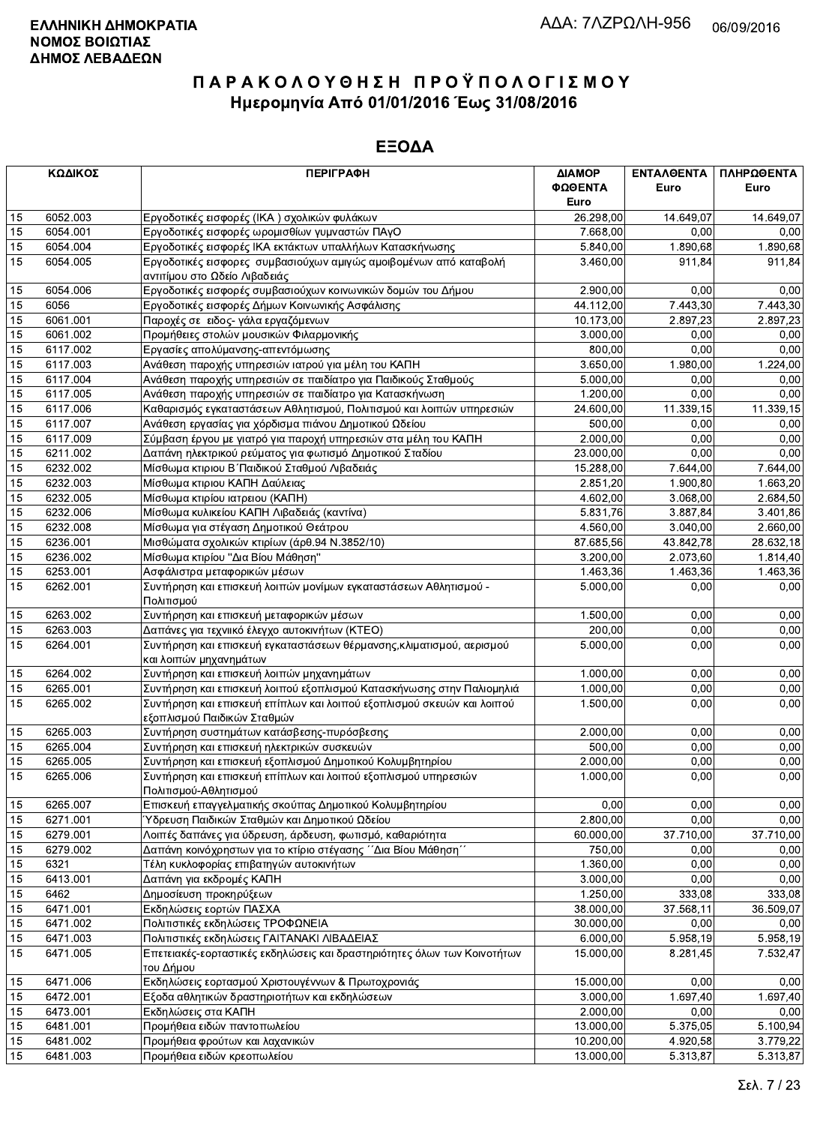|    | ΚΩΔΙΚΟΣ  | <b>ПЕРІГРАФН</b>                                                         | ΔΙΑΜΟΡ    | ΕΝΤΑΛΘΕΝΤΑ            | ΠΛΗΡΩΘΕΝΤΑ |
|----|----------|--------------------------------------------------------------------------|-----------|-----------------------|------------|
|    |          |                                                                          | ΦΩΘΕΝΤΑ   | Euro                  | Euro       |
|    |          |                                                                          | Euro      |                       |            |
| 15 | 6052.003 | Εργοδοτικές εισφορές (ΙΚΑ) σχολικών φυλάκων                              | 26.298,00 | 14.649,07             | 14.649,07  |
| 15 | 6054.001 | Εργοδοτικές εισφορές ωρομισθίων γυμναστών ΠΑγΟ                           | 7.668,00  | 0.00                  | 0,00       |
| 15 | 6054.004 | Εργοδοτικές εισφορές ΙΚΑ εκτάκτων υπαλλήλων Κατασκήνωσης                 | 5.840,00  | 1.890,68              | 1.890,68   |
| 15 | 6054.005 | Εργοδοτικές εισφορες συμβασιούχων αμιγώς αμοιβομένων από καταβολή        | 3.460,00  | 911,84                | 911,84     |
|    |          | αντιτίμου στο Ωδείο Λιβαδειάς                                            |           |                       |            |
| 15 | 6054.006 | Εργοδοτικές εισφορές συμβασιούχων κοινωνικών δομών του Δήμου             | 2.900,00  | 0,00                  | 0,00       |
| 15 | 6056     | Εργοδοτικές εισφορές Δήμων Κοινωνικής Ασφάλισης                          | 44.112,00 | 7.443,30              | 7.443,30   |
| 15 | 6061.001 | Παροχές σε ειδος- γάλα εργαζόμενων                                       | 10.173,00 | 2.897,23              | 2.897.23   |
| 15 | 6061.002 | Προμήθειες στολών μουσικών Φιλαρμονικής                                  | 3.000,00  | 0,00                  | 0,00       |
| 15 | 6117.002 | Εργασίες απολύμανσης-απεντόμωσης                                         | 800,00    | 0.00                  | 0.00       |
| 15 | 6117.003 | Ανάθεση παροχής υπηρεσιών ιατρού για μέλη του ΚΑΠΗ                       | 3.650,00  | 1.980,00              | 1.224,00   |
| 15 | 6117.004 | Ανάθεση παροχής υπηρεσιών σε παιδίατρο για Παιδικούς Σταθμούς            | 5.000,00  | 0,00                  | 0,00       |
| 15 | 6117.005 | Ανάθεση παροχής υπηρεσιών σε παιδίατρο για Κατασκήνωση                   | 1.200,00  | 0,00                  | 0,00       |
| 15 | 6117.006 | Καθαρισμός εγκαταστάσεων Αθλητισμού, Πολιτισμού και λοιπών υπηρεσιών     | 24.600,00 | 11.339,15             | 11.339,15  |
| 15 | 6117.007 | Ανάθεση εργασίας για χόρδισμα πιάνου Δημοτικού Ωδείου                    | 500,00    | 0,00                  | 0,00       |
| 15 | 6117.009 | Σύμβαση έργου με γιατρό για παροχή υπηρεσιών στα μέλη του ΚΑΠΗ           | 2.000,00  | 0,00                  | 0,00       |
| 15 | 6211.002 | Δαπάνη ηλεκτρικού ρεύματος για φωτισμό Δημοτικού Σταδίου                 | 23.000,00 | 0.00                  | 0,00       |
| 15 | 6232.002 | Μίσθωμα κτιριου Β΄ Παιδικού Σταθμού Λιβαδειάς                            | 15.288,00 | 7.644,00              | 7.644,00   |
| 15 | 6232.003 | Μίσθωμα κτιριου ΚΑΠΗ Δαύλειας                                            | 2.851,20  | 1.900, 80             | 1.663,20   |
| 15 | 6232.005 | Μίσθωμα κτιρίου ιατρειου (ΚΑΠΗ)                                          | 4.602,00  | 3.068,00              | 2.684,50   |
| 15 | 6232.006 | Μίσθωμα κυλικείου ΚΑΠΗ Λιβαδειάς (καντίνα)                               | 5.831,76  | 3.887,84              | 3.401,86   |
| 15 | 6232.008 | Μίσθωμα για στέγαση Δημοτικού Θεάτρου                                    | 4.560,00  | 3.040,00              | 2.660,00   |
| 15 | 6236.001 | Μισθώματα σχολικών κτιρίων (άρθ.94 Ν.3852/10)                            | 87.685,56 | 43.842,78             | 28.632,18  |
| 15 | 6236.002 | Μίσθωμα κτιρίου "Δια Βίου Μάθηση"                                        | 3.200,00  | $\overline{2.073,60}$ | 1.814,40   |
| 15 | 6253.001 | Ασφάλιστρα μεταφορικών μέσων                                             | 1.463,36  | 1.463,36              | 1.463,36   |
| 15 | 6262.001 | Συντήρηση και επισκευή λοιπών μονίμων εγκαταστάσεων Αθλητισμού -         | 5.000,00  | 0,00                  | 0,00       |
|    |          | Πολιτισμού                                                               |           |                       |            |
| 15 | 6263.002 | Συντήρηση και επισκευή μεταφορικών μέσων                                 | 1.500,00  | 0,00                  | 0,00       |
| 15 | 6263.003 | Δαπάνες για τεχνιικό έλεγχο αυτοκινήτων (ΚΤΕΟ)                           | 200,00    | 0,00                  | 0,00       |
| 15 | 6264.001 | Συντήρηση και επισκευή εγκαταστάσεων θέρμανσης, κλιματισμού, αερισμού    | 5.000,00  | 0,00                  | 0,00       |
|    |          | και λοιπών μηχανημάτων                                                   |           |                       |            |
| 15 | 6264.002 | Συντήρηση και επισκευή λοιπών μηχανημάτων                                | 1.000,00  | 0,00                  | 0,00       |
| 15 | 6265.001 | Συντήρηση και επισκευή λοιπού εξοπλισμού Κατασκήνωσης στην Παλιομηλιά    | 1.000,00  | 0,00                  | 0.00       |
| 15 | 6265.002 | Συντήρηση και επισκευή επίπλων και λοιπού εξοπλισμού σκευών και λοιπού   | 1.500,00  | 0,00                  | 0,00       |
|    |          | εξοπλισμού Παιδικών Σταθμών                                              |           |                       |            |
| 15 | 6265.003 | Συντήρηση συστημάτων κατάσβεσης-πυρόσβεσης                               | 2.000,00  | 0,00                  | 0,00       |
| 15 | 6265.004 | Συντήρηση και επισκευή ηλεκτρικών συσκευών                               | 500,00    | 0,00                  | 0,00       |
| 15 | 6265.005 | Συντήρηση και επισκευή εξοπλισμού Δημοτικού Κολυμβητηρίου                | 2.000,00  | 0,00                  | 0,00       |
| 15 | 6265.006 | Συντήρηση και επισκευή επίπλων και λοιπού εξοπλισμού υπηρεσιών           | 1.000,00  | 0,00                  | 0,00       |
|    |          | Πολιτισμού-Αθλητισμού                                                    |           |                       |            |
| 15 | 6265.007 | Επισκευή επαγγελματικής σκούπας Δημοτικού Κολυμβητηρίου                  | 0,00      | 0,00                  | 0,00       |
| 15 | 6271.001 | Ύδρευση Παιδικών Σταθμών και Δημοτικού Ωδείου                            | 2.800,00  | 0,00                  | 0,00       |
| 15 | 6279.001 | Λοιπές δαπάνες για ύδρευση, άρδευση, φωτισμό, καθαριότητα                | 60.000,00 | 37.710,00             | 37.710,00  |
| 15 | 6279.002 | Δαπάνη κοινόχρηστων για το κτίριο στέγασης ΄΄Δια Βίου Μάθηση΄΄           | 750,00    | 0,00                  | 0.00       |
| 15 | 6321     | Τέλη κυκλοφορίας επιβατηγών αυτοκινήτων                                  | 1.360,00  | 0.00                  | 0,00       |
| 15 | 6413.001 | Δαπάνη για εκδρομές ΚΑΠΗ                                                 | 3.000,00  | 0.00                  | 0,00       |
| 15 | 6462     | Δημοσίευση προκηρύξεων                                                   | 1.250,00  | 333,08                | 333,08     |
| 15 | 6471.001 | Εκδηλώσεις εορτών ΠΑΣΧΑ                                                  | 38.000,00 | 37.568,11             | 36.509,07  |
| 15 | 6471.002 | Πολιτιστικές εκδηλώσεις ΤΡΟΦΩΝΕΙΑ                                        | 30.000,00 | 0,00                  | 0,00       |
| 15 | 6471.003 | Πολιτιστικές εκδηλώσεις ΓΑΙΤΑΝΑΚΙ ΛΙΒΑΔΕΙΑΣ                              | 6.000,00  | 5.958, 19             | 5.958,19   |
| 15 | 6471.005 | Επετειακές-εορταστικές εκδηλώσεις και δραστηριότητες όλων των Κοινοτήτων | 15.000,00 | 8.281,45              | 7.532,47   |
|    |          | του Δήμου                                                                |           |                       |            |
| 15 | 6471.006 | Εκδηλώσεις εορτασμού Χριστουγέννων & Πρωτοχρονιάς                        | 15.000,00 | 0,00                  | 0,00       |
| 15 | 6472.001 | Εξοδα αθλητικών δραστηριοτήτων και εκδηλώσεων                            | 3.000,00  | 1.697,40              | 1.697,40   |
| 15 | 6473.001 | Εκδηλώσεις στα ΚΑΠΗ                                                      | 2.000,00  | 0,00                  | 0,00       |
| 15 | 6481.001 | Προμήθεια ειδών παντοπωλείου                                             | 13.000,00 | 5.375,05              | 5.100,94   |
| 15 | 6481.002 | Προμήθεια φρούτων και λαχανικών                                          | 10.200,00 | 4.920,58              | 3.779,22   |
| 15 | 6481.003 | Προμήθεια ειδών κρεοπωλείου                                              | 13.000,00 | 5.313,87              | 5.313,87   |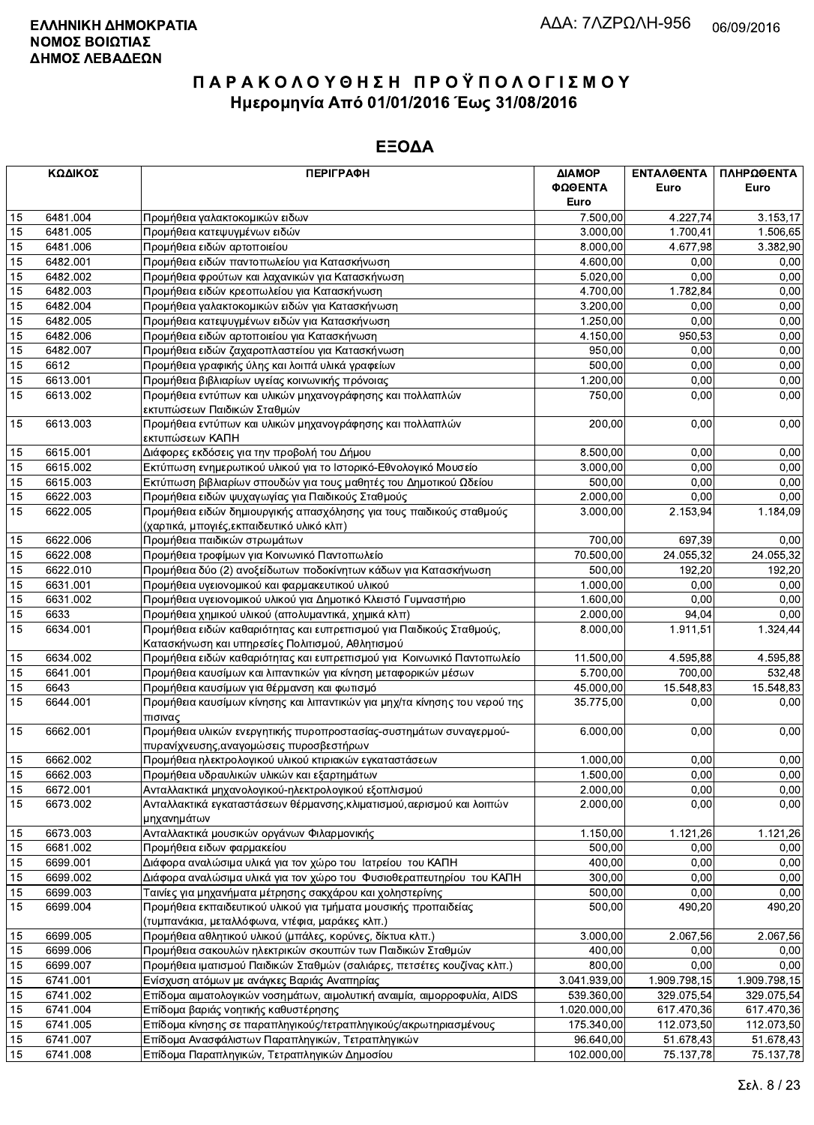|    | ΚΩΔΙΚΟΣ  | <b>ПЕРІГРАФН</b>                                                                                                   | ΔΙΑΜΟΡ          | ΕΝΤΑΛΘΕΝΤΑ   | ΠΛΗΡΩΘΕΝΤΑ   |
|----|----------|--------------------------------------------------------------------------------------------------------------------|-----------------|--------------|--------------|
|    |          |                                                                                                                    | ΦΩΘΕΝΤΑ<br>Euro | Euro         | Euro         |
| 15 | 6481.004 | Προμήθεια γαλακτοκομικών ειδων                                                                                     | 7.500,00        | 4.227,74     | 3.153,17     |
| 15 | 6481.005 | Προμήθεια κατεψυγμένων ειδών                                                                                       | 3.000,00        | 1.700.41     | 1.506,65     |
| 15 | 6481.006 | Προμήθεια ειδών αρτοποιείου                                                                                        | 8.000,00        | 4.677,98     | 3.382,90     |
| 15 | 6482.001 | Προμήθεια ειδών παντοπωλείου για Κατασκήνωση                                                                       | 4.600,00        | 0,00         | 0,00         |
| 15 | 6482.002 | Προμήθεια φρούτων και λαχανικών για Κατασκήνωση                                                                    | 5.020,00        | 0,00         | 0,00         |
| 15 | 6482.003 | Προμήθεια ειδών κρεοπωλείου για Κατασκήνωση                                                                        | 4.700,00        | 1.782,84     | 0,00         |
| 15 | 6482.004 | Προμήθεια γαλακτοκομικών ειδών για Κατασκήνωση                                                                     | 3.200,00        | 0,00         | 0,00         |
| 15 | 6482.005 | Προμήθεια κατεψυγμένων ειδών για Κατασκήνωση                                                                       | 1.250,00        | 0,00         | 0,00         |
| 15 | 6482.006 | Προμήθεια ειδών αρτοποιείου για Κατασκήνωση                                                                        | 4.150,00        | 950,53       | 0,00         |
| 15 | 6482.007 | Προμήθεια ειδών ζαχαροπλαστείου για Κατασκήνωση                                                                    | 950,00          | 0,00         | 0,00         |
| 15 | 6612     | Προμήθεια γραφικής ύλης και λοιπά υλικά γραφείων                                                                   | 500,00          | 0,00         | 0,00         |
| 15 | 6613.001 | Προμήθεια βιβλιαρίων υγείας κοινωνικής πρόνοιας                                                                    | 1.200,00        | 0,00         | 0,00         |
| 15 | 6613.002 | Προμήθεια εντύπων και υλικών μηχανογράφησης και πολλαπλών                                                          | 750,00          | 0,00         | 0,00         |
|    |          | εκτυπώσεων Παιδικών Σταθμών                                                                                        |                 |              |              |
| 15 | 6613.003 | Προμήθεια εντύπων και υλικών μηχανογράφησης και πολλαπλών                                                          | 200,00          | 0,00         | 0,00         |
|    |          | εκτυπώσεων ΚΑΠΗ                                                                                                    |                 |              |              |
| 15 | 6615.001 | Διάφορες εκδόσεις για την προβολή του Δήμου                                                                        | 8.500,00        | 0,00         | 0,00         |
| 15 | 6615.002 | Εκτύπωση ενημερωτικού υλικού για το Ιστορικό-Εθνολογικό Μουσείο                                                    | 3.000,00        | 0,00         | 0,00         |
| 15 | 6615.003 | Εκτύπωση βιβλιαρίων σπουδών για τους μαθητές του Δημοτικού Ωδείου                                                  | 500,00          | 0,00         | 0,00         |
| 15 | 6622.003 | Προμήθεια ειδών ψυχαγωγίας για Παιδικούς Σταθμούς                                                                  | 2.000,00        | 0.00         | 0,00         |
| 15 | 6622.005 | Προμήθεια ειδών δημιουργικής απασχόλησης για τους παιδικούς σταθμούς                                               | 3.000,00        | 2.153,94     | 1.184,09     |
|    |          | (χαρτικά, μπογιές, εκπαιδευτικό υλικό κλπ)                                                                         |                 |              |              |
| 15 | 6622.006 | Προμήθεια παιδικών στρωμάτων                                                                                       | 700,00          | 697,39       | 0,00         |
| 15 | 6622.008 | Προμήθεια τροφίμων για Κοινωνικό Παντοπωλείο                                                                       | 70.500,00       | 24.055,32    | 24.055,32    |
| 15 | 6622.010 | Προμήθεια δύο (2) ανοξείδωτων ποδοκίνητων κάδων για Κατασκήνωση                                                    | 500,00          | 192,20       | 192,20       |
| 15 | 6631.001 | Προμήθεια υγειονομικού και φαρμακευτικού υλικού                                                                    | 1.000,00        | 0,00         | 0,00         |
| 15 | 6631.002 | Προμήθεια υγειονομικού υλικού για Δημοτικό Κλειστό Γυμναστήριο                                                     | 1.600,00        | 0,00         | 0,00         |
| 15 | 6633     | Προμήθεια χημικού υλικού (απολυμαντικά, χημικά κλπ)                                                                | 2.000,00        | 94,04        | 0,00         |
| 15 | 6634.001 | Προμήθεια ειδών καθαριότητας και ευπρεπισμού για Παιδικούς Σταθμούς,                                               | 8.000,00        | 1.911,51     | 1.324,44     |
|    |          | Κατασκήνωση και υπηρεσίες Πολιτισμού, Αθλητισμού                                                                   |                 |              |              |
| 15 | 6634.002 | Προμήθεια ειδών καθαριότητας και ευπρεπισμού για Κοινωνικό Παντοπωλείο                                             | 11.500,00       | 4.595,88     | 4.595,88     |
| 15 | 6641.001 | Προμήθεια καυσίμων και λιπαντικών για κίνηση μεταφορικών μέσων                                                     | 5.700,00        | 700,00       | 532,48       |
| 15 | 6643     | Προμήθεια καυσίμων για θέρμανση και φωτισμό                                                                        | 45.000,00       | 15.548,83    | 15.548,83    |
| 15 | 6644.001 | Προμήθεια καυσίμων κίνησης και λιπαντικών για μηχ/τα κίνησης του νερού της<br>πισινας                              | 35.775,00       | 0,00         | 0,00         |
| 15 | 6662.001 | Προμήθεια υλικών ενεργητικής πυροπροστασίας-συστημάτων συναγερμού-<br>πυρανίχνευσης, αναγομώσεις πυροσβεστήρων     | 6.000.00        | 0,00         | 0,00         |
| 15 | 6662.002 | Προμήθεια ηλεκτρολογικού υλικού κτιριακών εγκαταστάσεων                                                            | 1.000,00        | 0,00         | 0,00         |
| 15 | 6662.003 | Προμήθεια υδραυλικών υλικών και εξαρτημάτων                                                                        | 1.500,00        | 0.00         | 0,00         |
| 15 | 6672.001 | Ανταλλακτικά μηχανολογικού-ηλεκτρολογικού εξοπλισμού                                                               | 2.000,00        | 0,00         | 0,00         |
| 15 | 6673.002 | Ανταλλακτικά εγκαταστάσεων θέρμανσης, κλιματισμού, αερισμού και λοιπών<br>μηχανημάτων                              | 2.000,00        | 0,00         | 0,00         |
| 15 | 6673.003 | Ανταλλακτικά μουσικών οργάνων Φιλαρμονικής                                                                         | 1.150,00        | 1.121,26     | 1.121,26     |
| 15 | 6681.002 | Προμήθεια ειδων φαρμακείου                                                                                         | 500,00          | 0,00         | 0,00         |
| 15 | 6699.001 | Διάφορα αναλώσιμα υλικά για τον χώρο του Ιατρείου του ΚΑΠΗ                                                         | 400.00          | 0,00         | 0,00         |
| 15 | 6699.002 | Διάφορα αναλώσιμα υλικά για τον χώρο του Φυσιοθεραπευτηρίου του ΚΑΠΗ                                               | 300,00          | 0,00         | 0,00         |
| 15 | 6699.003 | Ταινίες για μηχανήματα μέτρησης σακχάρου και χοληστερίνης                                                          | 500,00          | 0,00         | 0,00         |
| 15 | 6699.004 | Προμήθεια εκπαιδευτικού υλικού για τμήματα μουσικής προπαιδείας<br>(τυμπανάκια, μεταλλόφωνα, ντέφια, μαράκες κλπ.) | 500,00          | 490,20       | 490,20       |
| 15 | 6699.005 | Προμήθεια αθλητικού υλικού (μπάλες, κορύνες, δίκτυα κλπ.)                                                          | 3.000,00        | 2.067,56     | 2.067,56     |
| 15 | 6699.006 | Προμήθεια σακουλών ηλεκτρικών σκουπών των Παιδικών Σταθμών                                                         | 400,00          | 0,00         | 0,00         |
| 15 | 6699.007 | Προμήθεια ιματισμού Παιδικών Σταθμών (σαλιάρες, πετσέτες κουζίνας κλπ.)                                            | 800,00          | 0,00         | 0,00         |
| 15 | 6741.001 | Ενίσχυση ατόμων με ανάγκες Βαριάς Αναπηρίας                                                                        | 3.041.939,00    | 1.909.798,15 | 1.909.798,15 |
| 15 | 6741.002 | Επίδομα αιματολογικών νοσημάτων, αιμολυτική αναιμία, αιμορροφυλία, AIDS                                            | 539.360,00      | 329.075,54   | 329.075,54   |
| 15 | 6741.004 | Επίδομα βαριάς νοητικής καθυστέρησης                                                                               | 1.020.000,00    | 617.470,36   | 617.470,36   |
| 15 | 6741.005 | Επίδομα κίνησης σε παραπληγικούς/τετραπληγικούς/ακρωτηριασμένους                                                   | 175.340,00      | 112.073,50   | 112.073,50   |
| 15 | 6741.007 | Επίδομα Ανασφάλιστων Παραπληγικών, Τετραπληγικών                                                                   | 96.640,00       | 51.678,43    | 51.678,43    |
| 15 | 6741.008 | Επίδομα Παραπληγικών, Τετραπληγικών Δημοσίου                                                                       | 102.000,00      | 75.137,78    | 75.137,78    |
|    |          |                                                                                                                    |                 |              |              |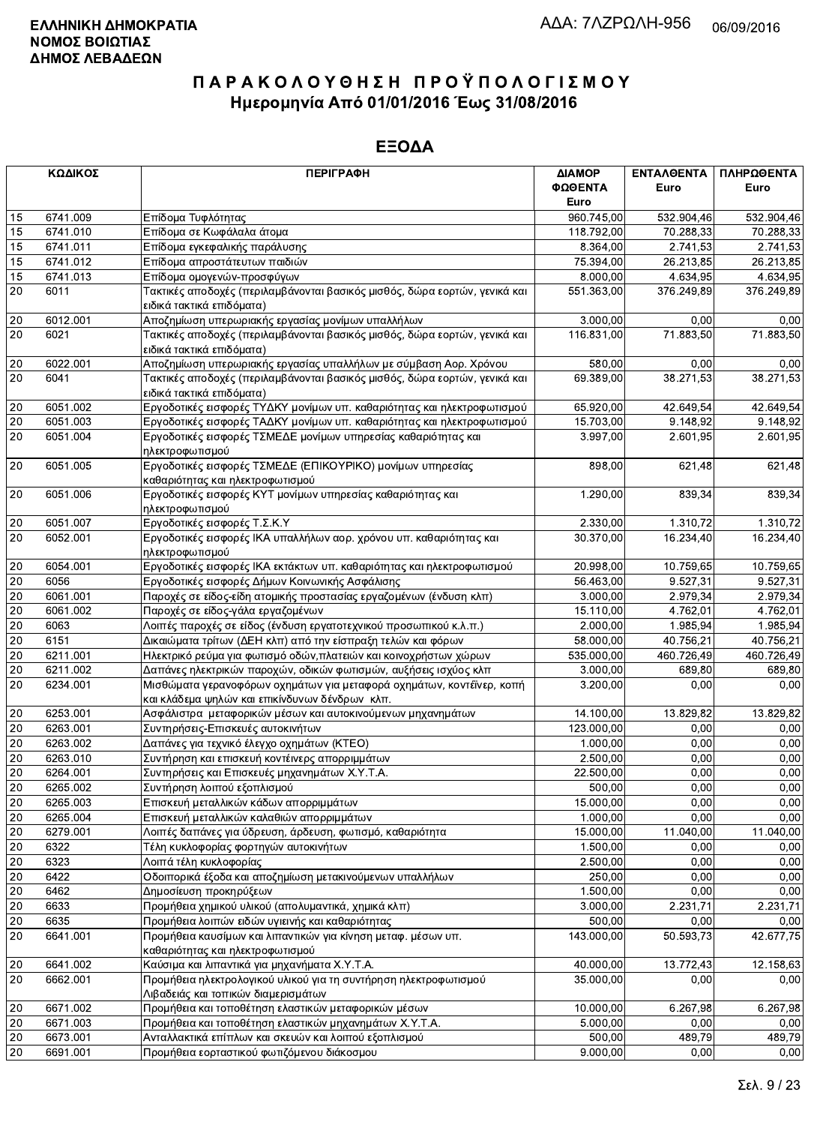|        | ΚΩΔΙΚΟΣ  | <b>ПЕРІГРАФН</b>                                                                                                        | ΔΙΑΜΟΡ<br>ΦΩΘΕΝΤΑ | ΕΝΤΑΛΘΕΝΤΑ<br>Euro | ΠΛΗΡΩΘΕΝΤΑ<br>Euro |
|--------|----------|-------------------------------------------------------------------------------------------------------------------------|-------------------|--------------------|--------------------|
|        |          |                                                                                                                         | Euro              |                    |                    |
| 15     | 6741.009 | Επίδομα Τυφλότητας                                                                                                      | 960.745,00        | 532.904,46         | 532.904,46         |
| 15     | 6741.010 | Επίδομα σε Κωφάλαλα άτομα                                                                                               | 118.792,00        | 70.288,33          | 70.288,33          |
| 15     | 6741.011 | Επίδομα εγκεφαλικής παράλυσης                                                                                           | 8.364,00          | 2.741,53           | 2.741,53           |
| 15     | 6741.012 | Επίδομα απροστάτευτων παιδιών                                                                                           | 75.394.00         | 26.213,85          | 26.213,85          |
| 15     | 6741.013 | Επίδομα ομογενών-προσφύγων                                                                                              | 8.000,00          | 4.634,95           | 4.634,95           |
| 20     | 6011     | Τακτικές αποδοχές (περιλαμβάνονται βασικός μισθός, δώρα εορτών, γενικά και<br>ειδικά τακτικά επιδόματα)                 | 551.363,00        | 376.249,89         | 376.249,89         |
| 20     | 6012.001 | Αποζημίωση υπερωριακής εργασίας μονίμων υπαλλήλων                                                                       | 3.000,00          | 0,00               | 0,00               |
| 20     | 6021     | Τακτικές αποδοχές (περιλαμβάνονται βασικός μισθός, δώρα εορτών, γενικά και<br>ειδικά τακτικά επιδόματα)                 | 116.831,00        | 71.883,50          | 71.883,50          |
| 20     | 6022.001 | Αποζημίωση υπερωριακής εργασίας υπαλλήλων με σύμβαση Αορ. Χρόνου                                                        | 580,00            | 0,00               | 0,00               |
| 20     | 6041     | Τακτικές αποδοχές (περιλαμβάνονται βασικός μισθός, δώρα εορτών, γενικά και<br>ειδικά τακτικά επιδόματα)                 | 69.389,00         | 38.271,53          | 38.271,53          |
| 20     | 6051.002 | Εργοδοτικές εισφορές ΤΥΔΚΥ μονίμων υπ. καθαριότητας και ηλεκτροφωτισμού                                                 | 65.920,00         | 42.649,54          | 42.649,54          |
| $20\,$ | 6051.003 | Εργοδοτικές εισφορές ΤΑΔΚΥ μονίμων υπ. καθαριότητας και ηλεκτροφωτισμού                                                 | 15.703,00         | 9.148,92           | 9.148,92           |
| 20     | 6051.004 | Εργοδοτικές εισφορές ΤΣΜΕΔΕ μονίμων υπηρεσίας καθαριότητας και<br>ηλεκτροφωτισμού                                       | 3.997,00          | 2.601,95           | 2.601,95           |
| 20     | 6051.005 | Εργοδοτικές εισφορές ΤΣΜΕΔΕ (ΕΠΙΚΟΥΡΙΚΟ) μονίμων υπηρεσίας<br>καθαριότητας και ηλεκτροφωτισμού                          | 898,00            | 621,48             | 621,48             |
| 20     | 6051.006 | Εργοδοτικές εισφορές ΚΥΤ μονίμων υπηρεσίας καθαριότητας και<br>ηλεκτροφωτισμού                                          | 1.290,00          | 839,34             | 839,34             |
| 20     | 6051.007 | Εργοδοτικές εισφορές Τ.Σ.Κ.Υ                                                                                            | 2.330,00          | 1.310,72           | 1.310,72           |
| 20     | 6052.001 | Εργοδοτικές εισφορές ΙΚΑ υπαλλήλων αορ. χρόνου υπ. καθαριότητας και                                                     | 30.370,00         | 16.234,40          | 16.234,40          |
| 20     | 6054.001 | ηλεκτροφωτισμού<br>Εργοδοτικές εισφορές ΙΚΑ εκτάκτων υπ. καθαριότητας και ηλεκτροφωτισμού                               | 20.998,00         | 10.759,65          | 10.759,65          |
| 20     | 6056     | Εργοδοτικές εισφορές Δήμων Κοινωνικής Ασφάλισης                                                                         | 56.463,00         | 9.527,31           | 9.527,31           |
| 20     | 6061.001 | Παροχές σε είδος-είδη ατομικής προστασίας εργαζομένων (ένδυση κλπ)                                                      | 3.000,00          | 2.979,34           | 2.979,34           |
| $20\,$ | 6061.002 | Παροχές σε είδος-γάλα εργαζομένων                                                                                       | 15.110,00         | 4.762,01           | 4.762,01           |
| 20     | 6063     | Λοιπές παροχές σε είδος (ένδυση εργατοτεχνικού προσωπικού κ.λ.π.)                                                       | 2.000,00          | 1.985,94           | 1.985,94           |
| $20\,$ | 6151     | Δικαιώματα τρίτων (ΔΕΗ κλπ) από την είσπραξη τελών και φόρων                                                            | 58.000,00         | 40.756,21          | 40.756,21          |
| 20     | 6211.001 | Ηλεκτρικό ρεύμα για φωτισμό οδών, πλατειών και κοινοχρήστων χώρων                                                       | 535.000,00        | 460.726,49         | 460.726,49         |
| 20     | 6211.002 | Δαπάνες ηλεκτρικών παροχών, οδικών φωτισμών, αυξήσεις ισχύος κλπ                                                        | 3.000,00          | 689,80             | 689,80             |
| 20     | 6234.001 | Μισθώματα γερανοφόρων οχημάτων για μεταφορά οχημάτων, κοντέϊνερ, κοπή<br>και κλάδεμα ψηλών και επικίνδυνων δένδρων κλπ. | 3.200,00          | 0,00               | 0,00               |
| 20     | 6253.001 | Ασφάλιστρα μεταφορικών μέσων και αυτοκινούμενων μηχανημάτων                                                             | 14.100,00         | 13.829,82          | 13.829,82          |
| 20     | 6263.001 | Συντηρήσεις-Επισκευές αυτοκινήτων                                                                                       | 123.000,00        | 0,00               | 0,00               |
| 20     | 6263.002 | Δαπάνες για τεχνικό έλεγχο οχημάτων (ΚΤΕΟ)                                                                              | 1.000,00          | 0,00               | 0,00               |
| 20     | 6263.010 | Συντήρηση και επισκευή κοντέινερς απορριμμάτων                                                                          | 2.500,00          | 0,00               | 0,00               |
| 20     | 6264.001 | Συντηρήσεις και Επισκευές μηχανημάτων Χ.Υ.Τ.Α.                                                                          | 22.500,00         | 0,00               | 0,00               |
| $20\,$ | 6265.002 | Συντήρηση λοιπού εξοπλισμού                                                                                             | 500,00            | 0,00               | 0,00               |
| 20     | 6265.003 | Επισκευή μεταλλικών κάδων απορριμμάτων                                                                                  | 15.000,00         | 0,00               | 0,00               |
| 20     | 6265.004 | Επισκευή μεταλλικών καλαθιών απορριμμάτων                                                                               | 1.000,00          | 0,00               | 0,00               |
| $20\,$ | 6279.001 | Λοιπές δαπάνες για ύδρευση, άρδευση, φωτισμό, καθαριότητα                                                               | 15.000,00         | 11.040,00          | 11.040,00          |
| 20     | 6322     | Τέλη κυκλοφορίας φορτηγών αυτοκινήτων                                                                                   | 1.500,00          | 0,00               | 0,00               |
| 20     | 6323     | Λοιπά τέλη κυκλοφορίας                                                                                                  | 2.500,00          | 0,00               | 0,00               |
| 20     | 6422     | Οδοιπορικά έξοδα και αποζημίωση μετακινούμενων υπαλλήλων                                                                | 250,00            | 0,00               | 0,00               |
| 20     | 6462     | Δημοσίευση προκηρύξεων                                                                                                  | 1.500,00          | 0,00               | 0,00               |
| 20     | 6633     | Προμήθεια χημικού υλικού (απολυμαντικά, χημικά κλπ)                                                                     | 3.000,00          | 2.231,71           | 2.231,71           |
| 20     | 6635     | Προμήθεια λοιπών ειδών υγιεινής και καθαριότητας                                                                        | 500,00            | 0,00               | 0,00               |
| 20     | 6641.001 | Προμήθεια καυσίμων και λιπαντικών για κίνηση μεταφ. μέσων υπ.                                                           | 143.000,00        | 50.593,73          | 42.677,75          |
| 20     | 6641.002 | καθαριότητας και ηλεκτροφωτισμού<br>Καύσιμα και λιπαντικά για μηχανήματα Χ.Υ.Τ.Α.                                       | 40.000,00         | 13.772,43          | 12.158,63          |
| 20     | 6662.001 | Προμήθεια ηλεκτρολογικού υλικού για τη συντήρηση ηλεκτροφωτισμού                                                        | 35.000,00         | 0,00               | 0,00               |
|        |          | Λιβαδειάς και τοπικών διαμερισμάτων                                                                                     |                   |                    |                    |
| 20     | 6671.002 | Προμήθεια και τοποθέτηση ελαστικών μεταφορικών μέσων                                                                    | 10.000,00         | 6.267,98           | 6.267,98           |
| 20     | 6671.003 | Προμήθεια και τοποθέτηση ελαστικών μηχανημάτων Χ.Υ.Τ.Α.                                                                 | 5.000,00          | 0,00               | 0,00               |
| 20     | 6673.001 | Ανταλλακτικά επίπλων και σκευών και λοιπού εξοπλισμού                                                                   | 500,00            | 489,79             | 489,79             |
| 20     | 6691.001 | Προμήθεια εορταστικού φωτιζόμενου διάκοσμου                                                                             | 9.000,00          | 0,00               | 0,00               |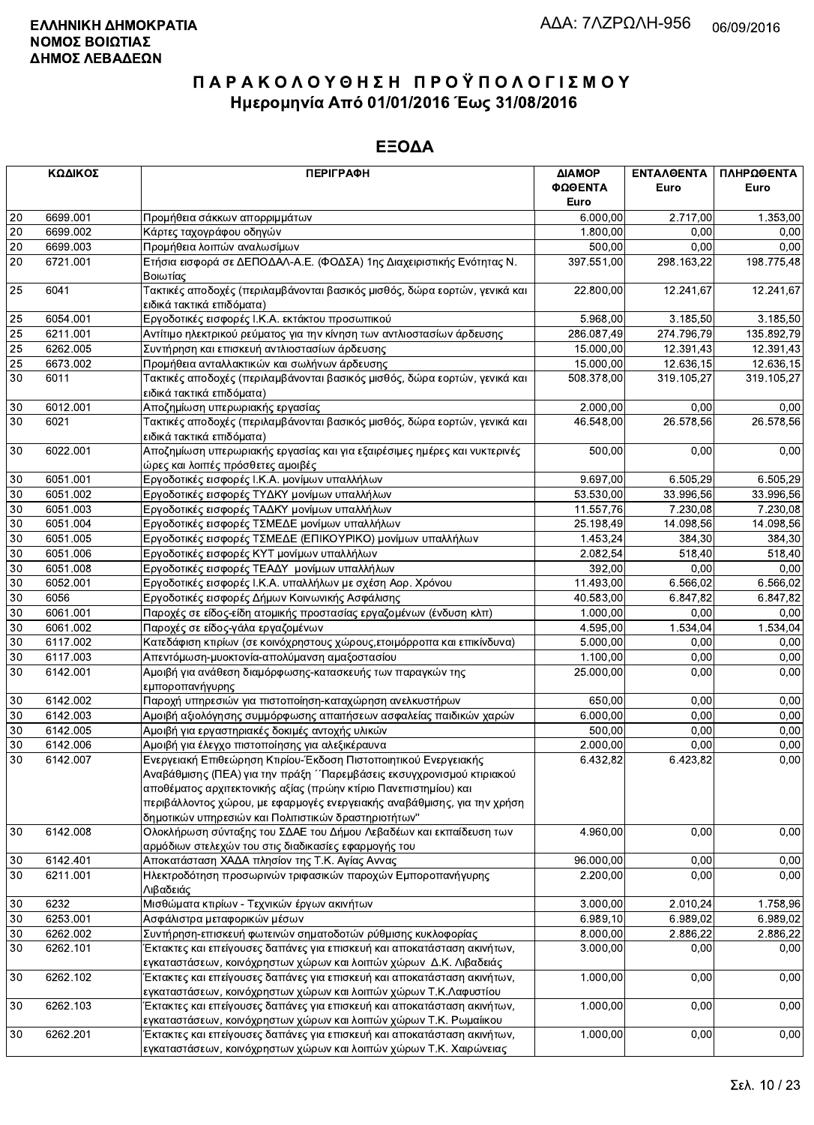|        | ΚΩΔΙΚΟΣ              | <b>ПЕРІГРАФН</b>                                                                                                                             | ΔΙΑΜΟΡ<br>ΦΩΘΕΝΤΑ     | ΕΝΤΑΛΘΕΝΤΑ<br>Euro | ΠΛΗΡΩΘΕΝΤΑ<br>Euro |
|--------|----------------------|----------------------------------------------------------------------------------------------------------------------------------------------|-----------------------|--------------------|--------------------|
|        |                      |                                                                                                                                              | Euro                  |                    |                    |
| 20     | 6699.001             | Προμήθεια σάκκων απορριμμάτων                                                                                                                | 6.000,00              | 2.717,00           | 1.353,00           |
| 20     | 6699.002             | Κάρτες ταχογράφου οδηγών                                                                                                                     | 1.800,00              | 0.00               | 0,00               |
| 20     | 6699.003             | Προμήθεια λοιπών αναλωσίμων                                                                                                                  | 500.00                | 0,00               | 0,00               |
| 20     | 6721.001             | Ετήσια εισφορά σε ΔΕΠΟΔΑΛ-Α.Ε. (ΦΟΔΣΑ) 1ης Διαχειριστικής Ενότητας Ν.<br>Βοιωτίας                                                            | 397.551,00            | 298.163,22         | 198.775,48         |
| 25     | 6041                 | Τακτικές αποδοχές (περιλαμβάνονται βασικός μισθός, δώρα εορτών, γενικά και<br>ειδικά τακτικά επιδόματα)                                      | 22.800,00             | 12.241,67          | 12.241,67          |
| 25     | 6054.001             | Εργοδοτικές εισφορές Ι.Κ.Α. εκτάκτου προσωπικού                                                                                              | 5.968,00              | 3.185,50           | 3.185,50           |
| 25     | 6211.001             | Αντίτιμο ηλεκτρικού ρεύματος για την κίνηση των αντλιοστασίων άρδευσης                                                                       | 286.087,49            | 274.796,79         | 135.892,79         |
| 25     | 6262.005             | Συντήρηση και επισκευή αντλιοστασίων άρδευσης                                                                                                | 15.000,00             | 12.391,43          | 12.391,43          |
| 25     | 6673.002             | Προμήθεια ανταλλακτικών και σωλήνων άρδευσης                                                                                                 | 15.000,00             | 12.636,15          | 12.636,15          |
| 30     | 6011                 | Τακτικές αποδοχές (περιλαμβάνονται βασικός μισθός, δώρα εορτών, γενικά και<br>ειδικά τακτικά επιδόματα)                                      | 508.378,00            | 319.105,27         | 319.105,27         |
| $30\,$ | 6012.001             | Αποζημίωση υπερωριακής εργασίας                                                                                                              | 2.000,00              | 0.00               | 0,00               |
| 30     | 6021                 | Τακτικές αποδοχές (περιλαμβάνονται βασικός μισθός, δώρα εορτών, γενικά και<br>ειδικά τακτικά επιδόματα)                                      | 46.548,00             | 26.578,56          | 26.578,56          |
| 30     | 6022.001             | Αποζημίωση υπερωριακής εργασίας και για εξαιρέσιμες ημέρες και νυκτερινές<br>ώρες και λοιπές πρόσθετες αμοιβές                               | 500,00                | 0,00               | 0,00               |
| 30     | 6051.001             | Εργοδοτικές εισφορές Ι.Κ.Α. μονίμων υπαλλήλων                                                                                                | 9.697,00              | 6.505,29           | 6.505,29           |
| 30     | 6051.002             | Εργοδοτικές εισφορές ΤΥΔΚΥ μονίμων υπαλλήλων                                                                                                 | 53.530,00             | 33.996,56          | 33.996,56          |
| 30     | 6051.003             | Εργοδοτικές εισφορές ΤΑΔΚΥ μονίμων υπαλλήλων                                                                                                 | 11.557,76             | 7.230,08           | 7.230,08           |
| 30     | 6051.004             | Εργοδοτικές εισφορές ΤΣΜΕΔΕ μονίμων υπαλλήλων                                                                                                | 25.198,49             | 14.098.56          | 14.098,56          |
| 30     | 6051.005             | Εργοδοτικές εισφορές ΤΣΜΕΔΕ (ΕΠΙΚΟΥΡΙΚΟ) μονίμων υπαλλήλων                                                                                   | 1.453.24              | 384,30             | 384,30             |
| 30     | 6051.006             | Εργοδοτικές εισφορές ΚΥΤ μονίμων υπαλλήλων                                                                                                   | 2.082,54              | 518,40             | 518,40             |
| 30     | 6051.008             | Εργοδοτικές εισφορές ΤΕΑΔΥ μονίμων υπαλλήλων                                                                                                 | 392,00                | 0,00               | 0,00               |
| 30     | 6052.001             | Εργοδοτικές εισφορές Ι.Κ.Α. υπαλλήλων με σχέση Αορ. Χρόνου                                                                                   | 11.493,00             | 6.566,02           | 6.566,02           |
| 30     | 6056                 | Εργοδοτικές εισφορές Δήμων Κοινωνικής Ασφάλισης                                                                                              | 40.583,00             | 6.847,82           | 6.847,82           |
| 30     | 6061.001             | Παροχές σε είδος-είδη ατομικής προστασίας εργαζομένων (ένδυση κλπ)                                                                           | 1.000,00              | 0,00               | 0,00               |
| 30     | 6061.002             | Παροχές σε είδος-γάλα εργαζομένων                                                                                                            | 4.595,00              | 1.534,04           | 1.534,04           |
| 30     | 6117.002             | Κατεδάφιση κτιρίων (σε κοινόχρηστους χώρους, ετοιμόρροπα και επικίνδυνα)                                                                     | 5.000,00              | 0,00               | 0,00               |
| 30     | 6117.003             | Απεντόμωση-μυοκτονία-απολύμανση αμαξοστασίου                                                                                                 | 1.100,00              | 0.00               | 0,00               |
| 30     | 6142.001             | Αμοιβή για ανάθεση διαμόρφωσης-κατασκευής των παραγκών της                                                                                   | 25.000,00             | 0,00               | 0,00               |
|        |                      | εμποροπανήγυρης                                                                                                                              |                       |                    |                    |
| 30     | 6142.002             | Παροχή υπηρεσιών για πιστοποίηση-καταχώρηση ανελκυστήρων                                                                                     | 650,00                | 0,00               | 0,00               |
| 30     | 6142.003             | Αμοιβή αξιολόγησης συμμόρφωσης απαιτήσεων ασφαλείας παιδικών χαρών                                                                           | 6.000,00              | 0,00               | 0,00               |
| 30     | 6142.005             | Αμοιβή για εργαστηριακές δοκιμές αντοχής υλικών                                                                                              | 500,00                | 0,00               | 0,00               |
| 30     | 6142.006             | Αμοιβή για έλεγχο πιστοποίησης για αλεξικέραυνα                                                                                              | 2.000,00              | 0,00               | 0,00               |
| 30     | 6142.007             | Ενεργειακή Επιθεώρηση Κτιρίου-Έκδοση Πιστοποιητικού Ενεργειακής                                                                              | 6.432,82              | 6.423,82           | 0,00               |
|        |                      | Αναβάθμισης (ΠΕΑ) για την πράξη ΄ Παρεμβάσεις εκσυγχρονισμού κτιριακού                                                                       |                       |                    |                    |
|        |                      | αποθέματος αρχιτεκτονικής αξίας (πρώην κτίριο Πανεπιστημίου) και                                                                             |                       |                    |                    |
|        |                      | περιβάλλοντος χώρου, με εφαρμογές ενεργειακής αναβάθμισης, για την χρήση                                                                     |                       |                    |                    |
|        |                      | δημοτικών υπηρεσιών και Πολιτιστικών δραστηριοτήτων"                                                                                         |                       |                    |                    |
| 30     | 6142.008             | Ολοκλήρωση σύνταξης του ΣΔΑΕ του Δήμου Λεβαδέων και εκπαίδευση των                                                                           | 4.960,00              | 0,00               | 0,00               |
|        |                      | αρμόδιων στελεχών του στις διαδικασίες εφαρμογής του                                                                                         |                       |                    |                    |
| 30     | 6142.401             | Αποκατάσταση ΧΑΔΑ πλησίον της Τ.Κ. Αγίας Αννας                                                                                               | 96.000,00             | 0,00               | 0,00               |
| 30     | 6211.001             | Ηλεκτροδότηση προσωρινών τριφασικών παροχών Εμποροπανήγυρης                                                                                  | 2.200,00              | 0.00               | 0,00               |
| 30     | 6232                 | Λιβαδειάς<br>Μισθώματα κτιρίων - Τεχνικών έργων ακινήτων                                                                                     | 3.000,00              |                    | 1.758,96           |
|        |                      |                                                                                                                                              |                       | 2.010,24           |                    |
| 30     | 6253.001<br>6262.002 | Ασφάλιστρα μεταφορικών μέσων<br>Συντήρηση-επισκευή φωτεινών σηματοδοτών ρύθμισης κυκλοφορίας                                                 | 6.989, 10<br>8.000,00 | 6.989,02           | 6.989,02           |
| 30     |                      |                                                                                                                                              |                       | 2.886,22           | 2.886,22           |
| 30     | 6262.101             | Έκτακτες και επείγουσες δαπάνες για επισκευή και αποκατάσταση ακινήτων,<br>εγκαταστάσεων, κοινόχρηστων χώρων και λοιπών χώρων Δ.Κ. Λιβαδειάς | 3.000,00              | 0,00               | 0,00               |
| 30     | 6262.102             | Έκτακτες και επείγουσες δαπάνες για επισκευή και αποκατάσταση ακινήτων,                                                                      | 1.000,00              | 0,00               | 0,00               |
|        |                      | εγκαταστάσεων, κοινόχρηστων χώρων και λοιπών χώρων Τ.Κ.Λαφυστίου                                                                             |                       |                    |                    |
| 30     | 6262.103             | Έκτακτες και επείγουσες δαπάνες για επισκευή και αποκατάσταση ακινήτων,<br>εγκαταστάσεων, κοινόχρηστων χώρων και λοιπών χώρων Τ.Κ. Ρωμαίικου | 1.000,00              | 0,00               | 0,00               |
| 30     | 6262.201             | Έκτακτες και επείγουσες δαπάνες για επισκευή και αποκατάσταση ακινήτων,                                                                      | 1.000,00              | 0,00               | 0,00               |
|        |                      | ενκαταστάσεων, κοινόχρηστων χώρων και λοιπών χώρων Τ.Κ. Χαιρώνειας                                                                           |                       |                    |                    |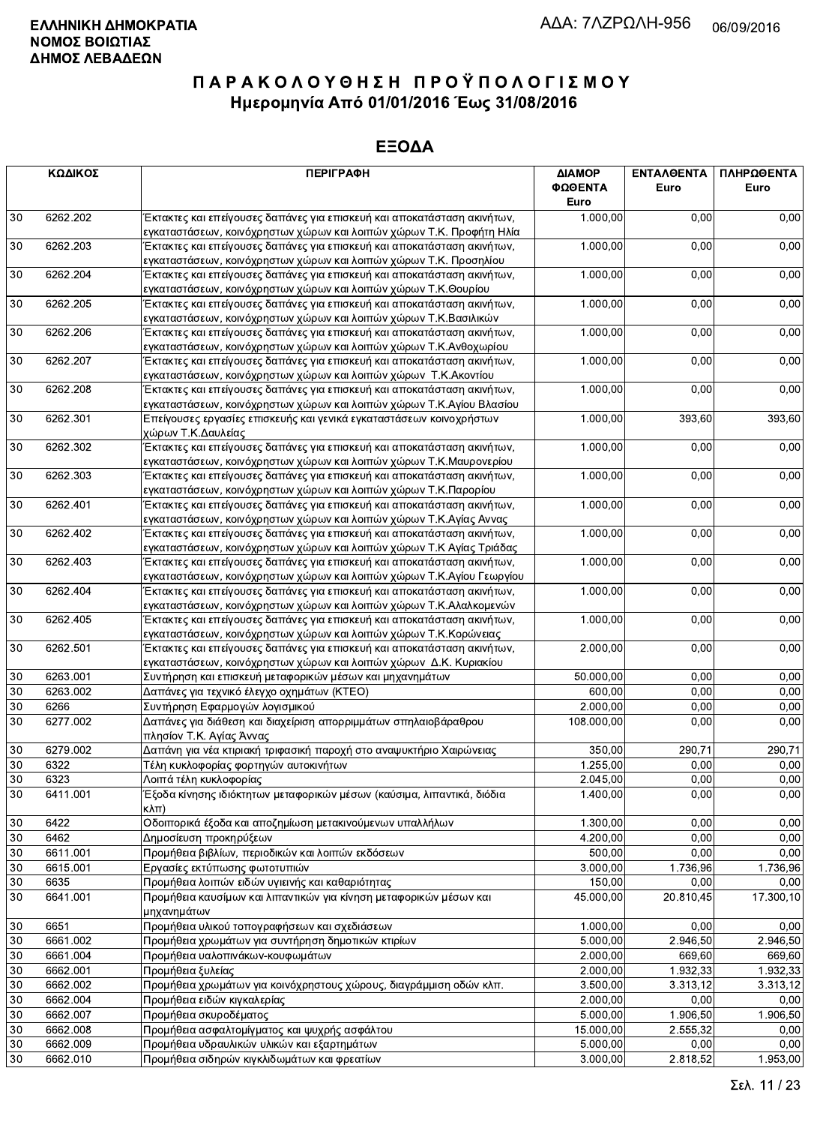|        | ΚΩΔΙΚΟΣ  | <b>ПЕРІГРАФН</b>                                                                                                                                | ΔΙΑΜΟΡ<br>ΦΩΘΕΝΤΑ<br>Euro | <b>ENTAA@ENTA</b><br>Euro | ΠΛΗΡΩΘΕΝΤΑ<br>Euro |
|--------|----------|-------------------------------------------------------------------------------------------------------------------------------------------------|---------------------------|---------------------------|--------------------|
| 30     | 6262.202 | Έκτακτες και επείγουσες δαπάνες για επισκευή και αποκατάσταση ακινήτων,                                                                         | 1.000,00                  | 0,00                      | 0,00               |
|        |          | εγκαταστάσεων, κοινόχρηστων χώρων και λοιπών χώρων Τ.Κ. Προφήτη Ηλία                                                                            |                           |                           |                    |
| 30     | 6262.203 | Έκτακτες και επείγουσες δαπάνες για επισκευή και αποκατάσταση ακινήτων,<br>εγκαταστάσεων, κοινόχρηστων χώρων και λοιπών χώρων Τ.Κ. Προσηλίου    | 1.000,00                  | 0,00                      | 0,00               |
| 30     | 6262.204 | Έκτακτες και επείγουσες δαπάνες για επισκευή και αποκατάσταση ακινήτων,<br>εγκαταστάσεων, κοινόχρηστων χώρων και λοιπών χώρων Τ.Κ.Θουρίου       | 1.000,00                  | 0,00                      | 0,00               |
| 30     | 6262.205 | Έκτακτες και επείγουσες δαπάνες για επισκευή και αποκατάσταση ακινήτων,                                                                         | 1.000,00                  | 0,00                      | 0,00               |
| 30     | 6262.206 | εγκαταστάσεων, κοινόχρηστων χώρων και λοιπών χώρων Τ.Κ.Βασιλικών<br>Έκτακτες και επείγουσες δαπάνες για επισκευή και αποκατάσταση ακινήτων,     | 1.000,00                  | 0,00                      | 0,00               |
|        |          | εγκαταστάσεων, κοινόχρηστων χώρων και λοιπών χώρων Τ.Κ.Ανθοχωρίου                                                                               |                           |                           |                    |
| 30     | 6262.207 | Έκτακτες και επείγουσες δαπάνες για επισκευή και αποκατάσταση ακινήτων,                                                                         | 1.000,00                  | 0,00                      | 0,00               |
| 30     | 6262.208 | εγκαταστάσεων, κοινόχρηστων χώρων και λοιπών χώρων Τ.Κ. Ακοντίου                                                                                | 1.000,00                  | 0,00                      | 0,00               |
|        |          | Έκτακτες και επείγουσες δαπάνες για επισκευή και αποκατάσταση ακινήτων,<br>εγκαταστάσεων, κοινόχρηστων χώρων και λοιπών χώρων Τ.Κ.Αγίου Βλασίου |                           |                           |                    |
| 30     | 6262.301 | Επείγουσες εργασίες επισκευής και γενικά εγκαταστάσεων κοινοχρήστων                                                                             | 1.000,00                  | 393,60                    | 393,60             |
|        |          | χώρων Τ.Κ.Δαυλείας                                                                                                                              |                           |                           |                    |
| 30     | 6262.302 | Έκτακτες και επείγουσες δαπάνες για επισκευή και αποκατάσταση ακινήτων,                                                                         | 1.000,00                  | 0,00                      | 0,00               |
|        |          | εγκαταστάσεων, κοινόχρηστων χώρων και λοιπών χώρων Τ.Κ.Μαυρονερίου                                                                              |                           |                           |                    |
| 30     | 6262.303 | Έκτακτες και επείγουσες δαπάνες για επισκευή και αποκατάσταση ακινήτων,                                                                         | 1.000,00                  | 0,00                      | 0,00               |
|        |          | εγκαταστάσεων, κοινόχρηστων χώρων και λοιπών χώρων Τ.Κ.Παρορίου                                                                                 |                           |                           |                    |
| 30     | 6262.401 | Έκτακτες και επείγουσες δαπάνες για επισκευή και αποκατάσταση ακινήτων,                                                                         | 1.000,00                  | 0,00                      | 0,00               |
|        |          | εγκαταστάσεων, κοινόχρηστων χώρων και λοιπών χώρων Τ.Κ.Αγίας Αννας                                                                              |                           |                           |                    |
| 30     | 6262.402 | Έκτακτες και επείγουσες δαπάνες για επισκευή και αποκατάσταση ακινήτων,                                                                         | 1.000,00                  | 0,00                      | 0,00               |
|        |          | εγκαταστάσεων, κοινόχρηστων χώρων και λοιπών χώρων Τ.Κ Αγίας Τριάδας                                                                            |                           |                           |                    |
| 30     | 6262.403 | Έκτακτες και επείγουσες δαπάνες για επισκευή και αποκατάσταση ακινήτων,                                                                         | 1.000,00                  | 0,00                      | 0,00               |
|        |          | εγκαταστάσεων, κοινόχρηστων χώρων και λοιπών χώρων Τ.Κ.Αγίου Γεωργίου                                                                           |                           |                           |                    |
| 30     | 6262.404 | Έκτακτες και επείγουσες δαπάνες για επισκευή και αποκατάσταση ακινήτων,<br>εγκαταστάσεων, κοινόχρηστων χώρων και λοιπών χώρων Τ.Κ.Αλαλκομενών   | 1.000,00                  | 0,00                      | 0,00               |
| 30     | 6262.405 | Έκτακτες και επείγουσες δαπάνες για επισκευή και αποκατάσταση ακινήτων,                                                                         | 1.000,00                  | 0,00                      | 0,00               |
|        |          | εγκαταστάσεων, κοινόχρηστων χώρων και λοιπών χώρων Τ.Κ.Κορώνειας                                                                                |                           |                           |                    |
| 30     | 6262.501 | Έκτακτες και επείγουσες δαπάνες για επισκευή και αποκατάσταση ακινήτων,                                                                         | 2.000,00                  | 0,00                      | 0,00               |
|        |          | εγκαταστάσεων, κοινόχρηστων χώρων και λοιπών χώρων Δ.Κ. Κυριακίου                                                                               |                           |                           |                    |
| $30\,$ | 6263.001 | Συντήρηση και επισκευή μεταφορικών μέσων και μηχανημάτων                                                                                        | 50.000,00                 | 0,00                      | 0,00               |
| 30     | 6263.002 | Δαπάνες για τεχνικό έλεγχο οχημάτων (ΚΤΕΟ)                                                                                                      | 600,00                    | 0,00                      | 0,00               |
| 30     | 6266     | Συντήρηση Εφαρμογών λογισμικού                                                                                                                  | 2.000,00                  | 0,00                      | 0,00               |
| 30     | 6277.002 | Δαπάνες για διάθεση και διαχείριση απορριμμάτων σπηλαιοβάραθρου<br>πλησίον Τ.Κ. Αγίας Άννας                                                     | 108.000,00                | 0,00                      | 0,00               |
| 30     | 6279.002 | Δαπάνη για νέα κτιριακή τριφασική παροχή στο αναψυκτήριο Χαιρώνειας                                                                             | 350,00                    | 290,71                    | 290,71             |
| 30     | 6322     | Τέλη κυκλοφορίας φορτηγών αυτοκινήτων                                                                                                           | 1.255,00                  | 0,00                      | 0,00               |
| 30     | 6323     | Λοιπά τέλη κυκλοφορίας                                                                                                                          | 2.045,00                  | 0,00                      | 0,00               |
| 30     | 6411.001 | Έξοδα κίνησης ιδιόκτητων μεταφορικών μέσων (καύσιμα, λιπαντικά, διόδια<br>$\kappa\lambda\pi$                                                    | 1.400,00                  | 0,00                      | 0,00               |
| 30     | 6422     | Οδοιπορικά έξοδα και αποζημίωση μετακινούμενων υπαλλήλων                                                                                        | 1.300,00                  | 0,00                      | 0,00               |
| 30     | 6462     | Δημοσίευση προκηρύξεων                                                                                                                          | 4.200.00                  | 0,00                      | 0,00               |
| 30     | 6611.001 | Προμήθεια βιβλίων, περιοδικών και λοιπών εκδόσεων                                                                                               | 500,00                    | 0,00                      | 0,00               |
| 30     | 6615.001 | Εργασίες εκτύπωσης φωτοτυπιών                                                                                                                   | 3.000,00                  | 1.736,96                  | 1.736,96           |
| 30     | 6635     | Προμήθεια λοιπών ειδών υγιεινής και καθαριότητας                                                                                                | 150,00                    | 0,00                      | 0,00               |
| 30     | 6641.001 | Προμήθεια καυσίμων και λιπαντικών για κίνηση μεταφορικών μέσων και<br>μηχανημάτων                                                               | 45.000,00                 | 20.810,45                 | 17.300,10          |
| $30\,$ | 6651     | Προμήθεια υλικού τοπογραφήσεων και σχεδιάσεων                                                                                                   | 1.000,00                  | 0.00                      | 0,00               |
| 30     | 6661.002 | Προμήθεια χρωμάτων για συντήρηση δημοτικών κτιρίων                                                                                              | 5.000,00                  | 2.946,50                  | 2.946,50           |
| 30     | 6661.004 | Προμήθεια υαλοπινάκων-κουφωμάτων                                                                                                                | 2.000,00                  | 669,60                    | 669,60             |
| 30     | 6662.001 | Προμήθεια ξυλείας                                                                                                                               | 2.000,00                  | 1.932,33                  | 1.932,33           |
| 30     | 6662.002 | Προμήθεια χρωμάτων για κοινόχρηστους χώρους, διαγράμμιση οδών κλπ.                                                                              | 3.500,00                  | 3.313,12                  | 3.313,12           |
| 30     | 6662.004 | Προμήθεια ειδών κιγκαλερίας                                                                                                                     | 2.000,00                  | 0,00                      | 0,00               |
| 30     | 6662.007 | Προμήθεια σκυροδέματος                                                                                                                          | 5.000,00                  | 1.906,50                  | 1.906,50           |
| 30     | 6662.008 | Προμήθεια ασφαλτομίγματος και ψυχρής ασφάλτου                                                                                                   | 15.000,00                 | 2.555,32                  | 0,00               |
| 30     | 6662.009 | Προμήθεια υδραυλικών υλικών και εξαρτημάτων                                                                                                     | 5.000,00                  | 0,00                      | 0,00               |
| 30     | 6662.010 | Προμήθεια σιδηρών κιγκλιδωμάτων και φρεατίων                                                                                                    | 3.000,00                  | 2.818,52                  | 1.953,00           |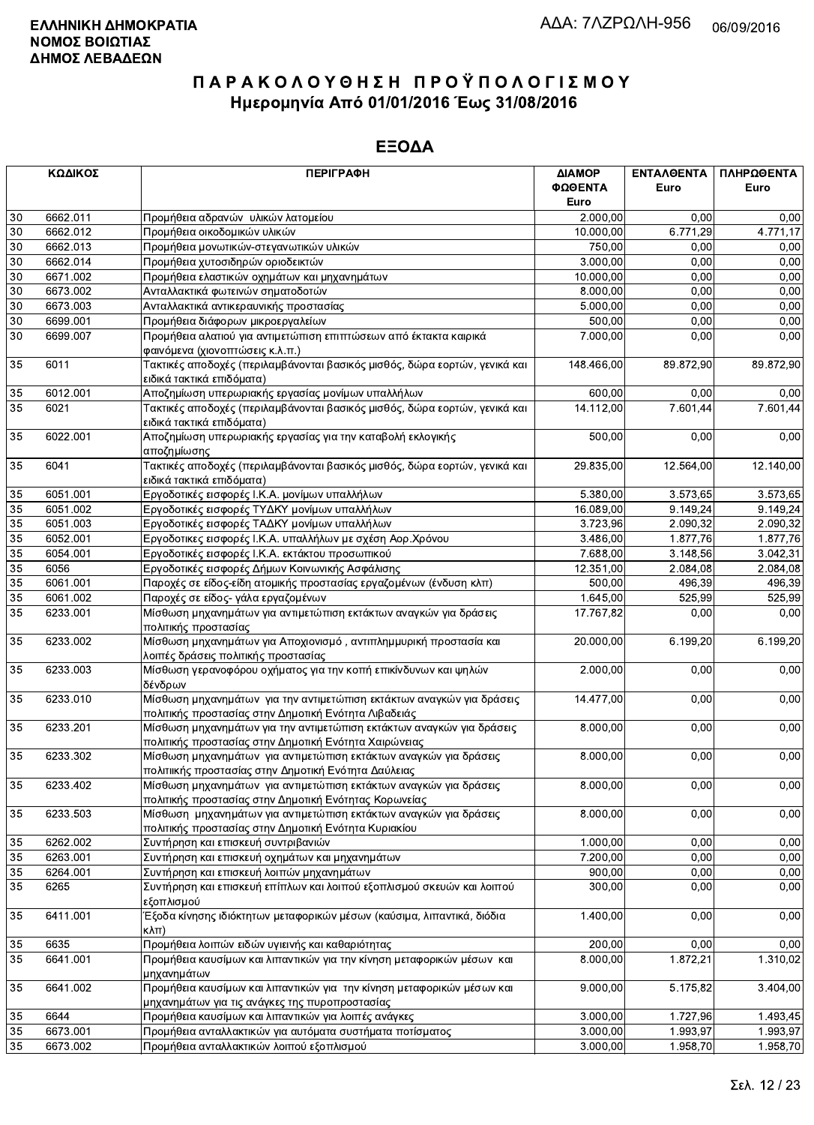|        | ΚΩΔΙΚΟΣ  | <b>ПЕРІГРАФН</b>                                                                                                              | ΔΙΑΜΟΡ     | ΕΝΤΑΛΘΕΝΤΑ | ΠΛΗΡΩΘΕΝΤΑ |
|--------|----------|-------------------------------------------------------------------------------------------------------------------------------|------------|------------|------------|
|        |          |                                                                                                                               | ΦΩΘΕΝΤΑ    | Euro       | Euro       |
|        |          |                                                                                                                               | Euro       |            |            |
| $30\,$ | 6662.011 | Προμήθεια αδρανών υλικών λατομείου                                                                                            | 2.000,00   | 0.00       | 0,00       |
| 30     | 6662.012 | Προμήθεια οικοδομικών υλικών                                                                                                  | 10.000,00  | 6.771,29   | 4.771,17   |
| 30     | 6662.013 | Προμήθεια μονωτικών-στεγανωτικών υλικών                                                                                       | 750,00     | 0,00       | 0,00       |
| 30     | 6662.014 | Προμήθεια χυτοσιδηρών οριοδεικτών                                                                                             | 3.000,00   | 0,00       | 0,00       |
| 30     | 6671.002 | Προμήθεια ελαστικών οχημάτων και μηχανημάτων                                                                                  | 10.000,00  | 0,00       | 0,00       |
|        |          |                                                                                                                               |            |            |            |
| 30     | 6673.002 | Ανταλλακτικά φωτεινών σηματοδοτών                                                                                             | 8.000,00   | 0,00       | 0,00       |
| 30     | 6673.003 | Ανταλλακτικά αντικεραυνικής προστασίας                                                                                        | 5.000,00   | 0,00       | 0,00       |
| 30     | 6699.001 | Προμήθεια διάφορων μικροεργαλείων                                                                                             | 500,00     | 0,00       | 0,00       |
| 30     | 6699.007 | Προμήθεια αλατιού για αντιμετώπιση επιπτώσεων από έκτακτα καιρικά<br>φαινόμενα (χιονοπτώσεις κ.λ.π.)                          | 7.000,00   | 0,00       | 0,00       |
| 35     | 6011     | Τακτικές αποδοχές (περιλαμβάνονται βασικός μισθός, δώρα εορτών, γενικά και<br>ειδικά τακτικά επιδόματα)                       | 148.466,00 | 89.872,90  | 89.872,90  |
| 35     | 6012.001 | Αποζημίωση υπερωριακής εργασίας μονίμων υπαλλήλων                                                                             | 600,00     | 0,00       | 0,00       |
| 35     | 6021     | Τακτικές αποδοχές (περιλαμβάνονται βασικός μισθός, δώρα εορτών, γενικά και<br>ειδικά τακτικά επιδόματα)                       | 14.112,00  | 7.601,44   | 7.601,44   |
| 35     | 6022.001 | Αποζημίωση υπερωριακής εργασίας για την καταβολή εκλογικής<br>αποζημίωσης                                                     | 500,00     | 0,00       | 0,00       |
| 35     | 6041     | Τακτικές αποδοχές (περιλαμβάνονται βασικός μισθός, δώρα εορτών, γενικά και<br>ειδικά τακτικά επιδόματα)                       | 29.835,00  | 12.564,00  | 12.140,00  |
| 35     | 6051.001 | Εργοδοτικές εισφορές Ι.Κ.Α. μονίμων υπαλλήλων                                                                                 | 5.380,00   | 3.573,65   | 3.573,65   |
| 35     | 6051.002 | Εργοδοτικές εισφορές ΤΥΔΚΥ μονίμων υπαλλήλων                                                                                  | 16.089,00  | 9.149,24   | 9.149,24   |
| 35     | 6051.003 | Εργοδοτικές εισφορές ΤΑΔΚΥ μονίμων υπαλλήλων                                                                                  | 3.723,96   | 2.090,32   | 2.090,32   |
|        |          | Εργοδοτικες εισφορές Ι.Κ.Α. υπαλλήλων με σχέση Αορ.Χρόνου                                                                     |            |            |            |
| 35     | 6052.001 |                                                                                                                               | 3.486,00   | 1.877,76   | 1.877,76   |
| 35     | 6054.001 | Εργοδοτικές εισφορές Ι.Κ.Α. εκτάκτου προσωπικού                                                                               | 7.688,00   | 3.148,56   | 3.042,31   |
| 35     | 6056     | Εργοδοτικές εισφορές Δήμων Κοινωνικής Ασφάλισης                                                                               | 12.351,00  | 2.084,08   | 2.084,08   |
| 35     | 6061.001 | Παροχές σε είδος-είδη ατομικής προστασίας εργαζομένων (ένδυση κλπ)                                                            | 500,00     | 496,39     | 496,39     |
| 35     | 6061.002 | Παροχές σε είδος- γάλα εργαζομένων                                                                                            | 1.645,00   | 525,99     | 525,99     |
| 35     | 6233.001 | Μίσθωση μηχανημάτων για αντιμετώπιση εκτάκτων αναγκών για δράσεις<br>πολιτικής προστασίας                                     | 17.767,82  | 0,00       | 0,00       |
| 35     | 6233.002 | Μίσθωση μηχανημάτων για Αποχιονισμό, αντιπλημμυρική προστασία και<br>λοιπές δράσεις πολιτικής προστασίας                      | 20.000,00  | 6.199,20   | 6.199,20   |
| 35     | 6233.003 | Μίσθωση γερανοφόρου οχήματος για την κοπή επικίνδυνων και ψηλών<br>δένδρων                                                    | 2.000,00   | 0,00       | 0,00       |
| 35     | 6233.010 | Μίσθωση μηχανημάτων για την αντιμετώπιση εκτάκτων αναγκών για δράσεις<br>πολιτικής προστασίας στην Δημοτική Ενότητα Λιβαδειάς | 14.477,00  | 0,00       | 0,00       |
| 35     | 6233.201 | Μίσθωση μηχανημάτων για την αντιμετώπιση εκτάκτων αναγκών για δράσεις                                                         | 8.000,00   | 0,00       | 0,00       |
| 35     | 6233.302 | πολιτικής προστασίας στην Δημοτική Ενότητα Χαιρώνειας<br>Μίσθωση μηχανημάτων για αντιμετώπιση εκτάκτων αναγκών για δράσεις    | 8.000,00   | 0,00       | 0,00       |
| 35     | 6233.402 | πολιτιικής προστασίας στην Δημοτική Ενότητα Δαύλειας<br>Μίσθωση μηχανημάτων για αντιμετώπιση εκτάκτων αναγκών για δράσεις     | 8.000,00   | 0,00       | 0,00       |
|        |          | πολιτικής προστασίας στην Δημοτική Ενότητας Κορωνείας                                                                         |            |            |            |
| 35     | 6233.503 | Μίσθωση μηχανημάτων για αντιμετώπιση εκτάκτων αναγκών για δράσεις<br>πολιτικής προστασίας στην Δημοτική Ενότητα Κυριακίου     | 8.000,00   | 0,00       | 0,00       |
| 35     | 6262.002 | Συντήρηση και επισκευή συντριβανιών                                                                                           | 1.000,00   | 0,00       | 0,00       |
| 35     | 6263.001 | Συντήρηση και επισκευή οχημάτων και μηχανημάτων                                                                               | 7.200,00   | 0,00       | 0,00       |
| 35     | 6264.001 | Συντήρηση και επισκευή λοιπών μηχανημάτων                                                                                     | 900,00     | 0,00       | 0,00       |
| 35     | 6265     | Συντήρηση και επισκευή επίπλων και λοιπού εξοπλισμού σκευών και λοιπού<br>εξοπλισμού                                          | 300,00     | 0,00       | 0,00       |
| 35     | 6411.001 | Έξοδα κίνησης ιδιόκτητων μεταφορικών μέσων (καύσιμα, λιπαντικά, διόδια<br>$\kappa\lambda\pi$ )                                | 1.400,00   | 0,00       | 0,00       |
| 35     | 6635     | Προμήθεια λοιπών ειδών υγιεινής και καθαριότητας                                                                              | 200,00     | 0,00       | 0,00       |
| 35     | 6641.001 | Προμήθεια καυσίμων και λιπαντικών για την κίνηση μεταφορικών μέσων και<br>μηχανημάτων                                         | 8.000,00   | 1.872,21   | 1.310,02   |
| 35     | 6641.002 | Προμήθεια καυσίμων και λιπαντικών για την κίνηση μεταφορικών μέσων και<br>μηχανημάτων για τις ανάγκες της πυροπροστασίας      | 9.000,00   | 5.175,82   | 3.404,00   |
| 35     | 6644     | Προμήθεια καυσίμων και λιπαντικών για λοιπές ανάγκες                                                                          | 3.000,00   | 1.727,96   | 1.493,45   |
| 35     | 6673.001 | Προμήθεια ανταλλακτικών για αυτόματα συστήματα ποτίσματος                                                                     | 3.000,00   | 1.993,97   | 1.993,97   |
| 35     | 6673.002 | Προμήθεια ανταλλακτικών λοιπού εξοπλισμού                                                                                     | 3.000,00   | 1.958,70   | 1.958,70   |
|        |          |                                                                                                                               |            |            |            |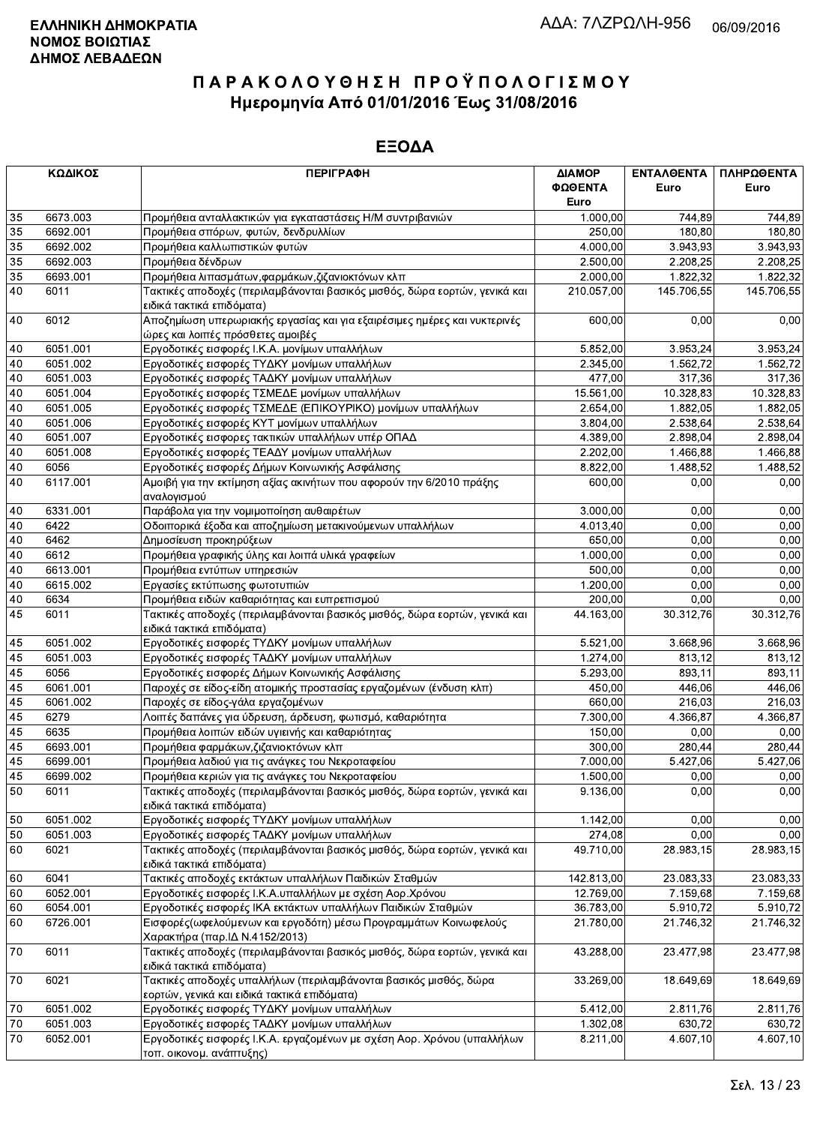|                 | ΚΩΔΙΚΟΣ  | <b>ПЕРІГРАФН</b>                                                                                                  | ΔΙΑΜΟΡ<br>ΦΩΘΕΝΤΑ       | ΕΝΤΑΛΘΕΝΤΑ<br>Euro    | ΠΛΗΡΩΘΕΝΤΑ<br>Euro |
|-----------------|----------|-------------------------------------------------------------------------------------------------------------------|-------------------------|-----------------------|--------------------|
|                 |          |                                                                                                                   | Euro                    |                       |                    |
| 35              | 6673.003 | Προμήθεια ανταλλακτικών για εγκαταστάσεις Η/Μ συντριβανιών                                                        | 1.000,00                | 744.89                | 744,89             |
| 35              | 6692.001 | Προμήθεια σπόρων, φυτών, δενδρυλλίων                                                                              | 250,00                  | 180,80                | 180,80             |
| 35              | 6692.002 | Προμήθεια καλλωπιστικών φυτών                                                                                     | 4.000,00                | 3.943,93              | 3.943,93           |
| $\overline{35}$ | 6692.003 | Προμήθεια δένδρων                                                                                                 | 2.500,00                | 2.208.25              | 2.208,25           |
| 35              | 6693.001 | Προμήθεια λιπασμάτων, φαρμάκων, ζιζανιοκτόνων κλπ                                                                 | 2.000,00                | 1.822,32              | 1.822,32           |
| 40              | 6011     | Τακτικές αποδοχές (περιλαμβάνονται βασικός μισθός, δώρα εορτών, γενικά και                                        | 210.057,00              | 145.706,55            | 145.706,55         |
|                 |          | ειδικά τακτικά επιδόματα)                                                                                         |                         |                       |                    |
| 40              | 6012     | Αποζημίωση υπερωριακής εργασίας και για εξαιρέσιμες ημέρες και νυκτερινές<br>ώρες και λοιπές πρόσθετες αμοιβές    | 600,00                  | 0,00                  | 0,00               |
| 40              | 6051.001 | Εργοδοτικές εισφορές Ι.Κ.Α. μονίμων υπαλλήλων                                                                     | 5.852,00                | 3.953,24              | 3.953,24           |
| 40              | 6051.002 | Εργοδοτικές εισφορές ΤΥΔΚΥ μονίμων υπαλλήλων                                                                      | 2.345,00                | 1.562,72              | 1.562.72           |
| 40              | 6051.003 | Εργοδοτικές εισφορές ΤΑΔΚΥ μονίμων υπαλλήλων                                                                      | 477,00                  | 317,36                | 317,36             |
| 40              | 6051.004 | Εργοδοτικές εισφορές ΤΣΜΕΔΕ μονίμων υπαλλήλων                                                                     | 15.561,00               | 10.328,83             | 10.328,83          |
| 40              | 6051.005 | Εργοδοτικές εισφορές ΤΣΜΕΔΕ (ΕΠΙΚΟΥΡΙΚΟ) μονίμων υπαλλήλων                                                        | 2.654,00                | 1.882,05              | 1.882,05           |
| 40              | 6051.006 | Εργοδοτικές εισφορές ΚΥΤ μονίμων υπαλλήλων                                                                        | 3.804,00                | 2.538,64              | 2.538,64           |
| 40              | 6051.007 | Εργοδοτικές εισφορες τακτικών υπαλλήλων υπέρ ΟΠΑΔ                                                                 | 4.389,00                | 2.898,04              | 2.898,04           |
| 40              | 6051.008 | Εργοδοτικές εισφορές ΤΕΑΔΥ μονίμων υπαλλήλων                                                                      | 2.202,00                | 1.466,88              | 1.466,88           |
| 40              | 6056     | Εργοδοτικές εισφορές Δήμων Κοινωνικής Ασφάλισης                                                                   | 8.822,00                | 1.488,52              | 1.488,52           |
| 40              | 6117.001 | Αμοιβή για την εκτίμηση αξίας ακινήτων που αφορούν την 6/2010 πράξης                                              | 600,00                  | 0,00                  | 0,00               |
|                 |          | αναλογισμού                                                                                                       |                         |                       |                    |
| 40              | 6331.001 | Παράβολα για την νομιμοποίηση αυθαιρέτων                                                                          | 3.000,00                | 0,00                  | 0,00               |
| 40              | 6422     | Οδοιπορικά έξοδα και αποζημίωση μετακινούμενων υπαλλήλων                                                          | 4.013,40                | 0.00                  | 0,00               |
| 40              | 6462     | Δημοσίευση προκηρύξεων                                                                                            | 650.00                  | 0,00                  | 0,00               |
| 40              | 6612     | Προμήθεια γραφικής ύλης και λοιπά υλικά γραφείων                                                                  | 1.000,00                | 0,00                  | 0,00               |
| 40              | 6613.001 | Προμήθεια εντύπων υπηρεσιών                                                                                       | 500,00                  | 0,00                  | 0,00               |
| 40              | 6615.002 | Εργασίες εκτύπωσης φωτοτυπιών                                                                                     | 1.200,00                | 0,00                  | 0,00               |
| 40              | 6634     | Προμήθεια ειδών καθαριότητας και ευπρεπισμού                                                                      | 200,00                  | 0.00                  | 0,00               |
| 45              | 6011     | Τακτικές αποδοχές (περιλαμβάνονται βασικός μισθός, δώρα εορτών, γενικά και<br>ειδικά τακτικά επιδόματα)           | 44.163,00               | 30.312,76             | 30.312,76          |
| 45              | 6051.002 | Εργοδοτικές εισφορές ΤΥΔΚΥ μονίμων υπαλλήλων                                                                      | 5.521,00                | 3.668,96              | 3.668,96           |
| 45              | 6051.003 | Εργοδοτικές εισφορές ΤΑΔΚΥ μονίμων υπαλλήλων                                                                      | 1.274,00                | 813.12                | 813,12             |
| 45              | 6056     | Εργοδοτικές εισφορές Δήμων Κοινωνικής Ασφάλισης                                                                   | 5.293,00                | 893,11                | 893,11             |
| 45              | 6061.001 | Παροχές σε είδος-είδη ατομικής προστασίας εργαζομένων (ένδυση κλπ)                                                | 450,00                  | 446,06                | 446,06             |
| 45              | 6061.002 | Παροχές σε είδος-γάλα εργαζομένων                                                                                 | 660,00                  | 216,03                | 216,03             |
| 45              | 6279     | Λοιπές δαπάνες για ύδρευση, άρδευση, φωτισμό, καθαριότητα                                                         | 7.300,00                | 4.366,87              | 4.366,87           |
| 45              | 6635     | Προμήθεια λοιπών ειδών υγιεινής και καθαριότητας                                                                  | 150,00                  | 0,00                  | 0,00               |
| 45              | 6693.001 | Προμήθεια φαρμάκων, ζιζανιοκτόνων κλπ                                                                             | 300,00                  | 280,44                | 280,44             |
| 45              | 6699.001 | Προμήθεια λαδιού για τις ανάγκες του Νεκροταφείου                                                                 | 7.000.00                | 5.427,06              | 5.427,06           |
| 45              | 6699.002 | Προμήθεια κεριών για τις ανάγκες του Νεκροταφείου                                                                 | 1.500,00                | 0,00                  | 0,00               |
| 50              | 6011     | Τακτικές αποδοχές (περιλαμβάνονται βασικός μισθός, δώρα εορτών, γενικά και                                        | 9.136,00                | 0,00                  | 0,00               |
|                 |          | ειδικά τακτικά επιδόματα)                                                                                         |                         |                       |                    |
| 50              | 6051.002 | Εργοδοτικές εισφορές ΤΥΔΚΥ μονίμων υπαλλήλων                                                                      | 1.142,00                | 0,00                  | 0,00               |
| 50              | 6051.003 | Εργοδοτικές εισφορές ΤΑΔΚΥ μονίμων υπαλλήλων                                                                      | 274,08                  | 0,00                  | 0,00               |
| 60              | 6021     | Τακτικές αποδοχές (περιλαμβάνονται βασικός μισθός, δώρα εορτών, γενικά και<br>ειδικά τακτικά επιδόματα)           | 49.710,00               | 28.983,15             | 28.983,15          |
| 60              | 6041     | Τακτικές αποδοχές εκτάκτων υπαλλήλων Παιδικών Σταθμών                                                             |                         |                       | 23.083,33          |
| 60              | 6052.001 | Εργοδοτικές εισφορές Ι.Κ.Α.υπαλλήλων με σχέση Αορ.Χρόνου                                                          | 142.813,00<br>12.769,00 | 23.083,33<br>7.159,68 | 7.159,68           |
|                 |          | Εργοδοτικές εισφορές ΙΚΑ εκτάκτων υπαλλήλων Παιδικών Σταθμών                                                      |                         | 5.910,72              |                    |
| 60              | 6054.001 |                                                                                                                   | 36.783,00               |                       | 5.910,72           |
| 60              | 6726.001 | Εισφορές (ωφελούμενων και εργοδότη) μέσω Προγραμμάτων Κοινωφελούς<br>Χαρακτήρα (παρ. ΙΔ Ν.4152/2013)              | 21.780,00               | 21.746,32             | 21.746,32          |
| 70              | 6011     | Τακτικές αποδοχές (περιλαμβάνονται βασικός μισθός, δώρα εορτών, γενικά και<br>ειδικά τακτικά επιδόματα)           | 43.288,00               | 23.477,98             | 23.477,98          |
| 70              | 6021     | Τακτικές αποδοχές υπαλλήλων (περιλαμβάνονται βασικός μισθός, δώρα<br>εορτών, γενικά και ειδικά τακτικά επιδόματα) | 33.269,00               | 18.649,69             | 18.649,69          |
| 70              | 6051.002 | Εργοδοτικές εισφορές ΤΥΔΚΥ μονίμων υπαλλήλων                                                                      | 5.412,00                | 2.811,76              | 2.811,76           |
| 70              | 6051.003 | Εργοδοτικές εισφορές ΤΑΔΚΥ μονίμων υπαλλήλων                                                                      | 1.302,08                | 630,72                | 630,72             |
| 70              | 6052.001 | Εργοδοτικές εισφορές Ι.Κ.Α. εργαζομένων με σχέση Αορ. Χρόνου (υπαλλήλων                                           | 8.211,00                | 4.607,10              | 4.607,10           |
|                 |          | τοπ οικονου ανάπτυξης)                                                                                            |                         |                       |                    |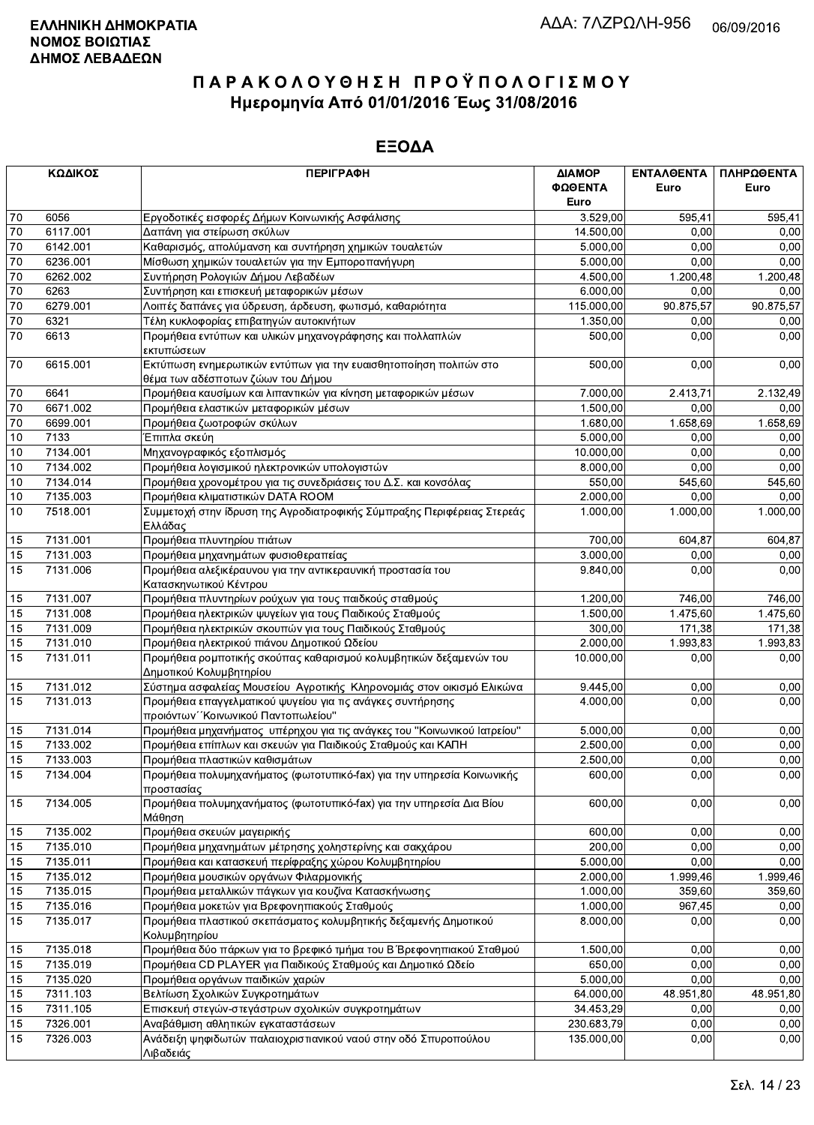|                 | ΚΩΔΙΚΟΣ  | <b>ПЕРІГРАФН</b>                                                                                       | ΔΙΑΜΟΡ          | ΕΝΤΑΛΘΕΝΤΑ | ΠΛΗΡΩΘΕΝΤΑ |
|-----------------|----------|--------------------------------------------------------------------------------------------------------|-----------------|------------|------------|
|                 |          |                                                                                                        | ΦΩΘΕΝΤΑ<br>Euro | Euro       | Euro       |
| 70              | 6056     | Εργοδοτικές εισφορές Δήμων Κοινωνικής Ασφάλισης                                                        | 3.529,00        | 595,41     | 595,41     |
| $70\,$          | 6117.001 | Δαπάνη για στείρωση σκύλων                                                                             | 14.500,00       | 0,00       | 0,00       |
| 70              | 6142.001 | Καθαρισμός, απολύμανση και συντήρηση χημικών τουαλετών                                                 | 5.000,00        | 0.00       | 0,00       |
| $\overline{70}$ | 6236.001 | Μίσθωση χημικών τουαλετών για την Εμποροπανήγυρη                                                       | 5.000,00        | 0,00       | 0,00       |
| 70              | 6262.002 | Συντήρηση Ρολογιών Δήμου Λεβαδέων                                                                      | 4.500,00        | 1.200,48   | 1.200,48   |
| 70              | 6263     | Συντήρηση και επισκευή μεταφορικών μέσων                                                               | 6.000,00        | 0,00       | 0,00       |
| $70\,$          | 6279.001 | Λοιπές δαπάνες για ύδρευση, άρδευση, φωτισμό, καθαριότητα                                              | 115.000,00      | 90.875,57  | 90.875.57  |
| 70              | 6321     | Τέλη κυκλοφορίας επιβατηγών αυτοκινήτων                                                                | 1.350,00        | 0,00       | 0,00       |
| $\overline{70}$ | 6613     | Προμήθεια εντύπων και υλικών μηχανογράφησης και πολλαπλών                                              | 500,00          | 0,00       | 0,00       |
|                 |          | εκτυπώσεων                                                                                             |                 |            |            |
| $70\,$          | 6615.001 | Εκτύπωση ενημερωτικών εντύπων για την ευαισθητοποίηση πολιτών στο<br>θέμα των αδέσποτων ζώων του Δήμου | 500,00          | 0,00       | 0,00       |
| 70              | 6641     | Προμήθεια καυσίμων και λιπαντικών για κίνηση μεταφορικών μέσων                                         | 7.000,00        | 2.413,71   | 2.132,49   |
| 70              | 6671.002 | Προμήθεια ελαστικών μεταφορικών μέσων                                                                  | 1.500,00        | 0,00       | 0,00       |
| 70              | 6699.001 | Προμήθεια ζωοτροφών σκύλων                                                                             | 1.680,00        | 1.658,69   | 1.658,69   |
| $10$            | 7133     | Έπιπλα σκεύη                                                                                           | 5.000,00        | 0,00       | 0,00       |
| 10              | 7134.001 | Μηχανογραφικός εξοπλισμός                                                                              | 10.000,00       | 0,00       | 0,00       |
| 10              | 7134.002 | Προμήθεια λογισμικού ηλεκτρονικών υπολογιστών                                                          | 8.000,00        | 0,00       | 0,00       |
| 10              | 7134.014 | Προμήθεια χρονομέτρου για τις συνεδριάσεις του Δ.Σ. και κονσόλας                                       | 550,00          | 545,60     | 545,60     |
| 10              | 7135.003 | Προμήθεια κλιματιστικών DATA ROOM                                                                      | 2.000,00        | 0,00       | 0,00       |
| 10              | 7518.001 | Συμμετοχή στην ίδρυση της Αγροδιατροφικής Σύμπραξης Περιφέρειας Στερεάς<br>Ελλάδας                     | 1.000,00        | 1.000,00   | 1.000,00   |
| 15              | 7131.001 | Προμήθεια πλυντηρίου πιάτων                                                                            | 700,00          | 604,87     | 604,87     |
|                 | 7131.003 |                                                                                                        | 3.000,00        | 0,00       | 0,00       |
| 15<br>15        | 7131.006 | Προμήθεια μηχανημάτων φυσιοθεραπείας                                                                   | 9.840,00        | 0,00       |            |
|                 |          | Προμήθεια αλεξικέραυνου για την αντικεραυνική προστασία του                                            |                 |            | 0,00       |
|                 |          | Κατασκηνωτικού Κέντρου                                                                                 |                 |            |            |
| 15              | 7131.007 | Προμήθεια πλυντηρίων ρούχων για τους παιδκούς σταθμούς                                                 | 1.200,00        | 746,00     | 746,00     |
| 15              | 7131.008 | Προμήθεια ηλεκτρικών ψυγείων για τους Παιδικούς Σταθμούς                                               | 1.500,00        | 1.475,60   | 1.475,60   |
| 15              | 7131.009 | Προμήθεια ηλεκτρικών σκουπών για τους Παιδικούς Σταθμούς                                               | 300,00          | 171,38     | 171,38     |
| $\overline{15}$ | 7131.010 | Προμήθεια ηλεκτρικού πιάνου Δημοτικού Ωδείου                                                           | 2.000,00        | 1.993,83   | 1.993,83   |
| 15              | 7131.011 | Προμήθεια ρομποτικής σκούπας καθαρισμού κολυμβητικών δεξαμενών του<br>Δημοτικού Κολυμβητηρίου          | 10.000,00       | 0,00       | 0,00       |
| 15              | 7131.012 | Σύστημα ασφαλείας Μουσείου Αγροτικής Κληρονομιάς στον οικισμό Ελικώνα                                  | 9.445,00        | 0,00       | 0,00       |
| 15              | 7131.013 | Προμήθεια επαγγελματικού ψυγείου για τις ανάγκες συντήρησης<br>προιόντων "Κοινωνικού Παντοπωλείου"     | 4.000.00        | 0,00       | 0,00       |
| 15              | 7131.014 | Προμήθεια μηχανήματος υπέρηχου για τις ανάγκες του "Κοινωνικού Ιατρείου"                               | 5.000,00        | 0,00       | 0,00       |
| 15              | 7133.002 | Προμήθεια επίπλων και σκευών για Παιδικούς Σταθμούς και ΚΑΠΗ                                           | 2.500,00        | 0,00       | 0,00       |
| 15              | 7133.003 | Προμήθεια πλαστικών καθισμάτων                                                                         | 2.500,00        | 0,00       | 0,00       |
| 15              | 7134.004 | Προμήθεια πολυμηχανήματος (φωτοτυπικό-fax) για την υπηρεσία Κοινωνικής<br>προστασίας                   | 600,00          | 0,00       | 0,00       |
| 15              | 7134.005 | Προμήθεια πολυμηχανήματος (φωτοτυπικό-fax) για την υπηρεσία Δια Βίου<br>Μάθηση                         | 600,00          | 0,00       | 0,00       |
| 15              | 7135.002 | Προμήθεια σκευών μαγειρικής                                                                            | 600,00          | 0,00       | 0,00       |
| 15              | 7135.010 | Προμήθεια μηχανημάτων μέτρησης χοληστερίνης και σακχάρου                                               | 200,00          | 0,00       | 0,00       |
|                 |          |                                                                                                        |                 | 0,00       | 0,00       |
| 15              | 7135.011 | Προμήθεια και κατασκευή περίφραξης χώρου Κολυμβητηρίου                                                 | 5.000,00        |            |            |
| 15              | 7135.012 | Προμήθεια μουσικών οργάνων Φιλαρμονικής                                                                | 2.000,00        | 1.999,46   | 1.999,46   |
| 15              | 7135.015 | Προμήθεια μεταλλικών πάγκων για κουζίνα Κατασκήνωσης                                                   | 1.000,00        | 359,60     | 359,60     |
| 15              | 7135.016 | Προμήθεια μοκετών για Βρεφονηπιακούς Σταθμούς                                                          | 1.000,00        | 967,45     | 0,00       |
| 15              | 7135.017 | Προμήθεια πλαστικού σκεπάσματος κολυμβητικής δεξαμενής Δημοτικού<br>Κολυμβητηρίου                      | 8.000,00        | 0,00       | 0,00       |
| 15              | 7135.018 | Προμήθεια δύο πάρκων για το βρεφικό τμήμα του Β΄ Βρεφονηπιακού Σταθμού                                 | 1.500,00        | 0,00       | 0,00       |
| 15              | 7135.019 | Προμήθεια CD PLAYER για Παιδικούς Σταθμούς και Δημοτικό Ωδείο                                          | 650,00          | 0,00       | 0,00       |
| 15              | 7135.020 | Προμήθεια οργάνων παιδικών χαρών                                                                       | 5.000,00        | 0,00       | 0,00       |
| 15              | 7311.103 | Βελτίωση Σχολικών Συγκροτημάτων                                                                        | 64.000,00       | 48.951,80  | 48.951,80  |
| 15              | 7311.105 | Επισκευή στεγών-στεγάστρων σχολικών συγκροτημάτων                                                      | 34.453,29       | 0,00       | 0,00       |
| 15              | 7326.001 | Αναβάθμιση αθλητικών εγκαταστάσεων                                                                     | 230.683,79      | 0,00       | 0,00       |
| 15              | 7326.003 | Ανάδειξη ψηφιδωτών παλαιοχριστιανικού ναού στην οδό Σπυροπούλου<br>Λιβαδειάς                           | 135.000,00      | 0,00       | 0,00       |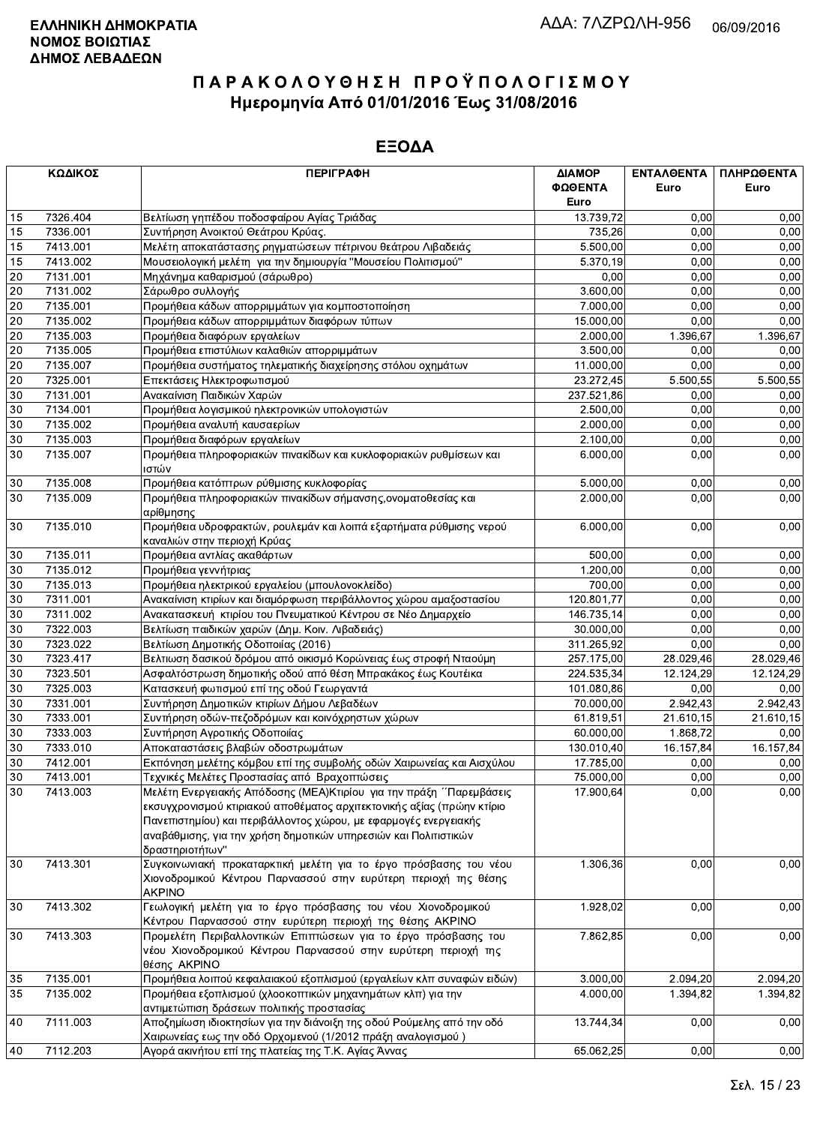|        | ΚΩΔΙΚΟΣ  | <b>ПЕРІГРАФН</b>                                                                                                                                                                                                                 | ΔΙΑΜΟΡ<br>ΦΩΘΕΝΤΑ<br>Euro | ΕΝΤΑΛΘΕΝΤΑ<br>Euro | ΠΛΗΡΩΘΕΝΤΑ<br>Euro |
|--------|----------|----------------------------------------------------------------------------------------------------------------------------------------------------------------------------------------------------------------------------------|---------------------------|--------------------|--------------------|
| 15     | 7326.404 | Βελτίωση γηπέδου ποδοσφαίρου Αγίας Τριάδας                                                                                                                                                                                       | 13.739,72                 | 0.00               | 0,00               |
| 15     | 7336.001 | Συντήρηση Ανοικτού Θεάτρου Κρύας.                                                                                                                                                                                                | 735,26                    | 0,00               | 0,00               |
| 15     | 7413.001 | Μελέτη αποκατάστασης ρηγματώσεων πέτρινου θεάτρου Λιβαδειάς                                                                                                                                                                      | 5.500,00                  | 0,00               | 0,00               |
| 15     | 7413.002 | Μουσειολογική μελέτη για την δημιουργία "Μουσείου Πολιτισμού"                                                                                                                                                                    | 5.370.19                  | 0,00               | 0,00               |
| 20     | 7131.001 | Μηχάνημα καθαρισμού (σάρωθρο)                                                                                                                                                                                                    | 0,00                      | 0,00               | 0,00               |
| 20     | 7131.002 | Σάρωθρο συλλογής                                                                                                                                                                                                                 | 3.600,00                  | 0,00               | 0,00               |
| 20     | 7135.001 | Προμήθεια κάδων απορριμμάτων για κομποστοποίηση                                                                                                                                                                                  | 7.000,00                  | 0,00               | 0,00               |
| 20     | 7135.002 | Προμήθεια κάδων απορριμμάτων διαφόρων τύπων                                                                                                                                                                                      | 15.000,00                 | 0,00               | 0,00               |
| 20     | 7135.003 | Προμήθεια διαφόρων εργαλείων                                                                                                                                                                                                     | 2.000,00                  | 1.396,67           | 1.396,67           |
| 20     | 7135.005 | Προμήθεια επιστύλιων καλαθιών απορριμμάτων                                                                                                                                                                                       | 3.500.00                  | 0,00               | 0,00               |
| 20     | 7135.007 | Προμήθεια συστήματος τηλεματικής διαχείρησης στόλου οχημάτων                                                                                                                                                                     | 11.000,00                 | 0,00               | 0,00               |
| 20     | 7325.001 | Επεκτάσεις Ηλεκτροφωτισμού                                                                                                                                                                                                       | 23.272,45                 | 5.500,55           | 5.500,55           |
| 30     | 7131.001 | Ανακαίνιση Παιδικών Χαρών                                                                                                                                                                                                        | 237.521,86                | 0,00               | 0,00               |
| 30     | 7134.001 | Προμήθεια λογισμικού ηλεκτρονικών υπολογιστών                                                                                                                                                                                    | 2.500,00                  | 0,00               | 0.00               |
| 30     | 7135.002 | Προμήθεια αναλυτή καυσαερίων                                                                                                                                                                                                     | 2.000,00                  | 0,00               | 0,00               |
| 30     | 7135.003 | Προμήθεια διαφόρων εργαλείων                                                                                                                                                                                                     | 2.100,00                  | 0,00               | 0,00               |
| 30     | 7135.007 | Προμήθεια πληροφοριακών πινακίδων και κυκλοφοριακών ρυθμίσεων και                                                                                                                                                                | 6.000,00                  | 0,00               | 0,00               |
|        |          | ιστών                                                                                                                                                                                                                            |                           |                    |                    |
| 30     | 7135.008 | Προμήθεια κατόπτρων ρύθμισης κυκλοφορίας                                                                                                                                                                                         | 5.000,00                  | 0,00               | 0,00               |
| 30     | 7135.009 | Προμήθεια πληροφοριακών πινακίδων σήμανσης, ονοματοθεσίας και                                                                                                                                                                    | 2.000,00                  | 0,00               | 0,00               |
|        |          | αρίθμησης                                                                                                                                                                                                                        |                           |                    |                    |
| 30     | 7135.010 | Προμήθεια υδροφρακτών, ρουλεμάν και λοιπά εξαρτήματα ρύθμισης νερού                                                                                                                                                              | 6.000,00                  | 0,00               | 0,00               |
|        |          | καναλιών στην περιοχή Κρύας                                                                                                                                                                                                      |                           |                    |                    |
| 30     | 7135.011 | Προμήθεια αντλίας ακαθάρτων                                                                                                                                                                                                      | 500,00                    | 0,00               | 0,00               |
| 30     | 7135.012 | Προμήθεια γεννήτριας                                                                                                                                                                                                             | 1.200.00                  | 0,00               | 0,00               |
| 30     | 7135.013 | Προμήθεια ηλεκτρικού εργαλείου (μπουλονοκλείδο)                                                                                                                                                                                  | 700,00                    | 0,00               | 0,00               |
| 30     | 7311.001 | Ανακαίνιση κτιρίων και διαμόρφωση περιβάλλοντος χώρου αμαξοστασίου                                                                                                                                                               | 120.801,77                | 0,00               | 0,00               |
| 30     | 7311.002 | Ανακατασκευή κτιρίου του Πνευματικού Κέντρου σε Νέο Δημαρχείο                                                                                                                                                                    | 146.735,14                | 0,00               | 0,00               |
| 30     | 7322.003 | Βελτίωση παιδικών χαρών (Δημ. Κοιν. Λιβαδειάς)                                                                                                                                                                                   | 30.000,00                 | 0,00               | 0,00               |
| 30     | 7323.022 | Βελτίωση Δημοτικής Οδοποιίας (2016)                                                                                                                                                                                              | 311.265,92                | 0,00               | 0,00               |
| 30     | 7323.417 | Βελτιωση δασικού δρόμου από οικισμό Κορώνειας έως στροφή Νταούμη                                                                                                                                                                 | 257.175,00                | 28.029,46          | 28.029,46          |
| 30     | 7323.501 | Ασφαλτόστρωση δημοτικής οδού από θέση Μπρακάκος έως Κουτέικα                                                                                                                                                                     | 224.535,34                | 12.124,29          | 12.124,29          |
| 30     | 7325.003 | Κατασκευή φωτισμού επί της οδού Γεωργαντά                                                                                                                                                                                        | 101.080,86                | 0,00               | 0.00               |
| 30     | 7331.001 | Συντήρηση Δημοτικών κτιρίων Δήμου Λεβαδέων                                                                                                                                                                                       | 70.000,00                 | 2.942,43           | 2.942,43           |
| 30     | 7333.001 | Συντήρηση οδών-πεζοδρόμων και κοινόχρηστων χώρων                                                                                                                                                                                 | 61.819,51                 | 21.610,15          | 21.610,15          |
| 30     | 7333.003 | Συντήρηση Αγροτικής Οδοποιίας                                                                                                                                                                                                    | 60.000,00                 | 1.868,72           | 0,00               |
| 30     | 7333.010 | Αποκαταστάσεις βλαβών οδοστρωμάτων                                                                                                                                                                                               | 130.010,40                | 16.157,84          | 16.157,84          |
| 30     | 7412.001 | Εκπόνηση μελέτης κόμβου επί της συμβολής οδών Χαιρωνείας και Αισχύλου                                                                                                                                                            | 17.785,00                 | 0,00               | 0,00               |
| $30\,$ | 7413.001 | $\vert$ Τεχνικές Μελέτες Προστασίας από Βραχοπτώσεις                                                                                                                                                                             | 75.000,00                 | 0,00               | 0,00               |
| 30     | 7413.003 | Μελέτη Ενεργειακής Απόδοσης (ΜΕΑ) Κτιρίου για την πράξη ΄ Παρεμβάσεις                                                                                                                                                            | 17.900,64                 | 0,00               | 0,00               |
|        |          | εκσυγχρονισμού κτιριακού αποθέματος αρχιτεκτονικής αξίας (πρώην κτίριο<br>Πανεπιστημίου) και περιβάλλοντος χώρου, με εφαρμογές ενεργειακής<br>αναβάθμισης, για την χρήση δημοτικών υπηρεσιών και Πολιτιστικών<br>δραστηριοτήτων" |                           |                    |                    |
| 30     | 7413.301 | Συγκοινωνιακή προκαταρκτική μελέτη για το έργο πρόσβασης του νέου<br>Χιονοδρομικού Κέντρου Παρνασσού στην ευρύτερη περιοχή της θέσης<br><b>AKPINO</b>                                                                            | 1.306,36                  | 0,00               | 0,00               |
| 30     | 7413.302 | Γεωλογική μελέτη για το έργο πρόσβασης του νέου Χιονοδρομικού<br>Κέντρου Παρνασσού στην ευρύτερη περιοχή της θέσης ΑΚΡΙΝΟ                                                                                                        | 1.928,02                  | 0,00               | 0,00               |
| 30     | 7413.303 | Προμελέτη Περιβαλλοντικών Επιπτώσεων για το έργο πρόσβασης του<br>νέου Χιονοδρομικού Κέντρου Παρνασσού στην ευρύτερη περιοχή της<br>θέσης AKPINO                                                                                 | 7.862,85                  | 0,00               | 0,00               |
| 35     | 7135.001 | Προμήθεια λοιπού κεφαλαιακού εξοπλισμού (εργαλείων κλπ συναφών ειδών)                                                                                                                                                            | 3.000,00                  | 2.094,20           | 2.094,20           |
| 35     | 7135.002 | Προμήθεια εξοπλισμού (χλοοκοπτικών μηχανημάτων κλπ) για την<br>αντιμετώπιση δράσεων πολιτικής προστασίας                                                                                                                         | 4.000,00                  | 1.394,82           | 1.394,82           |
| 40     | 7111.003 | Αποζημίωση ιδιοκτησίων για την διάνοιξη της οδού Ρούμελης από την οδό<br>Χαιρωνείας εως την οδό Ορχομενού (1/2012 πράξη αναλογισμού)                                                                                             | 13.744,34                 | 0,00               | 0,00               |
| 40     | 7112.203 | Ανορά ακινήτου επί της πλατείας της Τ.Κ. Ανίας Άννας                                                                                                                                                                             | 65.062.25                 | 0.00               | 0.00               |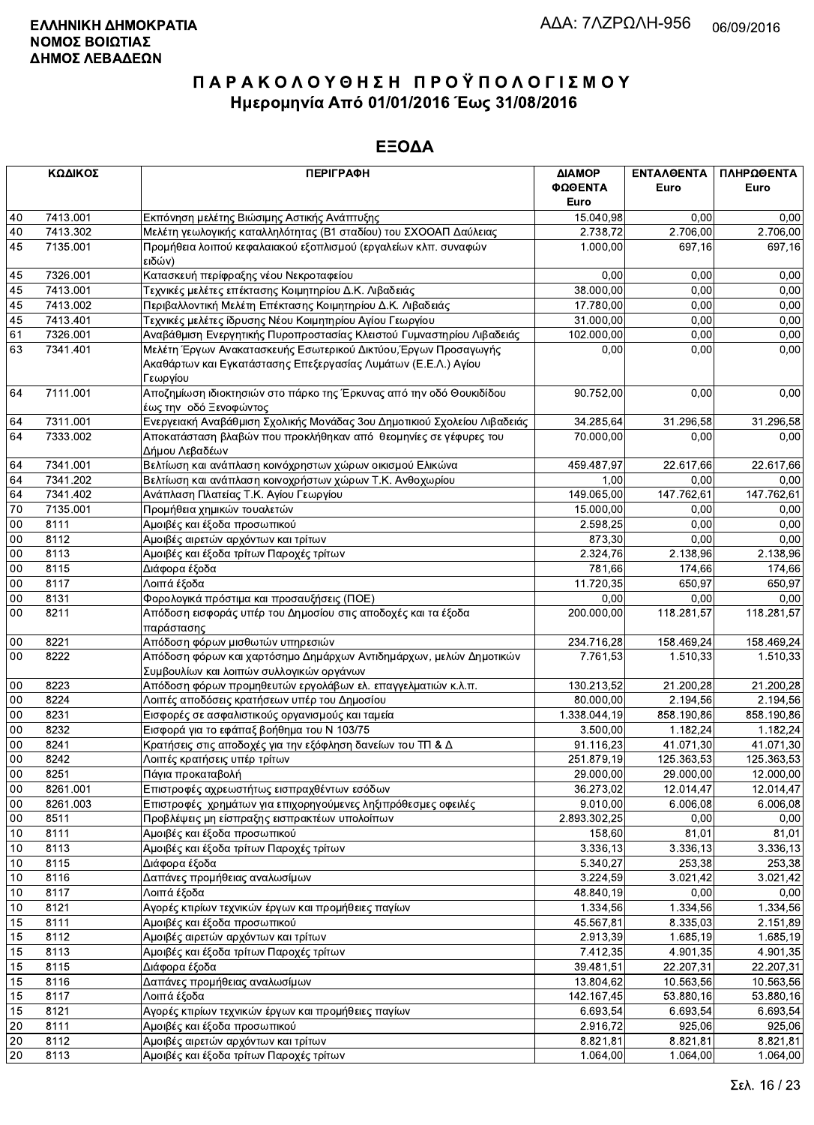|          | ΚΩΔΙΚΟΣ              | <b>ПЕРІГРАФН</b>                                                                                                 | ΔΙΑΜΟΡ                | ΕΝΤΑΛΘΕΝΤΑ          | ΠΛΗΡΩΘΕΝΤΑ |
|----------|----------------------|------------------------------------------------------------------------------------------------------------------|-----------------------|---------------------|------------|
|          |                      |                                                                                                                  | ΦΩΘΕΝΤΑ               | Euro                | Euro       |
|          |                      |                                                                                                                  | Euro                  | 0,00                | 0,00       |
| 40<br>40 | 7413.001<br>7413.302 | Εκπόνηση μελέτης Βιώσιμης Αστικής Ανάπτυξης<br>Μελέτη γεωλογικής καταλληλότητας (Β1 σταδίου) του ΣΧΟΟΑΠ Δαύλειας | 15.040,98<br>2.738,72 | 2.706,00            | 2.706,00   |
| 45       | 7135.001             | Προμήθεια λοιπού κεφαλαιακού εξοπλισμού (εργαλείων κλπ. συναφών                                                  | 1.000,00              | 697,16              | 697,16     |
|          |                      | ειδών)                                                                                                           |                       |                     |            |
| 45       | 7326.001             | Κατασκευή περίφραξης νέου Νεκροταφείου                                                                           | 0,00                  | 0,00                | 0,00       |
| 45       | 7413.001             | Τεχνικές μελέτες επέκτασης Κοιμητηρίου Δ.Κ. Λιβαδειάς                                                            | 38.000,00             | 0,00                | 0,00       |
| 45       | 7413.002             | Περιβαλλοντική Μελέτη Επέκτασης Κοιμητηρίου Δ.Κ. Λιβαδειάς                                                       | 17.780,00             | 0,00                | 0,00       |
| 45       | 7413.401             | Τεχνικές μελέτες ίδρυσης Νέου Κοιμητηρίου Αγίου Γεωργίου                                                         | 31.000,00             | 0,00                | 0,00       |
| 61       | 7326.001             | Αναβάθμιση Ενεργητικής Πυροπροστασίας Κλειστού Γυμναστηρίου Λιβαδειάς                                            | 102.000,00            | 0,00                | 0,00       |
| 63       | 7341.401             | Μελέτη Έργων Ανακατασκευής Εσωτερικού Δικτύου, Έργων Προσαγωγής                                                  | 0,00                  | 0,00                | 0,00       |
|          |                      | Ακαθάρτων και Εγκατάστασης Επεξεργασίας Λυμάτων (Ε.Ε.Λ.) Αγίου                                                   |                       |                     |            |
|          |                      | Γεωργίου                                                                                                         |                       |                     |            |
| 64       | 7111.001             | Αποζημίωση ιδιοκτησιών στο πάρκο της Έρκυνας από την οδό Θουκιδίδου                                              | 90.752,00             | 0,00                | 0,00       |
|          |                      | έως την οδό Ξενοφώντος                                                                                           |                       |                     |            |
| 64       | 7311.001             | Ενεργειακή Αναβάθμιση Σχολικής Μονάδας 3ου Δημοτικιού Σχολείου Λιβαδειάς                                         | 34.285,64             | 31.296,58           | 31.296,58  |
| 64       | 7333.002             | Αποκατάσταση βλαβών που προκλήθηκαν από θεομηνίες σε γέφυρες του                                                 | 70.000,00             | 0,00                | 0,00       |
|          |                      | Δήμου Λεβαδέων                                                                                                   |                       |                     |            |
| 64       | 7341.001             | Βελτίωση και ανάπλαση κοινόχρηστων χώρων οικισμού Ελικώνα                                                        | 459.487,97            | 22.617,66           | 22.617,66  |
| 64       | 7341.202             | Βελτίωση και ανάπλαση κοινοχρήστων χώρων Τ.Κ. Ανθοχωρίου                                                         | 1,00                  | 0,00                | 0,00       |
| 64       | 7341.402             | Ανάπλαση Πλατείας Τ.Κ. Αγίου Γεωργίου                                                                            | 149.065,00            | 147.762,61          | 147.762,61 |
| 70       | 7135.001             | Προμήθεια χημικών τουαλετών                                                                                      | 15.000,00             | 0,00                | 0,00       |
| 00       | 8111                 | Αμοιβές και έξοδα προσωπικού                                                                                     | 2.598,25              | 0,00                | 0,00       |
| 00       | 8112                 | Αμοιβές αιρετών αρχόντων και τρίτων                                                                              | 873,30                | 0,00                | 0,00       |
| 00       | 8113                 | Αμοιβές και έξοδα τρίτων Παροχές τρίτων                                                                          | 2.324,76              | 2.138.96            | 2.138,96   |
| 00       | 8115                 | Διάφορα έξοδα                                                                                                    | 781,66                | 174,66              | 174,66     |
| $00\,$   | 8117                 | Λοιπά έξοδα                                                                                                      | 11.720,35             | 650,97              | 650,97     |
| 00       | 8131                 | Φορολογικά πρόστιμα και προσαυξήσεις (ΠΟΕ)                                                                       | 0,00                  | 0,00                | 0,00       |
| 00       | 8211                 | Απόδοση εισφοράς υπέρ του Δημοσίου στις αποδοχές και τα έξοδα<br>παράστασης                                      | 200.000,00            | 118.281,57          | 118.281,57 |
| 00       | 8221                 | Απόδοση φόρων μισθωτών υπηρεσιών                                                                                 | 234.716,28            | 158.469,24          | 158.469,24 |
| 00       | 8222                 | Απόδοση φόρων και χαρτόσημο Δημάρχων Αντιδημάρχων, μελών Δημοτικών                                               | 7.761,53              | 1.510,33            | 1.510,33   |
|          |                      | Συμβουλίων και λοιπών συλλογικών οργάνων                                                                         |                       |                     |            |
| $00\,$   | 8223                 | Απόδοση φόρων προμηθευτών εργολάβων ελ. επαγγελματιών κ.λ.π.                                                     | 130.213,52            | 21.200,28           | 21.200,28  |
| $00\,$   | 8224                 | Λοιπές αποδόσεις κρατήσεων υπέρ του Δημοσίου                                                                     | 80.000,00             | 2.194,56            | 2.194,56   |
| $00\,$   | 8231                 | Εισφορές σε ασφαλιστικούς οργανισμούς και ταμεία                                                                 | 1.338.044,19          | 858.190,86          | 858.190,86 |
| 00       | 8232                 | Εισφορά για το εφάπαξ βοήθημα του Ν 103/75                                                                       | 3.500,00              | 1.182.24            | 1.182,24   |
| 00       | 8241                 | Κρατήσεις στις αποδοχές για την εξόφληση δανείων του ΤΠ & Δ                                                      | 91.116,23             | 41.071,30           | 41.071,30  |
| 00       | 8242                 | Λοιπές κρατήσεις υπέρ τρίτων                                                                                     | 251.879,19            | 125.363,53          | 125.363,53 |
| 00       | 8251                 | Πάγια προκαταβολή                                                                                                | 29.000,00             | 29.000,00           | 12.000,00  |
| 00       | 8261.001             | Επιστροφές αχρεωστήτως εισπραχθέντων εσόδων                                                                      | 36.273,02             | 12.014,47           | 12.014,47  |
| $00\,$   | 8261.003             | Επιστροφές χρημάτων για επιχορηγούμενες ληξιπρόθεσμες οφειλές                                                    | 9.010,00              | 6.006,08            | 6.006,08   |
| $00\,$   | 8511                 | Προβλέψεις μη είσπραξης εισπρακτέων υπολοίπων                                                                    | 2.893.302,25          | 0,00                | 0,00       |
| 10       | 8111                 | Αμοιβές και έξοδα προσωπικού                                                                                     | 158,60                | 81,01               | 81,01      |
| 10       | 8113                 | Αμοιβές και έξοδα τρίτων Παροχές τρίτων                                                                          | 3.336, 13             | 3.336,13            | 3.336,13   |
| 10       | 8115                 | Διάφορα έξοδα                                                                                                    | 5.340,27              | 253,38              | 253,38     |
| 10       | 8116                 | Δαπάνες προμήθειας αναλωσίμων                                                                                    | 3.224,59              | 3.021,42            | 3.021,42   |
| 10       | 8117                 | Λοιπά έξοδα                                                                                                      | 48.840,19             | 0,00                | 0,00       |
| 10       | 8121                 | Αγορές κτιρίων τεχνικών έργων και προμήθειες παγίων                                                              | 1.334,56              | 1.334,56            | 1.334,56   |
| 15       | 8111                 | Αμοιβές και έξοδα προσωπικού                                                                                     | 45.567,81             | 8.335,03            | 2.151,89   |
| 15       | 8112                 | Αμοιβές αιρετών αρχόντων και τρίτων                                                                              | 2.913,39              | 1.685, 19           | 1.685,19   |
| 15       | 8113                 | Αμοιβές και έξοδα τρίτων Παροχές τρίτων                                                                          | 7.412,35              | 4.901,35            | 4.901,35   |
| 15       | 8115                 | Διάφορα έξοδα                                                                                                    | 39.481,51             | 22.207,31           | 22.207,31  |
| 15       | 8116                 | Δαπάνες προμήθειας αναλωσίμων                                                                                    | 13.804,62             | 10.563,56           | 10.563,56  |
| 15       | 8117                 | Λοιπά έξοδα                                                                                                      | 142.167,45            | 53.880,16           | 53.880,16  |
| 15       | 8121                 | Αγορές κτιρίων τεχνικών έργων και προμήθειες παγίων                                                              | 6.693,54              | 6.693,54            | 6 693,54   |
| 20       | 8111                 | Αμοιβές και έξοδα προσωπικού                                                                                     | 2.916,72              | $\overline{925,06}$ | 925,06     |
| 20       | 8112                 | Αμοιβές αιρετών αρχόντων και τρίτων                                                                              | 8.821,81              | 8.821,81            | 8.821,81   |
| 20       | 8113                 | Αμοιβές και έξοδα τρίτων Παροχές τρίτων                                                                          | 1.064,00              | 1.064,00            | 1.064,00   |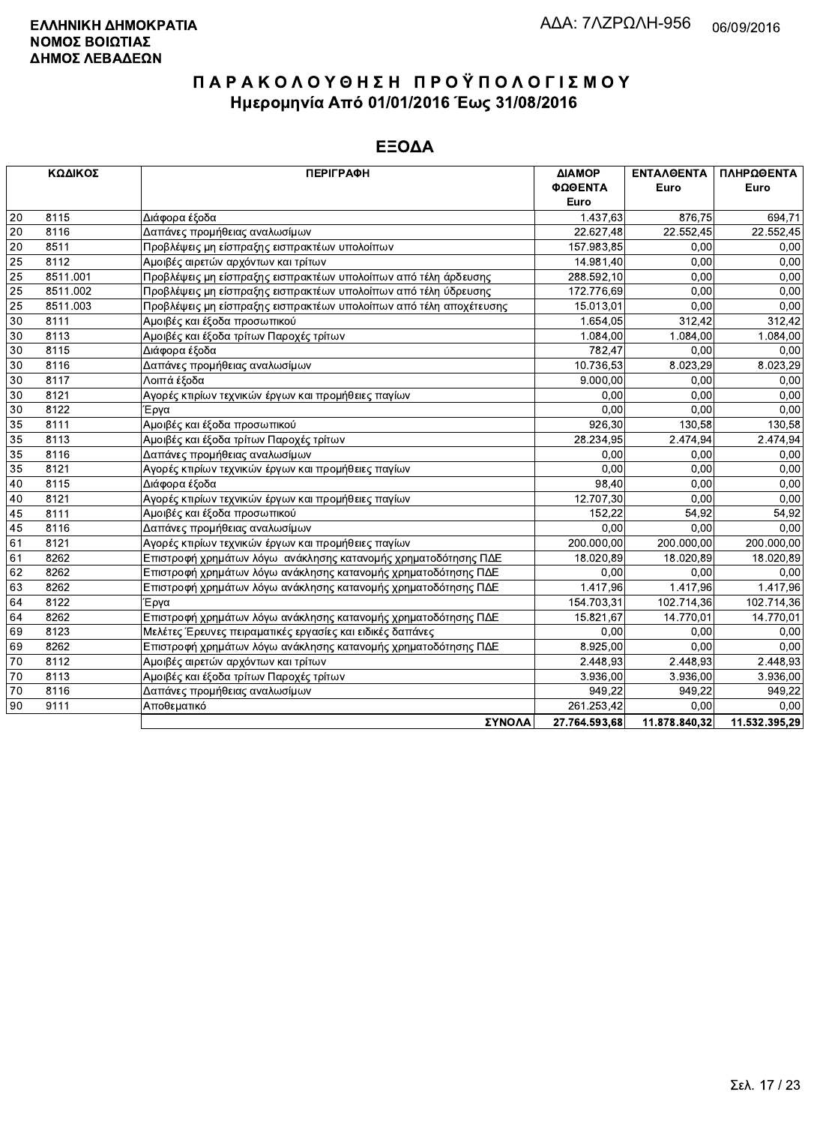|    | ΚΩΔΙΚΟΣ  | <b>ПЕРІГРАФН</b>                                                   | ΔΙΑΜΟΡ        | <b>ENTAA@ENTA</b> | ΠΛΗΡΩΘΕΝΤΑ    |
|----|----------|--------------------------------------------------------------------|---------------|-------------------|---------------|
|    |          |                                                                    | ΦΩΘΕΝΤΑ       | Euro              | Euro          |
|    |          |                                                                    | <b>Euro</b>   |                   |               |
| 20 | 8115     | Διάφορα έξοδα                                                      | 1.437,63      | 876,75            | 694,71        |
| 20 | 8116     | Δαπάνες προμήθειας αναλωσίμων                                      | 22.627,48     | 22.552,45         | 22.552,45     |
| 20 | 8511     | Προβλέψεις μη είσπραξης εισπρακτέων υπολοίπων                      | 157.983,85    | 0,00              | 0,00          |
| 25 | 8112     | Αμοιβές αιρετών αρχόντων και τρίτων                                | 14.981,40     | 0,00              | 0,00          |
| 25 | 8511.001 | Προβλέψεις μη είσπραξης εισπρακτέων υπολοίπων από τέλη άρδευσης    | 288.592,10    | 0,00              | 0.00          |
| 25 | 8511.002 | Προβλέψεις μη είσπραξης εισπρακτέων υπολοίπων από τέλη ύδρευσης    | 172.776,69    | 0,00              | 0,00          |
| 25 | 8511.003 | Προβλέψεις μη είσπραξης εισπρακτέων υπολοίπων από τέλη αποχέτευσης | 15.013.01     | 0.00              | 0,00          |
| 30 | 8111     | Αμοιβές και έξοδα προσωπικού                                       | 1.654,05      | 312,42            | 312,42        |
| 30 | 8113     | Αμοιβές και έξοδα τρίτων Παροχές τρίτων                            | 1.084,00      | 1.084.00          | 1.084,00      |
| 30 | 8115     | Διάφορα έξοδα                                                      | 782,47        | 0,00              | 0,00          |
| 30 | 8116     | Δαπάνες προμήθειας αναλωσίμων                                      | 10.736,53     | 8.023,29          | 8.023,29      |
| 30 | 8117     | Λοιπά έξοδα                                                        | 9.000,00      | 0,00              | 0,00          |
| 30 | 8121     | Αγορές κτιρίων τεχνικών έργων και προμήθειες παγίων                | 0.00          | 0,00              | 0,00          |
| 30 | 8122     | Έργα                                                               | 0,00          | 0.00              | 0,00          |
| 35 | 8111     | Αμοιβές και έξοδα προσωπικού                                       | 926,30        | 130.58            | 130,58        |
| 35 | 8113     | Αμοιβές και έξοδα τρίτων Παροχές τρίτων                            | 28.234,95     | 2.474,94          | 2.474,94      |
| 35 | 8116     | Δαπάνες προμήθειας αναλωσίμων                                      | 0.00          | 0.00              | 0.00          |
| 35 | 8121     | Αγορές κτιρίων τεχνικών έργων και προμήθειες παγίων                | 0.00          | 0,00              | 0,00          |
| 40 | 8115     | Διάφορα έξοδα                                                      | 98.40         | 0,00              | 0,00          |
| 40 | 8121     | Αγορές κτιρίων τεχνικών έργων και προμήθειες παγίων                | 12.707.30     | 0,00              | 0,00          |
| 45 | 8111     | Αμοιβές και έξοδα προσωπικού                                       | 152.22        | 54,92             | 54,92         |
| 45 | 8116     | Δαπάνες προμήθειας αναλωσίμων                                      | 0.00          | 0.00              | 0.00          |
| 61 | 8121     | Αγορές κτιρίων τεχνικών έργων και προμήθειες παγίων                | 200.000,00    | 200.000.00        | 200.000,00    |
| 61 | 8262     | Επιστροφή χρημάτων λόγω ανάκλησης κατανομής χρηματοδότησης ΠΔΕ     | 18.020,89     | 18.020.89         | 18.020,89     |
| 62 | 8262     | Επιστροφή χρημάτων λόγω ανάκλησης κατανομής χρηματοδότησης ΠΔΕ     | 0.00          | 0.00              | 0.00          |
| 63 | 8262     | Επιστροφή χρημάτων λόγω ανάκλησης κατανομής χρηματοδότησης ΠΔΕ     | 1.417.96      | 1.417,96          | 1.417.96      |
| 64 | 8122     | Έργα                                                               | 154.703,31    | 102.714,36        | 102.714,36    |
| 64 | 8262     | Επιστροφή χρημάτων λόγω ανάκλησης κατανομής χρηματοδότησης ΠΔΕ     | 15.821,67     | 14.770,01         | 14.770,01     |
| 69 | 8123     | Μελέτες Έρευνες πειραματικές εργασίες και ειδικές δαπάνες          | 0,00          | 0.00              | 0,00          |
| 69 | 8262     | Επιστροφή χρημάτων λόγω ανάκλησης κατανομής χρηματοδότησης ΠΔΕ     | 8.925,00      | 0.00              | 0,00          |
| 70 | 8112     | Αμοιβές αιρετών αρχόντων και τρίτων                                | 2.448,93      | 2.448,93          | 2.448,93      |
| 70 | 8113     | Αμοιβές και έξοδα τρίτων Παροχές τρίτων                            | 3.936,00      | 3.936,00          | 3.936,00      |
| 70 | 8116     | Δαπάνες προμήθειας αναλωσίμων                                      | 949.22        | 949.22            | 949.22        |
| 90 | 9111     | Αποθεματικό                                                        | 261.253,42    | 0.00              | 0.00          |
|    |          | ΣΥΝΟΛΑ                                                             | 27.764.593.68 | 11.878.840.32     | 11.532.395.29 |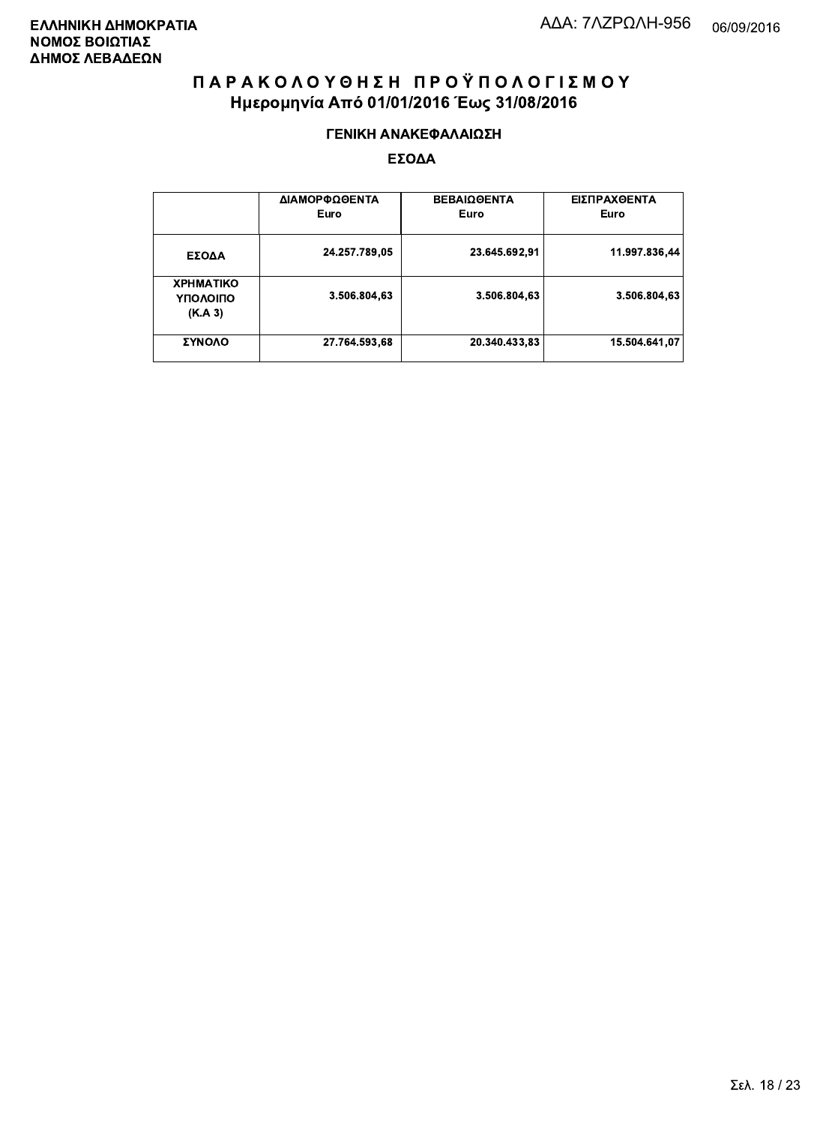#### ΓΕΝΙΚΗ ΑΝΑΚΕΦΑΛΑΙΩΣΗ

|                                         | ΔΙΑΜΟΡΦΩΘΕΝΤΑ<br>Euro | <b>ΒΕΒΑΙΩΘΕΝΤΑ</b><br>Euro | ΕΙΣΠΡΑΧΘΕΝΤΑ<br>Euro |
|-----------------------------------------|-----------------------|----------------------------|----------------------|
| ΕΣΟΔΑ                                   | 24.257.789,05         | 23.645.692.91              | 11.997.836,44        |
| <b>XPHMATIKO</b><br>ΥΠΟΛΟΙΠΟ<br>(K.A.3) | 3.506.804,63          | 3.506.804.63               | 3.506.804,63         |
| ΣΥΝΟΛΟ                                  | 27.764.593,68         | 20.340.433,83              | 15.504.641.07        |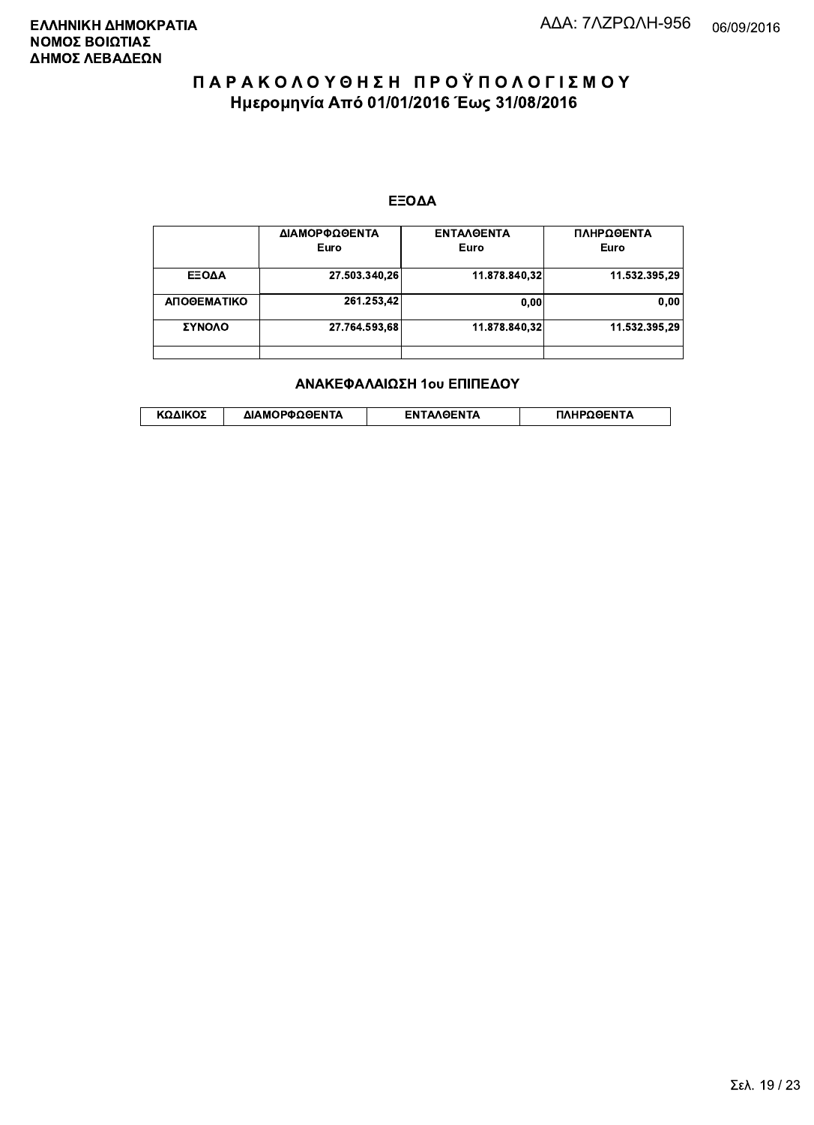#### ΕΞΟΔΑ

|             | ΔΙΑΜΟΡΦΩΘΕΝΤΑ<br>Euro | <b>ENTAAGENTA</b><br>Euro | ΠΛΗΡΩΘΕΝΤΑ<br>Euro |
|-------------|-----------------------|---------------------------|--------------------|
| ΕΞΟΔΑ       | 27.503.340,26         | 11.878.840,32             | 11.532.395,29      |
| ΑΠΟΘΕΜΑΤΙΚΟ | 261.253,42            | 0.00                      | 0,00               |
| ΣΥΝΟΛΟ      | 27.764.593,68         | 11.878.840.32             | 11.532.395,29      |
|             |                       |                           |                    |

#### ΑΝΑΚΕΦΑΛΑΙΩΣΗ 1ου ΕΠΙΠΕΔΟΥ

|  | ΚΩΔΙΚΟΣ | ΔΙΑΜΟΡΦΩΘΕΝΤΑ | <b>AOENTA</b><br>FΝ | ≀OΘFNTA |
|--|---------|---------------|---------------------|---------|
|--|---------|---------------|---------------------|---------|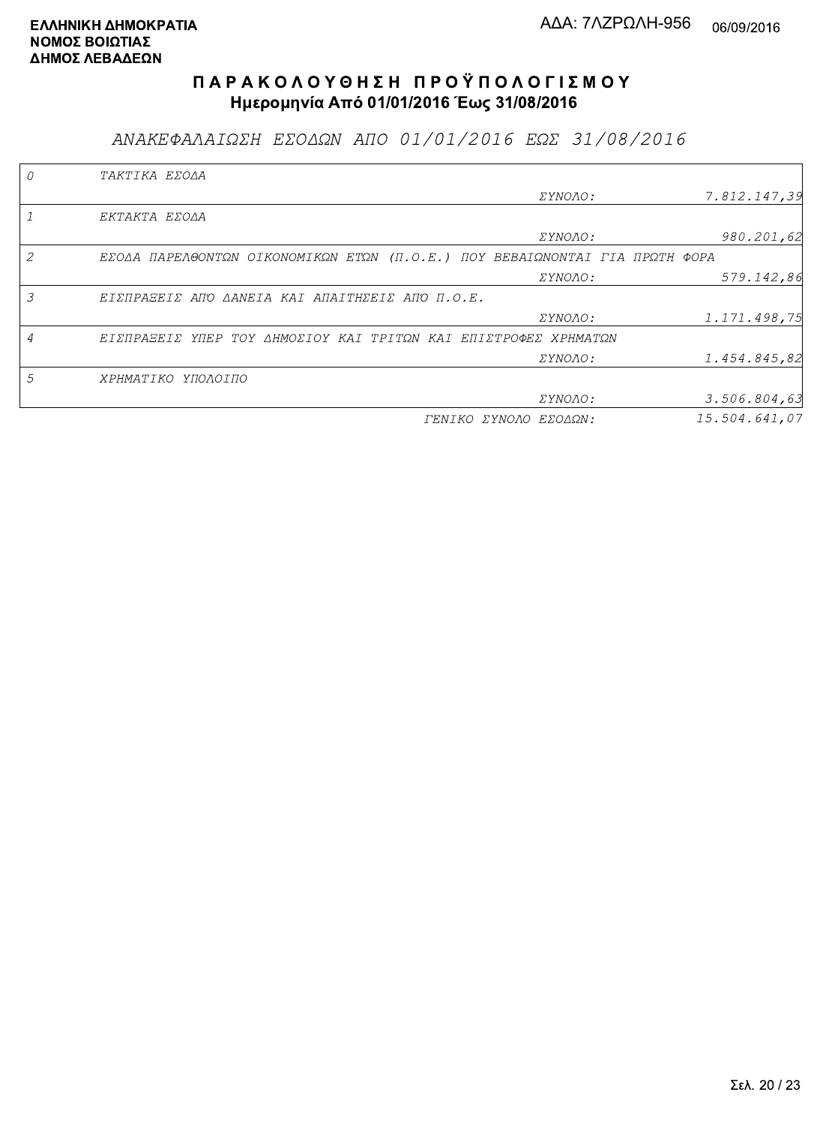ΑΝΑΚΕΦΑΛΑΙΩΣΗ ΕΣΟΔΩΝ ΑΠΟ 01/01/2016 ΕΩΣ 31/08/2016

|   | TAKTIKA EZOAA                                                               |                       |               |
|---|-----------------------------------------------------------------------------|-----------------------|---------------|
|   |                                                                             | <i>EYNOAO:</i>        | 7.812.147,39  |
|   | EKTAKTA EZOAA                                                               |                       |               |
|   |                                                                             | ΣΥΝΟΛΟ:               | 980.201,62    |
|   | ΕΣΟΔΑ ΠΑΡΕΛΘΟΝΤΩΝ ΟΙΚΟΝΟΜΙΚΩΝ ΕΤΩΝ (Π.Ο.Ε.) ΠΟΥ ΒΕΒΑΙΩΝΟΝΤΑΙ ΓΙΑ ΠΡΩΤΗ ΦΟΡΑ |                       |               |
|   |                                                                             | <i>EYNOAO:</i>        | 579.142,86    |
| 3 | ΕΙΣΠΡΑΞΕΙΣ ΑΠΌ ΔΑΝΕΙΑ ΚΑΙ ΑΠΑΙΤΗΣΕΙΣ ΑΠΌ Π.Ο.Ε.                             |                       |               |
|   |                                                                             | <i>EYNOAO:</i>        | 1.171.498,75  |
|   | ΕΙΣΠΡΑΞΕΙΣ ΥΠΕΡ ΤΟΥ ΔΗΜΟΣΙΟΥ ΚΑΙ ΤΡΙΤΩΝ ΚΑΙ ΕΠΙΣΤΡΟΦΕΣ ΧΡΗΜΑΤΩΝ             |                       |               |
|   |                                                                             | ΣΥΝΟΛΟ:               | 1.454.845,82  |
| 5 | ΧΡΗΜΑΤΙΚΟ ΥΠΟΛΟΙΠΟ                                                          |                       |               |
|   |                                                                             | ΣΥΝΟΛΟ:               | 3.506.804,63  |
|   |                                                                             | ΓΕΝΙΚΟ ΣΥΝΟΛΟ ΕΣΟΔΩΝ: | 15.504.641.07 |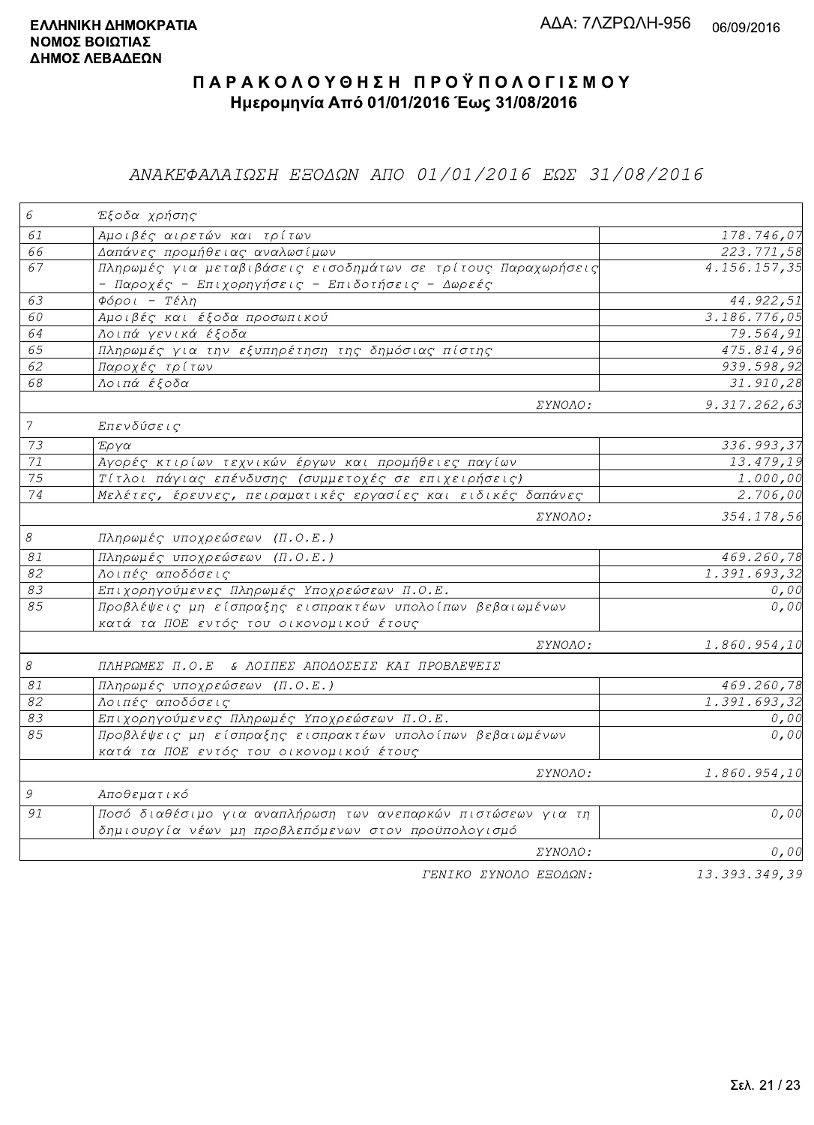### ΑΝΑΚΕΦΑΛΑΙΩΣΗ ΕΞΟΔΩΝ ΑΠΟ 01/01/2016 ΕΩΣ 31/08/2016

| $\epsilon$     | Έξοδα χρήσης                                                                                                        |                        |
|----------------|---------------------------------------------------------------------------------------------------------------------|------------------------|
| 61             | Αμοιβές αιρετών και τρίτων                                                                                          | 178.746,07             |
| 66             | Δαπάνες προμήθειας αναλωσίμων                                                                                       | 223.771,58             |
| 67             | Πληρωμές για μεταβιβάσεις εισοδημάτων σε τρίτους Παραχωρήσεις<br>- Παροχές - Επιχορηγήσεις - Επιδοτήσεις - Δωρεές   | 4.156.157,35           |
| 63             | $\Phi$ όροι - Τέλη                                                                                                  | 44.922,51              |
| 60             | Αμοιβές και έξοδα προσωπικού                                                                                        | 3.186.776,05           |
| 64             | Λοιπά γενικά έξοδα                                                                                                  | 79.564,91              |
| 65             | Πληρωμές για την εξυπηρέτηση της δημόσιας πίστης                                                                    | 475.814,96             |
| 62             | Παροχές τρίτων                                                                                                      | 939.598,92             |
| 68             | Λοιπά έξοδα                                                                                                         | 31.910,28              |
|                | ΣΥΝΟΛΟ:                                                                                                             | 9.317.262,63           |
| $\overline{7}$ | Επενδύσεις                                                                                                          |                        |
| 73             | Έργα                                                                                                                | 336.993,37             |
| $71\,$         | Αγορές κτιρίων τεχνικών έργων και προμήθειες παγίων                                                                 | 13.479,19              |
| 75             | Τίτλοι πάγιας επένδυσης (συμμετοχές σε επιχειρήσεις)                                                                | $\overline{1}$ .000,00 |
| 74             | Μελέτες, έρευνες, πειραματικές εργασίες και ειδικές δαπάνες                                                         | 2.706,00               |
|                | ΣΥΝΟΛΟ:                                                                                                             | 354.178,56             |
| $\mathcal S$   | Πληρωμές υποχρεώσεων (Π.Ο.Ε.)                                                                                       |                        |
| $\mathcal{S}1$ | Πληρωμές υποχρεώσεων (Π.Ο.Ε.)                                                                                       | 469.260,78             |
| 82             | Λοιπές αποδόσεις                                                                                                    | 1.391.693,32           |
| 83             | Επιχορηγούμενες Πληρωμές Υποχρεώσεων Π.Ο.Ε.                                                                         | 0,00                   |
| 85             | Προβλέψεις μη είσπραξης εισπρακτέων υπολοίπων βεβαιωμένων<br>κατά τα ΠΟΕ εντός του οικονομικού έτους                | 0,00                   |
|                | ΣΥΝΟΛΟ:                                                                                                             | 1.860.954,10           |
| $\mathcal S$   | ΠΛΗΡΩΜΕΣ Π.Ο.Ε & ΛΟΙΠΕΣ ΑΠΟΔΟΣΕΙΣ ΚΑΙ ΠΡΟΒΛΕΨΕΙΣ                                                                    |                        |
| 81             | Πληρωμές υποχρεώσεων (Π.Ο.Ε.)                                                                                       | 469.260,78             |
| 82             | Λοιπές αποδόσεις                                                                                                    | 1.391.693,32           |
| 83             | Επιχορηγούμενες Πληρωμές Υποχρεώσεων Π.Ο.Ε.                                                                         | 0,00                   |
| 85             | Προβλέψεις μη είσπραξης εισπρακτέων υπολοίπων βεβαιωμένων<br>κατά τα ΠΟΕ εντός του οικονομικού έτους                | 0,00                   |
|                | ΣΥΝΟΛΟ:                                                                                                             | 1.860.954,10           |
| $\mathcal G$   | Αποθεματικό                                                                                                         |                        |
| 91             | Ποσό διαθέσιμο για αναπλήρωση των ανεπαρκών πιστώσεων για τη<br>δημιουργία νέων μη προβλεπόμενων στον προϋπολογισμό | 0,00                   |
|                | ΣΥΝΟΛΟ:                                                                                                             | 0,00                   |
|                | TENIKO ZYNOAO EEOAQN:                                                                                               | 13.393.349,39          |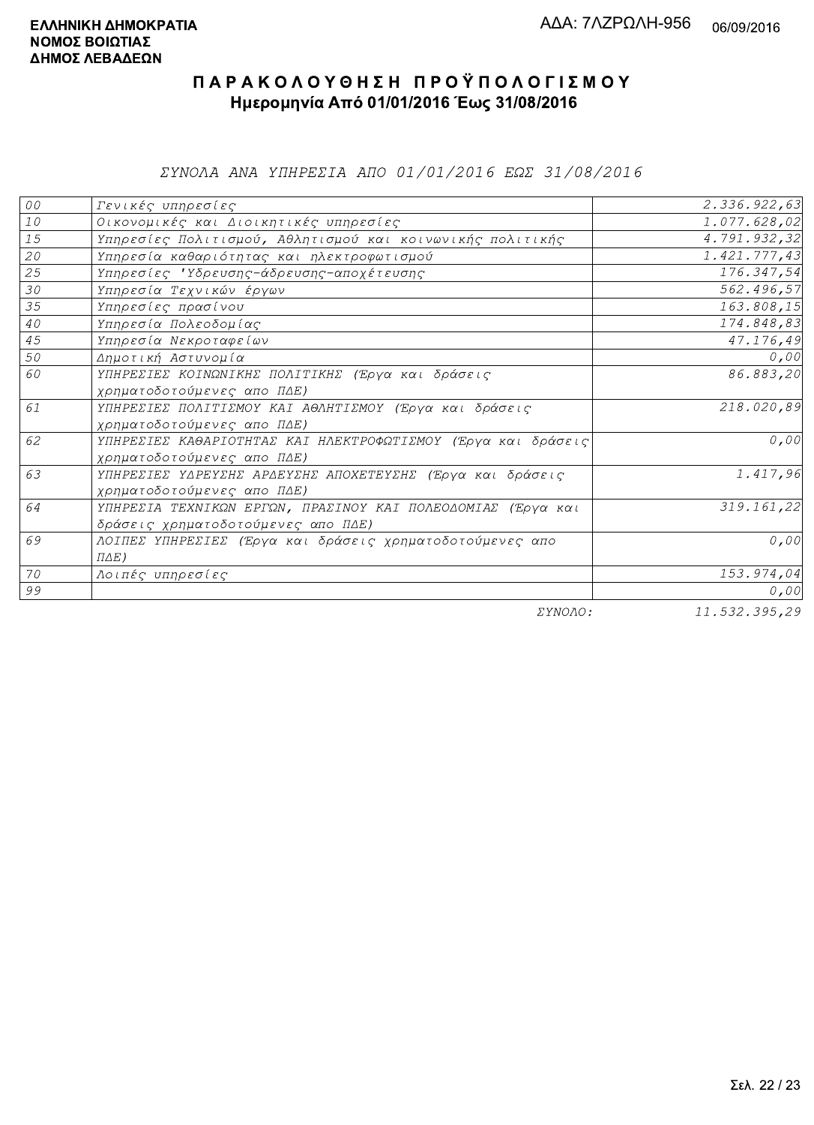*EYNOAA ANA YHHPEZIA AHO 01/01/2016 EQE 31/08/2016* 

| ${\cal O} \, {\cal O}$ | Γενικές υπηρεσίες                                             | 2.336.922,63  |
|------------------------|---------------------------------------------------------------|---------------|
| ${\it 10}$             | Οικονομικές και Διοικητικές υπηρεσίες                         | 1.077.628,02  |
| 15                     | Υπηρεσίες Πολιτισμού, Αθλητισμού και κοινωνικής πολιτικής     | 4.791.932,32  |
| 20                     | Υπηρεσία καθαριότητας και ηλεκτροφωτισμού                     | 1.421.777,43  |
| 25                     | Υπηρεσίες 'Υδρευσης-άδρευσης-αποχέτευσης                      | 176.347,54    |
| 30                     | Υπηρεσία Τεχνικών έργων                                       | 562.496,57    |
| 35                     | Υπηρεσίες πρασίνου                                            | 163.808,15    |
| $4\,0$                 | Υπηρεσία Πολεοδομίας                                          | 174.848,83    |
| 45                     | Υπηρεσία Νεκροταφείων                                         | 47.176,49     |
| 50                     | Δημοτική Αστυνομία                                            | 0,00          |
| 60                     | ΥΠΗΡΕΣΙΕΣ ΚΟΙΝΩΝΙΚΗΣ ΠΟΛΙΤΙΚΗΣ (Έργα και δράσεις              | 86.883,20     |
|                        | χρηματοδοτούμενες απο ΠΔΕ)                                    |               |
| 61                     | ΥΠΗΡΕΣΙΕΣ ΠΟΛΙΤΙΣΜΟΥ ΚΑΙ ΑΘΛΗΤΙΣΜΟΥ (Έργα και δράσεις         | 218.020,89    |
|                        | χρηματοδοτούμενες απο ΠΔΕ)                                    |               |
| 62                     | ΥΠΗΡΕΣΙΕΣ ΚΑΘΑΡΙΟΤΗΤΑΣ ΚΑΙ ΗΛΕΚΤΡΟΦΩΤΙΣΜΟΥ (Έργα και δράσεις) | 0,00          |
|                        | χρηματοδοτούμενες απο ΠΔΕ)                                    |               |
| 63                     | ΥΠΗΡΕΣΙΕΣ ΥΔΡΕΥΣΗΣ ΑΡΔΕΥΣΗΣ ΑΠΟΧΕΤΕΥΣΗΣ (Έργα και δράσεις     | 1.417,96      |
|                        | χρηματοδοτούμενες απο ΠΔΕ)                                    |               |
| 64                     | ΥΠΗΡΕΣΙΑ ΤΕΧΝΙΚΩΝ ΕΡΓΩΝ, ΠΡΑΣΙΝΟΥ ΚΑΙ ΠΟΛΕΟΔΟΜΙΑΣ (Έργα και   | 319.161,22    |
|                        | δράσεις χρηματοδοτούμενες απο ΠΔΕ)                            |               |
| 69                     | ΛΟΙΠΕΣ ΥΠΗΡΕΣΙΕΣ (Έργα και δράσεις χρηματοδοτούμενες απο      | 0,00          |
|                        | $\Pi \Delta E$ )                                              |               |
| 70                     | Λοιπές υπηρεσίες                                              | 153.974,04    |
| 99                     |                                                               | 0,00          |
|                        | $\Box$                                                        | 11.520.205.20 |

ΣΥΝΟΛΟ:

 $11.532.395,29$